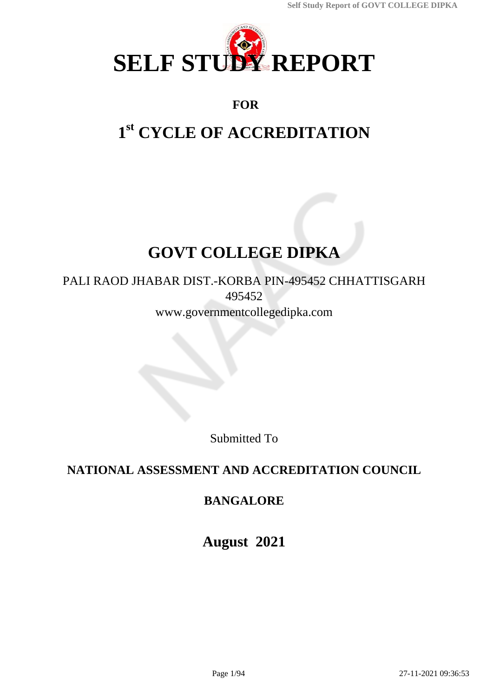

# **FOR**

# **1 st CYCLE OF ACCREDITATION**

# **GOVT COLLEGE DIPKA**

# PALI RAOD JHABAR DIST.-KORBA PIN-495452 CHHATTISGARH 495452 www.governmentcollegedipka.com

Submitted To

# **NATIONAL ASSESSMENT AND ACCREDITATION COUNCIL**

# **BANGALORE**

**August 2021**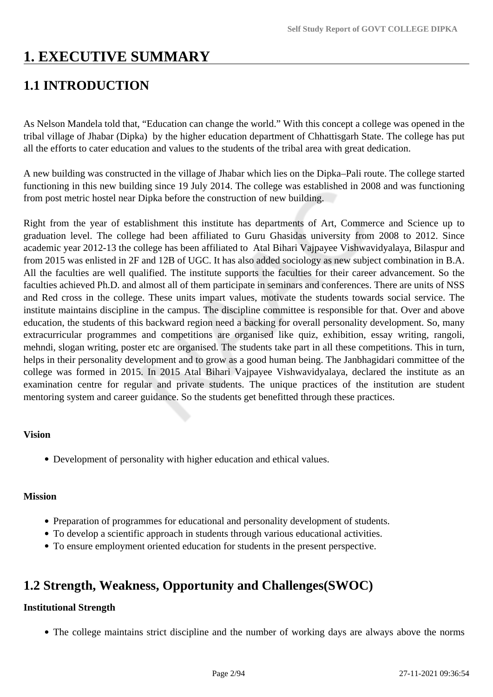# **1. EXECUTIVE SUMMARY**

# **1.1 INTRODUCTION**

As Nelson Mandela told that, "Education can change the world." With this concept a college was opened in the tribal village of Jhabar (Dipka) by the higher education department of Chhattisgarh State. The college has put all the efforts to cater education and values to the students of the tribal area with great dedication.

A new building was constructed in the village of Jhabar which lies on the Dipka–Pali route. The college started functioning in this new building since 19 July 2014. The college was established in 2008 and was functioning from post metric hostel near Dipka before the construction of new building.

Right from the year of establishment this institute has departments of Art, Commerce and Science up to graduation level. The college had been affiliated to Guru Ghasidas university from 2008 to 2012. Since academic year 2012-13 the college has been affiliated to Atal Bihari Vajpayee Vishwavidyalaya, Bilaspur and from 2015 was enlisted in 2F and 12B of UGC. It has also added sociology as new subject combination in B.A. All the faculties are well qualified. The institute supports the faculties for their career advancement. So the faculties achieved Ph.D. and almost all of them participate in seminars and conferences. There are units of NSS and Red cross in the college. These units impart values, motivate the students towards social service. The institute maintains discipline in the campus. The discipline committee is responsible for that. Over and above education, the students of this backward region need a backing for overall personality development. So, many extracurricular programmes and competitions are organised like quiz, exhibition, essay writing, rangoli, mehndi, slogan writing, poster etc are organised. The students take part in all these competitions. This in turn, helps in their personality development and to grow as a good human being. The Janbhagidari committee of the college was formed in 2015. In 2015 Atal Bihari Vajpayee Vishwavidyalaya, declared the institute as an examination centre for regular and private students. The unique practices of the institution are student mentoring system and career guidance. So the students get benefitted through these practices.

### **Vision**

Development of personality with higher education and ethical values.

### **Mission**

- Preparation of programmes for educational and personality development of students.
- To develop a scientific approach in students through various educational activities.
- To ensure employment oriented education for students in the present perspective.

# **1.2 Strength, Weakness, Opportunity and Challenges(SWOC)**

### **Institutional Strength**

The college maintains strict discipline and the number of working days are always above the norms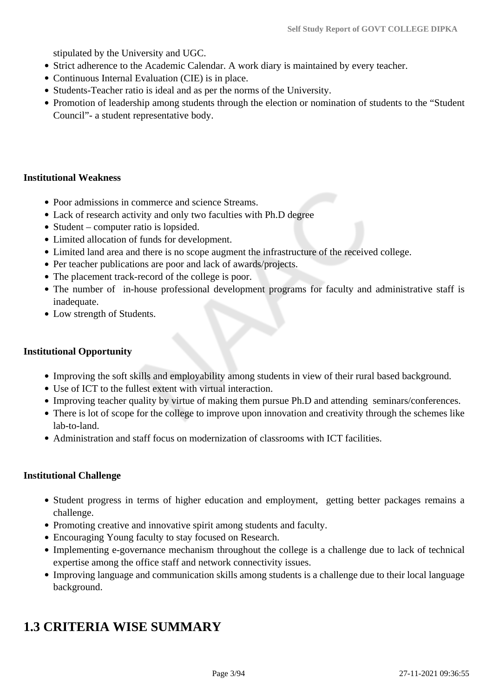stipulated by the University and UGC.

- Strict adherence to the Academic Calendar. A work diary is maintained by every teacher.
- Continuous Internal Evaluation (CIE) is in place.
- Students-Teacher ratio is ideal and as per the norms of the University.
- Promotion of leadership among students through the election or nomination of students to the "Student Council"- a student representative body.

#### **Institutional Weakness**

- Poor admissions in commerce and science Streams.
- Lack of research activity and only two faculties with Ph.D degree
- Student computer ratio is lopsided.
- Limited allocation of funds for development.
- Limited land area and there is no scope augment the infrastructure of the received college.
- Per teacher publications are poor and lack of awards/projects.
- The placement track-record of the college is poor.
- The number of in-house professional development programs for faculty and administrative staff is inadequate.
- Low strength of Students.

#### **Institutional Opportunity**

- Improving the soft skills and employability among students in view of their rural based background.
- Use of ICT to the fullest extent with virtual interaction.
- Improving teacher quality by virtue of making them pursue Ph.D and attending seminars/conferences.
- There is lot of scope for the college to improve upon innovation and creativity through the schemes like lab-to-land.
- Administration and staff focus on modernization of classrooms with ICT facilities.

#### **Institutional Challenge**

- Student progress in terms of higher education and employment, getting better packages remains a challenge.
- Promoting creative and innovative spirit among students and faculty.
- Encouraging Young faculty to stay focused on Research.
- Implementing e-governance mechanism throughout the college is a challenge due to lack of technical expertise among the office staff and network connectivity issues.
- Improving language and communication skills among students is a challenge due to their local language background.

# **1.3 CRITERIA WISE SUMMARY**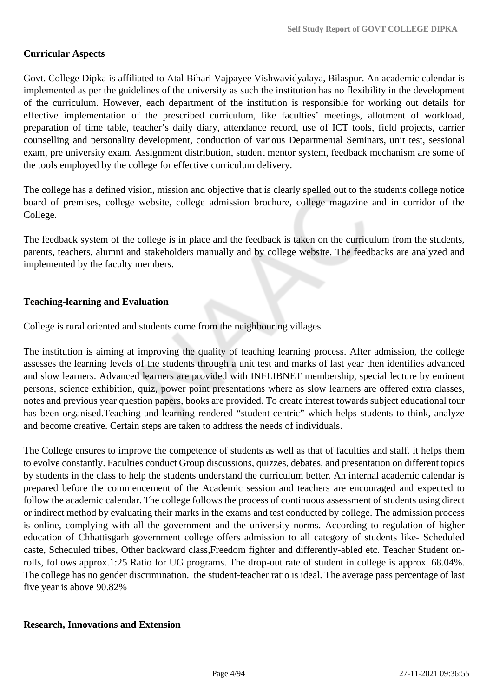#### **Curricular Aspects**

Govt. College Dipka is affiliated to Atal Bihari Vajpayee Vishwavidyalaya, Bilaspur. An academic calendar is implemented as per the guidelines of the university as such the institution has no flexibility in the development of the curriculum. However, each department of the institution is responsible for working out details for effective implementation of the prescribed curriculum, like faculties' meetings, allotment of workload, preparation of time table, teacher's daily diary, attendance record, use of ICT tools, field projects, carrier counselling and personality development, conduction of various Departmental Seminars, unit test, sessional exam, pre university exam. Assignment distribution, student mentor system, feedback mechanism are some of the tools employed by the college for effective curriculum delivery.

The college has a defined vision, mission and objective that is clearly spelled out to the students college notice board of premises, college website, college admission brochure, college magazine and in corridor of the College.

The feedback system of the college is in place and the feedback is taken on the curriculum from the students, parents, teachers, alumni and stakeholders manually and by college website. The feedbacks are analyzed and implemented by the faculty members.

#### **Teaching-learning and Evaluation**

College is rural oriented and students come from the neighbouring villages.

The institution is aiming at improving the quality of teaching learning process. After admission, the college assesses the learning levels of the students through a unit test and marks of last year then identifies advanced and slow learners. Advanced learners are provided with INFLIBNET membership, special lecture by eminent persons, science exhibition, quiz, power point presentations where as slow learners are offered extra classes, notes and previous year question papers, books are provided. To create interest towards subject educational tour has been organised.Teaching and learning rendered "student-centric" which helps students to think, analyze and become creative. Certain steps are taken to address the needs of individuals.

The College ensures to improve the competence of students as well as that of faculties and staff. it helps them to evolve constantly. Faculties conduct Group discussions, quizzes, debates, and presentation on different topics by students in the class to help the students understand the curriculum better. An internal academic calendar is prepared before the commencement of the Academic session and teachers are encouraged and expected to follow the academic calendar. The college follows the process of continuous assessment of students using direct or indirect method by evaluating their marks in the exams and test conducted by college. The admission process is online, complying with all the government and the university norms. According to regulation of higher education of Chhattisgarh government college offers admission to all category of students like- Scheduled caste, Scheduled tribes, Other backward class,Freedom fighter and differently-abled etc. Teacher Student onrolls, follows approx.1:25 Ratio for UG programs. The drop-out rate of student in college is approx. 68.04%. The college has no gender discrimination. the student-teacher ratio is ideal. The average pass percentage of last five year is above 90.82%

#### **Research, Innovations and Extension**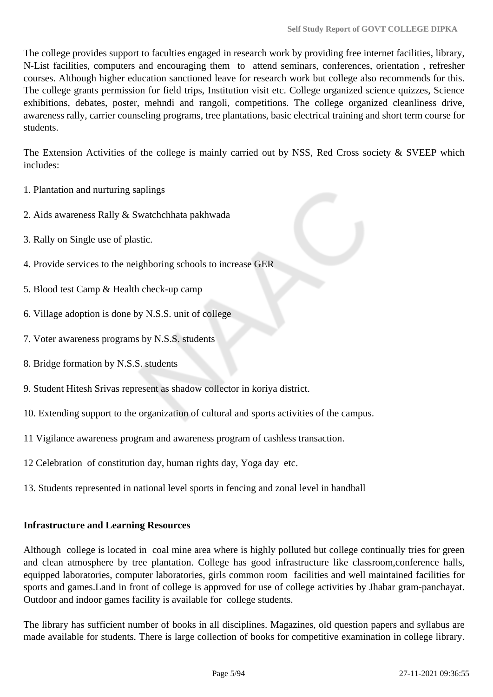The college provides support to faculties engaged in research work by providing free internet facilities, library, N-List facilities, computers and encouraging them to attend seminars, conferences, orientation , refresher courses. Although higher education sanctioned leave for research work but college also recommends for this. The college grants permission for field trips, Institution visit etc. College organized science quizzes, Science exhibitions, debates, poster, mehndi and rangoli, competitions. The college organized cleanliness drive, awareness rally, carrier counseling programs, tree plantations, basic electrical training and short term course for students.

The Extension Activities of the college is mainly carried out by NSS, Red Cross society & SVEEP which includes:

- 1. Plantation and nurturing saplings
- 2. Aids awareness Rally & Swatchchhata pakhwada
- 3. Rally on Single use of plastic.
- 4. Provide services to the neighboring schools to increase GER
- 5. Blood test Camp & Health check-up camp
- 6. Village adoption is done by N.S.S. unit of college
- 7. Voter awareness programs by N.S.S. students
- 8. Bridge formation by N.S.S. students
- 9. Student Hitesh Srivas represent as shadow collector in koriya district.
- 10. Extending support to the organization of cultural and sports activities of the campus.
- 11 Vigilance awareness program and awareness program of cashless transaction.
- 12 Celebration of constitution day, human rights day, Yoga day etc.
- 13. Students represented in national level sports in fencing and zonal level in handball

### **Infrastructure and Learning Resources**

Although college is located in coal mine area where is highly polluted but college continually tries for green and clean atmosphere by tree plantation. College has good infrastructure like classroom,conference halls, equipped laboratories, computer laboratories, girls common room facilities and well maintained facilities for sports and games.Land in front of college is approved for use of college activities by Jhabar gram-panchayat. Outdoor and indoor games facility is available for college students.

The library has sufficient number of books in all disciplines. Magazines, old question papers and syllabus are made available for students. There is large collection of books for competitive examination in college library.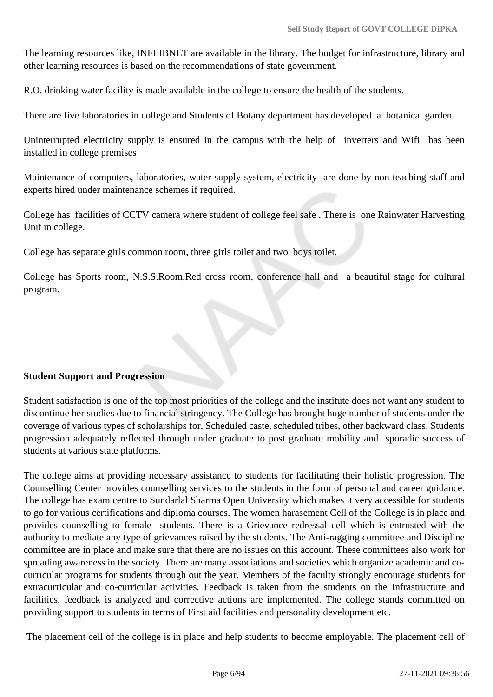The learning resources like, INFLIBNET are available in the library. The budget for infrastructure, library and other learning resources is based on the recommendations of state government.

R.O. drinking water facility is made available in the college to ensure the health of the students.

There are five laboratories in college and Students of Botany department has developed a botanical garden.

Uninterrupted electricity supply is ensured in the campus with the help of inverters and Wifi has been installed in college premises

Maintenance of computers, laboratories, water supply system, electricity are done by non teaching staff and experts hired under maintenance schemes if required.

College has facilities of CCTV camera where student of college feel safe . There is one Rainwater Harvesting Unit in college.

College has separate girls common room, three girls toilet and two boys toilet.

College has Sports room, N.S.S.Room,Red cross room, conference hall and a beautiful stage for cultural program.

### **Student Support and Progression**

Student satisfaction is one of the top most priorities of the college and the institute does not want any student to discontinue her studies due to financial stringency. The College has brought huge number of students under the coverage of various types of scholarships for, Scheduled caste, scheduled tribes, other backward class. Students progression adequately reflected through under graduate to post graduate mobility and sporadic success of students at various state platforms.

The college aims at providing necessary assistance to students for facilitating their holistic progression. The Counselling Center provides counselling services to the students in the form of personal and career guidance. The college has exam centre to Sundarlal Sharma Open University which makes it very accessible for students to go for various certifications and diploma courses. The women harasement Cell of the College is in place and provides counselling to female students. There is a Grievance redressal cell which is entrusted with the authority to mediate any type of grievances raised by the students. The Anti-ragging committee and Discipline committee are in place and make sure that there are no issues on this account. These committees also work for spreading awareness in the society. There are many associations and societies which organize academic and cocurricular programs for students through out the year. Members of the faculty strongly encourage students for extracurricular and co-curricular activities. Feedback is taken from the students on the Infrastructure and facilities, feedback is analyzed and corrective actions are implemented. The college stands committed on providing support to students in terms of First aid facilities and personality development etc.

The placement cell of the college is in place and help students to become employable. The placement cell of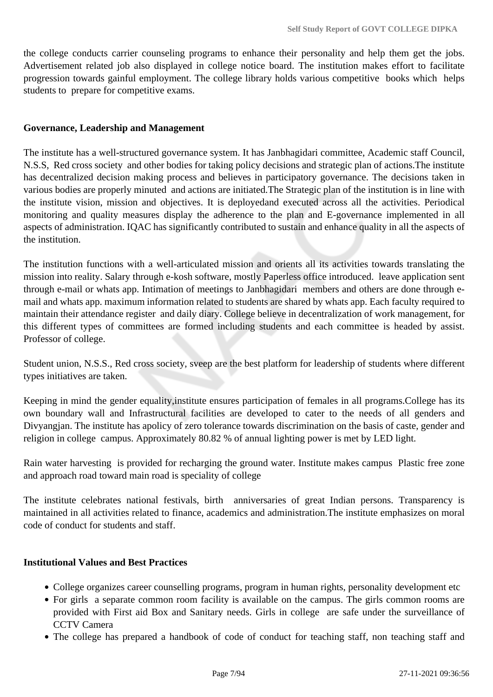the college conducts carrier counseling programs to enhance their personality and help them get the jobs. Advertisement related job also displayed in college notice board. The institution makes effort to facilitate progression towards gainful employment. The college library holds various competitive books which helps students to prepare for competitive exams.

#### **Governance, Leadership and Management**

The institute has a well-structured governance system. It has Janbhagidari committee, Academic staff Council, N.S.S, Red cross society and other bodies for taking policy decisions and strategic plan of actions.The institute has decentralized decision making process and believes in participatory governance. The decisions taken in various bodies are properly minuted and actions are initiated.The Strategic plan of the institution is in line with the institute vision, mission and objectives. It is deployedand executed across all the activities. Periodical monitoring and quality measures display the adherence to the plan and E-governance implemented in all aspects of administration. IQAC has significantly contributed to sustain and enhance quality in all the aspects of the institution.

The institution functions with a well-articulated mission and orients all its activities towards translating the mission into reality. Salary through e-kosh software, mostly Paperless office introduced. leave application sent through e-mail or whats app. Intimation of meetings to Janbhagidari members and others are done through email and whats app. maximum information related to students are shared by whats app. Each faculty required to maintain their attendance register and daily diary. College believe in decentralization of work management, for this different types of committees are formed including students and each committee is headed by assist. Professor of college.

Student union, N.S.S., Red cross society, sveep are the best platform for leadership of students where different types initiatives are taken.

Keeping in mind the gender equality,institute ensures participation of females in all programs.College has its own boundary wall and Infrastructural facilities are developed to cater to the needs of all genders and Divyangjan. The institute has apolicy of zero tolerance towards discrimination on the basis of caste, gender and religion in college campus. Approximately 80.82 % of annual lighting power is met by LED light.

Rain water harvesting is provided for recharging the ground water. Institute makes campus Plastic free zone and approach road toward main road is speciality of college

The institute celebrates national festivals, birth anniversaries of great Indian persons. Transparency is maintained in all activities related to finance, academics and administration.The institute emphasizes on moral code of conduct for students and staff.

#### **Institutional Values and Best Practices**

- College organizes career counselling programs, program in human rights, personality development etc
- For girls a separate common room facility is available on the campus. The girls common rooms are provided with First aid Box and Sanitary needs. Girls in college are safe under the surveillance of CCTV Camera
- The college has prepared a handbook of code of conduct for teaching staff, non teaching staff and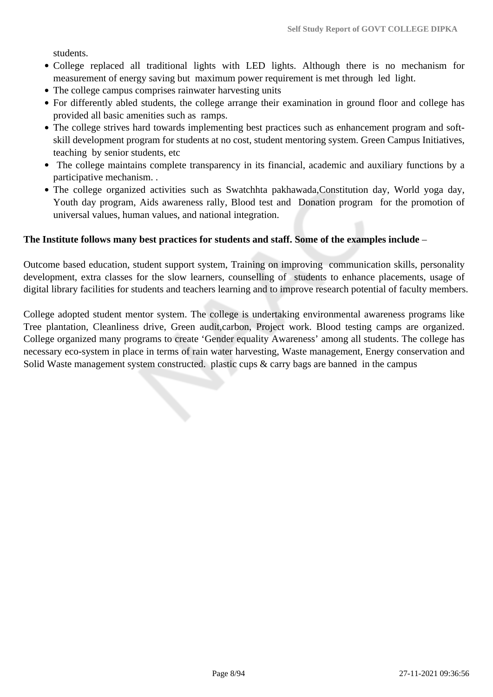students.

- College replaced all traditional lights with LED lights. Although there is no mechanism for measurement of energy saving but maximum power requirement is met through led light.
- The college campus comprises rainwater harvesting units
- For differently abled students, the college arrange their examination in ground floor and college has provided all basic amenities such as ramps.
- The college strives hard towards implementing best practices such as enhancement program and softskill development program for students at no cost, student mentoring system. Green Campus Initiatives, teaching by senior students, etc
- The college maintains complete transparency in its financial, academic and auxiliary functions by a participative mechanism. .
- The college organized activities such as Swatchhta pakhawada,Constitution day, World yoga day, Youth day program, Aids awareness rally, Blood test and Donation program for the promotion of universal values, human values, and national integration.

#### **The Institute follows many best practices for students and staff. Some of the examples include** –

Outcome based education, student support system, Training on improving communication skills, personality development, extra classes for the slow learners, counselling of students to enhance placements, usage of digital library facilities for students and teachers learning and to improve research potential of faculty members.

College adopted student mentor system. The college is undertaking environmental awareness programs like Tree plantation, Cleanliness drive, Green audit,carbon, Project work. Blood testing camps are organized. College organized many programs to create 'Gender equality Awareness' among all students. The college has necessary eco-system in place in terms of rain water harvesting, Waste management, Energy conservation and Solid Waste management system constructed. plastic cups & carry bags are banned in the campus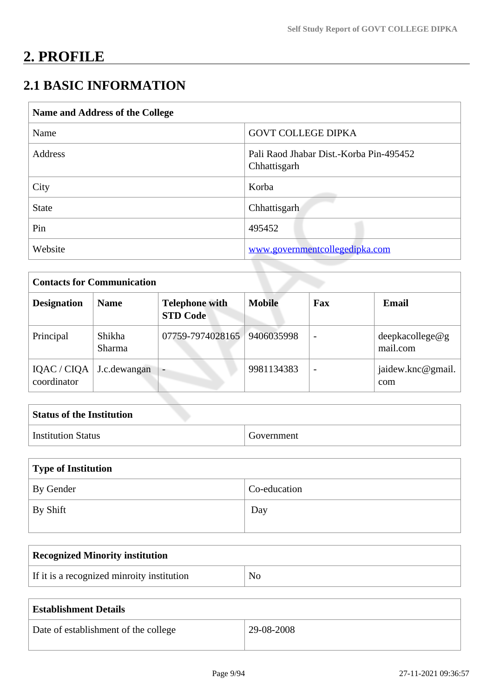# **2. PROFILE**

# **2.1 BASIC INFORMATION**

| Name and Address of the College |                                                         |  |
|---------------------------------|---------------------------------------------------------|--|
| Name                            | <b>GOVT COLLEGE DIPKA</b>                               |  |
| Address                         | Pali Raod Jhabar Dist.-Korba Pin-495452<br>Chhattisgarh |  |
| City                            | Korba                                                   |  |
| <b>State</b>                    | Chhattisgarh                                            |  |
| Pin                             | 495452                                                  |  |
| Website                         | www.governmentcollegedipka.com                          |  |

| <b>Contacts for Communication</b> |                         |                                          |               |                          |                             |
|-----------------------------------|-------------------------|------------------------------------------|---------------|--------------------------|-----------------------------|
| <b>Designation</b>                | <b>Name</b>             | <b>Telephone with</b><br><b>STD Code</b> | <b>Mobile</b> | Fax                      | Email                       |
| Principal                         | Shikha<br><b>Sharma</b> | 07759-7974028165                         | 9406035998    | $\overline{\phantom{a}}$ | deepkacollege@g<br>mail.com |
| IQAC / CIQA<br>coordinator        | J.c.dewangan            | -                                        | 9981134383    | $\overline{\phantom{0}}$ | jaidew.knc@gmail.<br>com    |

| <b>Status of the Institution</b> |            |  |
|----------------------------------|------------|--|
| <b>Institution Status</b>        | Government |  |

| Type of Institution |              |  |
|---------------------|--------------|--|
| By Gender           | Co-education |  |
| By Shift            | Day          |  |

| <b>Recognized Minority institution</b>     |                |
|--------------------------------------------|----------------|
| If it is a recognized minroity institution | N <sub>0</sub> |

| <b>Establishment Details</b>         |              |
|--------------------------------------|--------------|
| Date of establishment of the college | $29-08-2008$ |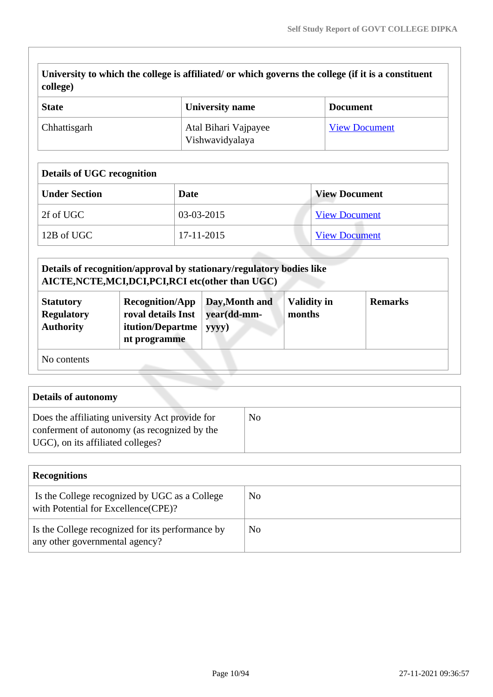**University to which the college is affiliated/ or which governs the college (if it is a constituent college)**

| <b>State</b> | <b>University name</b>                  | <b>Document</b>      |
|--------------|-----------------------------------------|----------------------|
| Chhattisgarh | Atal Bihari Vajpayee<br>Vishwavidyalaya | <b>View Document</b> |

#### **Details of UGC recognition**

| <b>Under Section</b> | Date       | <b>View Document</b> |
|----------------------|------------|----------------------|
| 2f of UGC            | 03-03-2015 | <b>View Document</b> |
| 12B of UGC           | 17-11-2015 | <b>View Document</b> |

|                                                           | Details of recognition/approval by stationary/regulatory bodies like<br>AICTE, NCTE, MCI, DCI, PCI, RCI etc(other than UGC) |                                        |                              |                |
|-----------------------------------------------------------|-----------------------------------------------------------------------------------------------------------------------------|----------------------------------------|------------------------------|----------------|
| <b>Statutory</b><br><b>Regulatory</b><br><b>Authority</b> | <b>Recognition/App</b><br>roval details Inst<br>itution/Departme<br>nt programme                                            | Day, Month and<br>year(dd-mm-<br>yyyy) | <b>Validity in</b><br>months | <b>Remarks</b> |
| No contents                                               |                                                                                                                             |                                        |                              |                |

| Details of autonomy                                                                                                                  |    |
|--------------------------------------------------------------------------------------------------------------------------------------|----|
| Does the affiliating university Act provide for<br>conferment of autonomy (as recognized by the<br>UGC), on its affiliated colleges? | No |

| <b>Recognitions</b>                                                                  |    |  |
|--------------------------------------------------------------------------------------|----|--|
| Is the College recognized by UGC as a College<br>with Potential for Excellence(CPE)? | No |  |
| Is the College recognized for its performance by<br>any other governmental agency?   | No |  |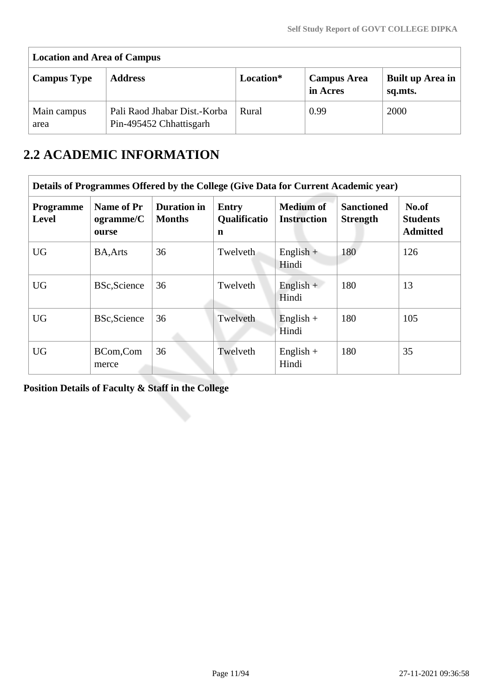| <b>Location and Area of Campus</b> |                                                         |           |                                |                             |
|------------------------------------|---------------------------------------------------------|-----------|--------------------------------|-----------------------------|
| <b>Campus Type</b>                 | <b>Address</b>                                          | Location* | <b>Campus Area</b><br>in Acres | Built up Area in<br>sq.mts. |
| Main campus<br>area                | Pali Raod Jhabar Dist.-Korba<br>Pin-495452 Chhattisgarh | Rural     | 0.99                           | 2000                        |

# **2.2 ACADEMIC INFORMATION**

|                                  | Details of Programmes Offered by the College (Give Data for Current Academic year) |                                     |                                          |                                        |                                      |                                             |
|----------------------------------|------------------------------------------------------------------------------------|-------------------------------------|------------------------------------------|----------------------------------------|--------------------------------------|---------------------------------------------|
| <b>Programme</b><br><b>Level</b> | Name of Pr<br>ogramme/C<br>ourse                                                   | <b>Duration</b> in<br><b>Months</b> | <b>Entry</b><br><b>Qualificatio</b><br>n | <b>Medium of</b><br><b>Instruction</b> | <b>Sanctioned</b><br><b>Strength</b> | No.of<br><b>Students</b><br><b>Admitted</b> |
| <b>UG</b>                        | <b>BA, Arts</b>                                                                    | 36                                  | Twelveth                                 | $English +$<br>Hindi                   | 180                                  | 126                                         |
| <b>UG</b>                        | <b>BSc, Science</b>                                                                | 36                                  | Twelveth                                 | $English +$<br>Hindi                   | 180                                  | 13                                          |
| <b>UG</b>                        | <b>BSc, Science</b>                                                                | 36                                  | Twelveth                                 | English $+$<br>Hindi                   | 180                                  | 105                                         |
| <b>UG</b>                        | BCom,Com<br>merce                                                                  | 36                                  | Twelveth                                 | English $+$<br>Hindi                   | 180                                  | 35                                          |

**Position Details of Faculty & Staff in the College**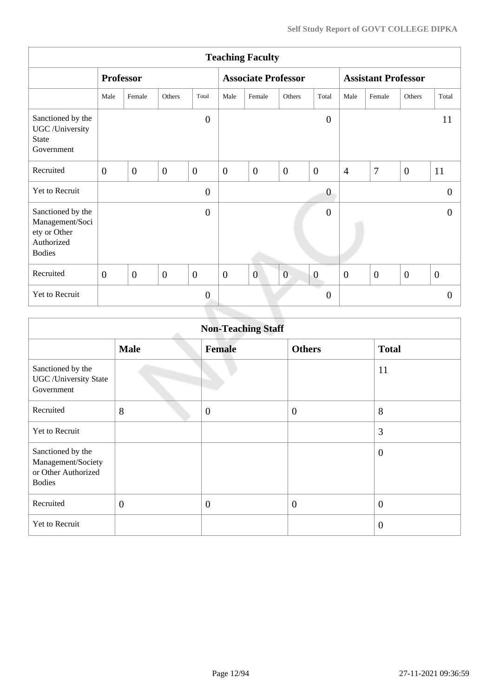| <b>Teaching Faculty</b>                                                             |                |                  |                |                |                |                            |                |                  |                            |              |                |                  |
|-------------------------------------------------------------------------------------|----------------|------------------|----------------|----------------|----------------|----------------------------|----------------|------------------|----------------------------|--------------|----------------|------------------|
|                                                                                     |                | <b>Professor</b> |                |                |                | <b>Associate Professor</b> |                |                  | <b>Assistant Professor</b> |              |                |                  |
|                                                                                     | Male           | Female           | Others         | Total          | Male           | Female                     | Others         | Total            | Male                       | Female       | Others         | Total            |
| Sanctioned by the<br>UGC /University<br><b>State</b><br>Government                  |                |                  |                | $\overline{0}$ |                |                            |                | $\overline{0}$   |                            |              |                | 11               |
| Recruited                                                                           | $\overline{0}$ | $\overline{0}$   | $\overline{0}$ | $\overline{0}$ | $\overline{0}$ | $\overline{0}$             | $\overline{0}$ | $\overline{0}$   | $\overline{4}$             | 7            | $\overline{0}$ | 11               |
| Yet to Recruit                                                                      |                |                  |                | $\overline{0}$ |                |                            |                | $\boldsymbol{0}$ |                            |              |                | $\theta$         |
| Sanctioned by the<br>Management/Soci<br>ety or Other<br>Authorized<br><b>Bodies</b> |                |                  |                | $\overline{0}$ |                |                            |                | $\overline{0}$   |                            |              |                | $\theta$         |
| Recruited                                                                           | $\overline{0}$ | $\overline{0}$   | $\overline{0}$ | $\overline{0}$ | $\overline{0}$ | $\overline{0}$             | $\overline{0}$ | $\boldsymbol{0}$ | $\overline{0}$             | $\mathbf{0}$ | $\overline{0}$ | $\boldsymbol{0}$ |
| Yet to Recruit                                                                      |                |                  |                | $\mathbf{0}$   |                |                            |                | $\boldsymbol{0}$ |                            |              |                | $\theta$         |
|                                                                                     |                |                  |                |                |                |                            |                |                  |                            |              |                |                  |

| <b>Non-Teaching Staff</b>                                                       |                |                |                  |                |  |  |  |  |  |
|---------------------------------------------------------------------------------|----------------|----------------|------------------|----------------|--|--|--|--|--|
|                                                                                 | <b>Male</b>    | <b>Female</b>  | <b>Others</b>    | <b>Total</b>   |  |  |  |  |  |
| Sanctioned by the<br><b>UGC</b> / University State<br>Government                |                |                |                  | 11             |  |  |  |  |  |
| Recruited                                                                       | 8              | $\overline{0}$ | $\boldsymbol{0}$ | 8              |  |  |  |  |  |
| Yet to Recruit                                                                  |                |                |                  | 3              |  |  |  |  |  |
| Sanctioned by the<br>Management/Society<br>or Other Authorized<br><b>Bodies</b> |                |                |                  | $\overline{0}$ |  |  |  |  |  |
| Recruited                                                                       | $\overline{0}$ | $\mathbf{0}$   | $\boldsymbol{0}$ | $\overline{0}$ |  |  |  |  |  |
| Yet to Recruit                                                                  |                |                |                  | $\overline{0}$ |  |  |  |  |  |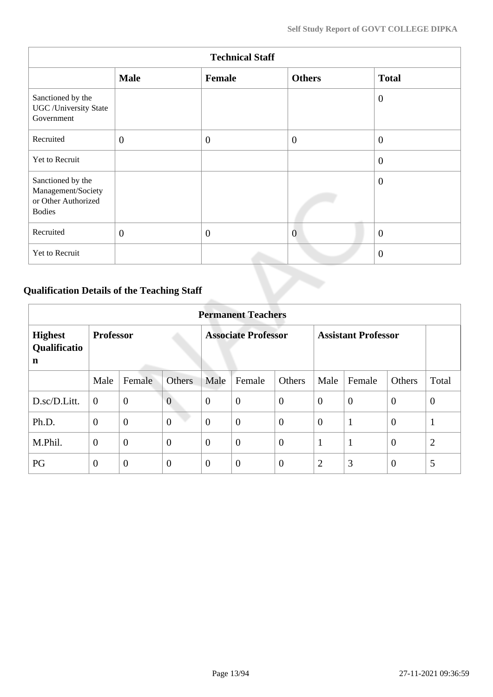| <b>Technical Staff</b>                                                          |              |              |                |                |  |  |  |  |  |
|---------------------------------------------------------------------------------|--------------|--------------|----------------|----------------|--|--|--|--|--|
|                                                                                 | <b>Male</b>  | Female       | <b>Others</b>  | <b>Total</b>   |  |  |  |  |  |
| Sanctioned by the<br><b>UGC</b> /University State<br>Government                 |              |              |                | $\overline{0}$ |  |  |  |  |  |
| Recruited                                                                       | $\mathbf{0}$ | $\mathbf{0}$ | $\overline{0}$ | $\overline{0}$ |  |  |  |  |  |
| Yet to Recruit                                                                  |              |              |                | $\overline{0}$ |  |  |  |  |  |
| Sanctioned by the<br>Management/Society<br>or Other Authorized<br><b>Bodies</b> |              |              |                | $\overline{0}$ |  |  |  |  |  |
| Recruited                                                                       | $\mathbf{0}$ | $\mathbf{0}$ | $\overline{0}$ | $\overline{0}$ |  |  |  |  |  |
| Yet to Recruit                                                                  |              |              |                | $\overline{0}$ |  |  |  |  |  |

# **Qualification Details of the Teaching Staff**

|                                     | <b>Permanent Teachers</b> |                |                  |                            |                  |                |                            |              |                |                |  |  |
|-------------------------------------|---------------------------|----------------|------------------|----------------------------|------------------|----------------|----------------------------|--------------|----------------|----------------|--|--|
| <b>Highest</b><br>Qualificatio<br>n | <b>Professor</b>          |                |                  | <b>Associate Professor</b> |                  |                | <b>Assistant Professor</b> |              |                |                |  |  |
|                                     | Male                      | Female         | <b>Others</b>    | Male                       | Female           | Others         | Male                       | Female       | Others         | Total          |  |  |
| D.sc/D.Litt.                        | $\mathbf{0}$              | $\mathbf{0}$   | $\overline{0}$   | $\overline{0}$             | $\boldsymbol{0}$ | $\mathbf{0}$   | $\overline{0}$             | $\mathbf{0}$ | $\mathbf{0}$   | $\mathbf{0}$   |  |  |
| Ph.D.                               | $\overline{0}$            | $\overline{0}$ | $\overline{0}$   | $\theta$                   | $\overline{0}$   | $\overline{0}$ | $\overline{0}$             | $\mathbf{1}$ | $\theta$       | $\mathbf{1}$   |  |  |
| M.Phil.                             | $\theta$                  | $\mathbf{0}$   | $\overline{0}$   | $\theta$                   | $\overline{0}$   | $\overline{0}$ | $\mathbf{1}$               | $\mathbf{1}$ | $\theta$       | $\overline{2}$ |  |  |
| PG                                  | $\theta$                  | $\theta$       | $\boldsymbol{0}$ | $\overline{0}$             | $\overline{0}$   | $\overline{0}$ | $\overline{2}$             | 3            | $\overline{0}$ | 5              |  |  |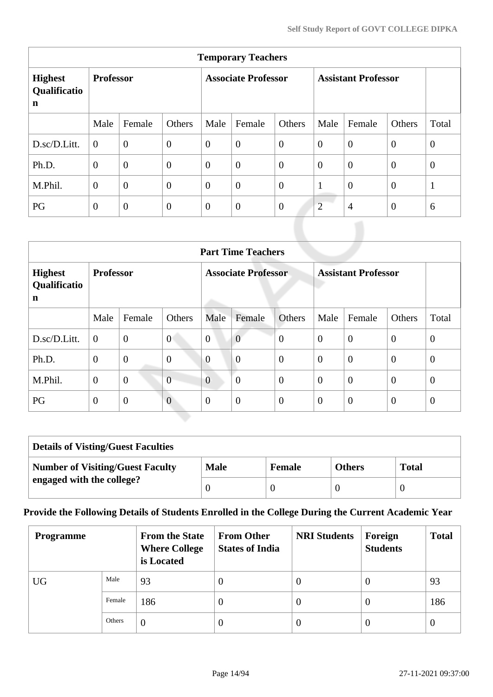|                                     | <b>Temporary Teachers</b> |                |                            |                |                  |                            |                |                |                |                |  |  |
|-------------------------------------|---------------------------|----------------|----------------------------|----------------|------------------|----------------------------|----------------|----------------|----------------|----------------|--|--|
| <b>Highest</b><br>Qualificatio<br>n | <b>Professor</b>          |                | <b>Associate Professor</b> |                |                  | <b>Assistant Professor</b> |                |                |                |                |  |  |
|                                     | Male                      | Female         | Others                     | Male           | Female           | Others                     | Male           | Female         | Others         | Total          |  |  |
| D.sc/D.Litt.                        | $\Omega$                  | $\overline{0}$ | $\overline{0}$             | $\overline{0}$ | $\boldsymbol{0}$ | $\overline{0}$             | $\overline{0}$ | $\overline{0}$ | $\overline{0}$ | $\theta$       |  |  |
| Ph.D.                               | $\theta$                  | $\overline{0}$ | $\theta$                   | $\theta$       | $\overline{0}$   | $\theta$                   | $\mathbf{0}$   | $\theta$       | $\mathbf{0}$   | $\overline{0}$ |  |  |
| M.Phil.                             | $\overline{0}$            | $\overline{0}$ | $\overline{0}$             | $\theta$       | $\overline{0}$   | $\overline{0}$             | 1              | $\overline{0}$ | $\theta$       | 1              |  |  |
| PG                                  | $\overline{0}$            | $\overline{0}$ | $\overline{0}$             | $\overline{0}$ | $\boldsymbol{0}$ | $\overline{0}$             | $\overline{2}$ | $\overline{4}$ | $\overline{0}$ | 6              |  |  |

|                                                         | <b>Part Time Teachers</b> |                |                |                            |                |                |                            |                |                |                |  |  |
|---------------------------------------------------------|---------------------------|----------------|----------------|----------------------------|----------------|----------------|----------------------------|----------------|----------------|----------------|--|--|
| <b>Professor</b><br><b>Highest</b><br>Qualificatio<br>n |                           |                |                | <b>Associate Professor</b> |                |                | <b>Assistant Professor</b> |                |                |                |  |  |
|                                                         | Male                      | Female         | Others         | Male                       | Female         | <b>Others</b>  | Male                       | Female         | Others         | Total          |  |  |
| D.sc/D.Litt.                                            | $\overline{0}$            | $\overline{0}$ | $\overline{0}$ | $\overline{0}$             | $\overline{0}$ | $\overline{0}$ | $\overline{0}$             | $\overline{0}$ | $\overline{0}$ | $\overline{0}$ |  |  |
| Ph.D.                                                   | $\overline{0}$            | $\overline{0}$ | $\overline{0}$ | $\overline{0}$             | $\overline{0}$ | $\overline{0}$ | $\theta$                   | $\overline{0}$ | $\theta$       | $\theta$       |  |  |
| M.Phil.                                                 | $\theta$                  | $\overline{0}$ | $\overline{0}$ | $\overline{0}$             | $\overline{0}$ | $\overline{0}$ | $\theta$                   | $\overline{0}$ | $\overline{0}$ | $\theta$       |  |  |
| PG                                                      | $\overline{0}$            | $\overline{0}$ | $\overline{0}$ | $\Omega$                   | $\overline{0}$ | $\overline{0}$ | $\overline{0}$             | $\overline{0}$ | $\overline{0}$ | $\theta$       |  |  |

| <b>Details of Visting/Guest Faculties</b> |             |               |               |              |  |  |  |
|-------------------------------------------|-------------|---------------|---------------|--------------|--|--|--|
| <b>Number of Visiting/Guest Faculty</b>   | <b>Male</b> | <b>Female</b> | <b>Others</b> | <b>Total</b> |  |  |  |
| engaged with the college?                 |             |               |               |              |  |  |  |

# **Provide the Following Details of Students Enrolled in the College During the Current Academic Year**

| <b>Programme</b> |        | <b>From the State</b><br><b>Where College</b><br>is Located | <b>From Other</b><br><b>States of India</b> | <b>NRI Students</b> | Foreign<br><b>Students</b> | <b>Total</b> |
|------------------|--------|-------------------------------------------------------------|---------------------------------------------|---------------------|----------------------------|--------------|
| <b>UG</b>        | Male   | 93                                                          | $\theta$                                    | v                   | $\theta$                   | 93           |
|                  | Female | 186                                                         | 0                                           | U                   | $\theta$                   | 186          |
|                  | Others | $\theta$                                                    | 0                                           | $\theta$            | $\theta$                   | $\theta$     |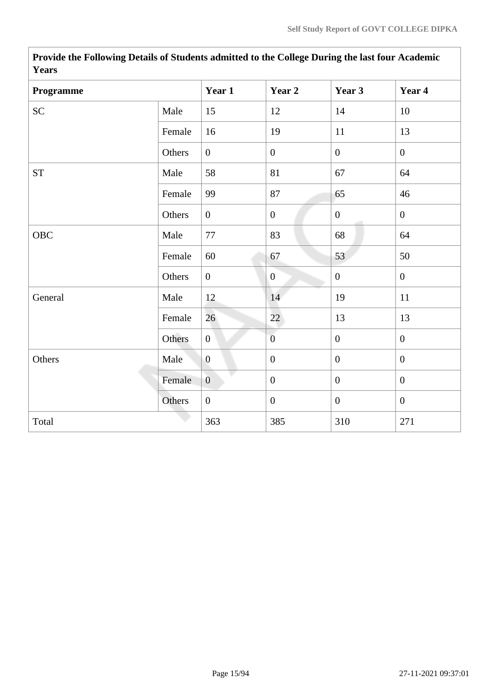| <b>Years</b> |        |                  |                  |                  |                  |
|--------------|--------|------------------|------------------|------------------|------------------|
| Programme    |        | Year 1           | Year 2           | Year 3           | Year 4           |
| <b>SC</b>    | Male   | 15               | 12               | 14               | 10               |
|              | Female | 16               | 19               | 11               | 13               |
|              | Others | $\overline{0}$   | $\boldsymbol{0}$ | $\overline{0}$   | $\overline{0}$   |
| ${\cal ST}$  | Male   | 58               | 81               | 67               | 64               |
|              | Female | 99               | 87               | 65               | 46               |
|              | Others | $\overline{0}$   | $\boldsymbol{0}$ | $\mathbf{0}$     | $\mathbf{0}$     |
| OBC          | Male   | 77               | 83               | 68               | 64               |
|              | Female | 60               | 67               | 53               | 50               |
|              | Others | $\boldsymbol{0}$ | $\mathbf{0}$     | $\boldsymbol{0}$ | $\mathbf{0}$     |
| General      | Male   | 12               | 14               | 19               | 11               |
|              | Female | 26               | 22               | 13               | 13               |
|              | Others | $\overline{0}$   | $\overline{0}$   | $\mathbf{0}$     | $\overline{0}$   |
| Others       | Male   | $\overline{0}$   | $\boldsymbol{0}$ | $\mathbf{0}$     | $\mathbf{0}$     |
|              | Female | $\boldsymbol{0}$ | $\boldsymbol{0}$ | $\boldsymbol{0}$ | $\boldsymbol{0}$ |
|              | Others | $\overline{0}$   | $\boldsymbol{0}$ | $\boldsymbol{0}$ | $\boldsymbol{0}$ |
| Total        |        | 363              | 385              | 310              | 271              |

 **Provide the Following Details of Students admitted to the College During the last four Academic Years**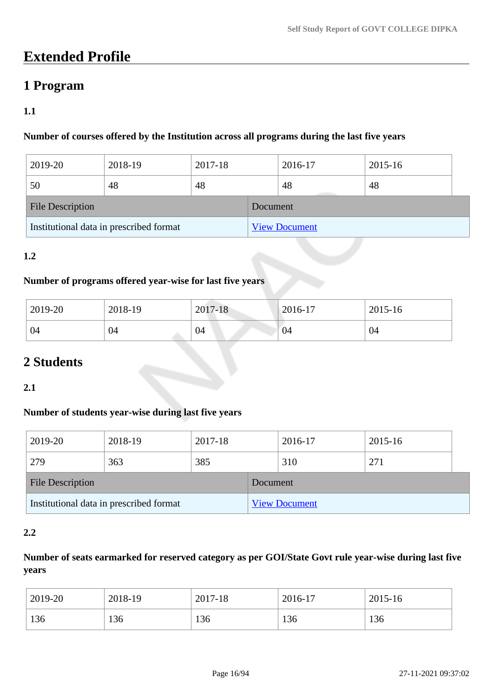# **Extended Profile**

# **1 Program**

# **1.1**

# **Number of courses offered by the Institution across all programs during the last five years**

| 2019-20                                 | 2018-19 | 2017-18 |                      | 2016-17 | 2015-16 |  |  |
|-----------------------------------------|---------|---------|----------------------|---------|---------|--|--|
| 50                                      | 48      | 48      |                      | 48      | 48      |  |  |
| <b>File Description</b>                 |         |         | Document             |         |         |  |  |
| Institutional data in prescribed format |         |         | <b>View Document</b> |         |         |  |  |

### **1.2**

# **Number of programs offered year-wise for last five years**

| 2019-20 | 2018-19 | 2017-18 | $2016 - 17$ | 2015-16 |
|---------|---------|---------|-------------|---------|
| 04      | 04      | 04      | 04          | 04      |

# **2 Students**

### **2.1**

### **Number of students year-wise during last five years**

| 2019-20                 | 2018-19                                 | 2017-18 |          | 2016-17              | 2015-16 |  |
|-------------------------|-----------------------------------------|---------|----------|----------------------|---------|--|
| 279                     | 363                                     | 385     |          | 310                  | 271     |  |
| <b>File Description</b> |                                         |         | Document |                      |         |  |
|                         | Institutional data in prescribed format |         |          | <b>View Document</b> |         |  |

### **2.2**

## **Number of seats earmarked for reserved category as per GOI/State Govt rule year-wise during last five years**

| 2019-20 | 2018-19 | 2017-18 | 2016-17 | 2015-16 |
|---------|---------|---------|---------|---------|
| 136     | 136     | 136     | 136     | 136     |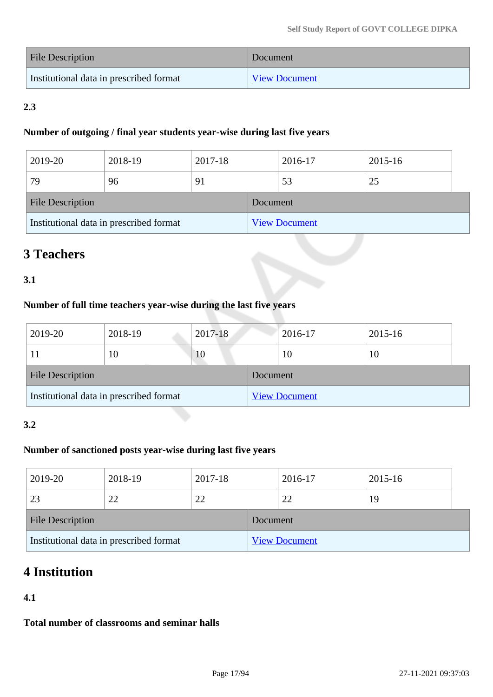| File Description                        | Document             |
|-----------------------------------------|----------------------|
| Institutional data in prescribed format | <b>View Document</b> |

# **2.3**

### **Number of outgoing / final year students year-wise during last five years**

| 2019-20                 | 2018-19                                 | 2017-18 |          | 2016-17              | 2015-16 |  |
|-------------------------|-----------------------------------------|---------|----------|----------------------|---------|--|
| 79                      | 96                                      | 91      |          | 53                   | 25      |  |
| <b>File Description</b> |                                         |         | Document |                      |         |  |
|                         | Institutional data in prescribed format |         |          | <b>View Document</b> |         |  |

# **3 Teachers**

# **3.1**

# **Number of full time teachers year-wise during the last five years**

| 2019-20                 | 2018-19                                 | 2017-18 |          | 2016-17              | 2015-16 |
|-------------------------|-----------------------------------------|---------|----------|----------------------|---------|
|                         | 10                                      | 10      |          | 10                   | 10      |
| <b>File Description</b> |                                         |         | Document |                      |         |
|                         | Institutional data in prescribed format |         |          | <b>View Document</b> |         |

## **3.2**

## **Number of sanctioned posts year-wise during last five years**

| 2019-20          | 2018-19                                 | 2017-18 |          | 2016-17              | 2015-16 |  |
|------------------|-----------------------------------------|---------|----------|----------------------|---------|--|
| 23               | 22                                      | 22      |          | 22                   | 19      |  |
| File Description |                                         |         | Document |                      |         |  |
|                  | Institutional data in prescribed format |         |          | <b>View Document</b> |         |  |

# **4 Institution**

# **4.1**

**Total number of classrooms and seminar halls**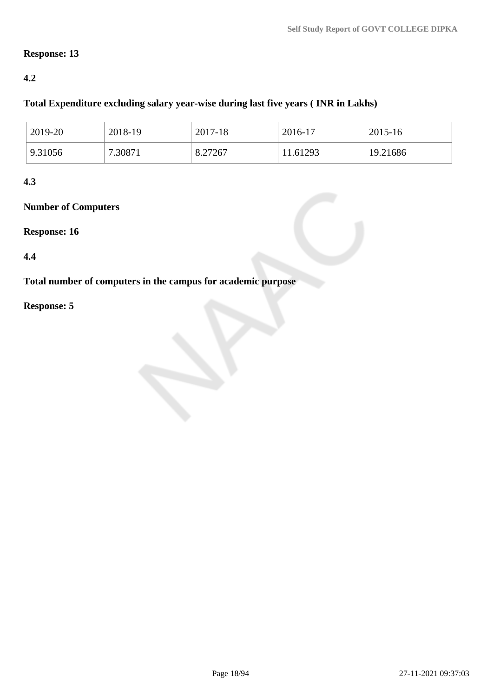### **Response: 13**

### **4.2**

### **Total Expenditure excluding salary year-wise during last five years ( INR in Lakhs)**

| 2019-20 | 2018-19 | 2017-18 | 2016-17  | 2015-16  |
|---------|---------|---------|----------|----------|
| 9.31056 | 7.30871 | 8.27267 | 11.61293 | 19.21686 |

### **4.3**

# **Number of Computers**

### **Response: 16**

### **4.4**

# **Total number of computers in the campus for academic purpose**

# **Response: 5**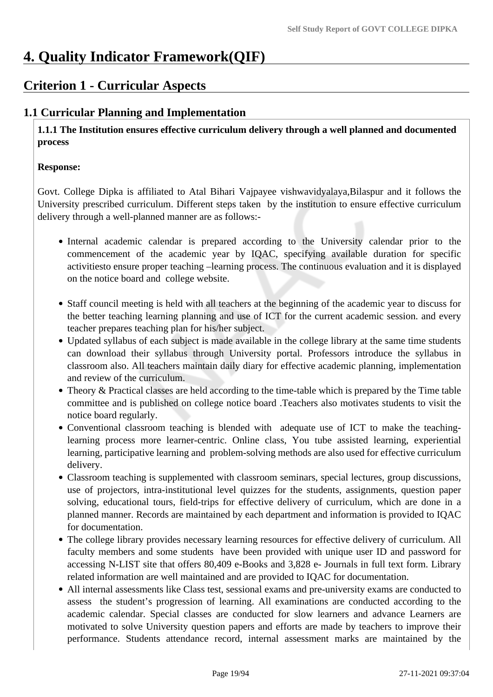# **4. Quality Indicator Framework(QIF)**

# **Criterion 1 - Curricular Aspects**

# **1.1 Curricular Planning and Implementation**

 **1.1.1 The Institution ensures effective curriculum delivery through a well planned and documented process**

### **Response:**

Govt. College Dipka is affiliated to Atal Bihari Vajpayee vishwavidyalaya,Bilaspur and it follows the University prescribed curriculum. Different steps taken by the institution to ensure effective curriculum delivery through a well-planned manner are as follows:-

- Internal academic calendar is prepared according to the University calendar prior to the commencement of the academic year by IQAC, specifying available duration for specific activitiesto ensure proper teaching –learning process. The continuous evaluation and it is displayed on the notice board and college website.
- Staff council meeting is held with all teachers at the beginning of the academic year to discuss for the better teaching learning planning and use of ICT for the current academic session. and every teacher prepares teaching plan for his/her subject.
- Updated syllabus of each subject is made available in the college library at the same time students can download their syllabus through University portal. Professors introduce the syllabus in classroom also. All teachers maintain daily diary for effective academic planning, implementation and review of the curriculum.
- Theory & Practical classes are held according to the time-table which is prepared by the Time table committee and is published on college notice board .Teachers also motivates students to visit the notice board regularly.
- Conventional classroom teaching is blended with adequate use of ICT to make the teachinglearning process more learner-centric. Online class, You tube assisted learning, experiential learning, participative learning and problem-solving methods are also used for effective curriculum delivery.
- Classroom teaching is supplemented with classroom seminars, special lectures, group discussions, use of projectors, intra-institutional level quizzes for the students, assignments, question paper solving, educational tours, field-trips for effective delivery of curriculum, which are done in a planned manner. Records are maintained by each department and information is provided to IQAC for documentation.
- The college library provides necessary learning resources for effective delivery of curriculum. All faculty members and some students have been provided with unique user ID and password for accessing N-LIST site that offers 80,409 e-Books and 3,828 e- Journals in full text form. Library related information are well maintained and are provided to IQAC for documentation.
- All internal assessments like Class test, sessional exams and pre-university exams are conducted to assess the student's progression of learning. All examinations are conducted according to the academic calendar. Special classes are conducted for slow learners and advance Learners are motivated to solve University question papers and efforts are made by teachers to improve their performance. Students attendance record, internal assessment marks are maintained by the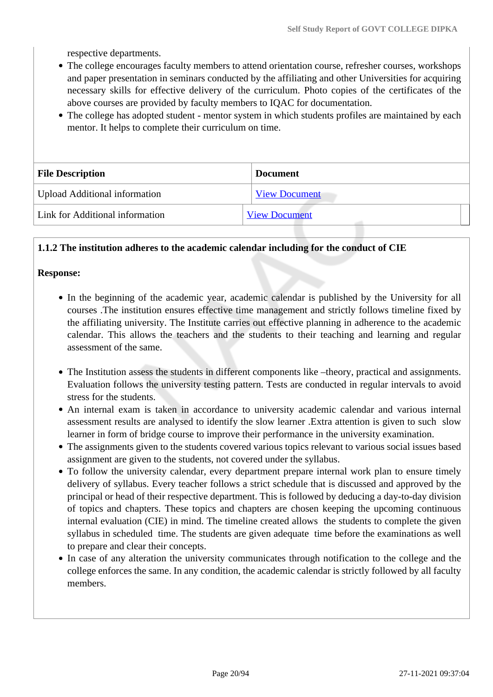respective departments.

- The college encourages faculty members to attend orientation course, refresher courses, workshops and paper presentation in seminars conducted by the affiliating and other Universities for acquiring necessary skills for effective delivery of the curriculum. Photo copies of the certificates of the above courses are provided by faculty members to IQAC for documentation.
- The college has adopted student mentor system in which students profiles are maintained by each mentor. It helps to complete their curriculum on time.

| <b>File Description</b>              | <b>Document</b>      |
|--------------------------------------|----------------------|
| <b>Upload Additional information</b> | <b>View Document</b> |
| Link for Additional information      | <b>View Document</b> |

### **1.1.2 The institution adheres to the academic calendar including for the conduct of CIE**

#### **Response:**

- In the beginning of the academic year, academic calendar is published by the University for all courses .The institution ensures effective time management and strictly follows timeline fixed by the affiliating university. The Institute carries out effective planning in adherence to the academic calendar. This allows the teachers and the students to their teaching and learning and regular assessment of the same.
- The Institution assess the students in different components like –theory, practical and assignments. Evaluation follows the university testing pattern. Tests are conducted in regular intervals to avoid stress for the students.
- An internal exam is taken in accordance to university academic calendar and various internal assessment results are analysed to identify the slow learner .Extra attention is given to such slow learner in form of bridge course to improve their performance in the university examination.
- The assignments given to the students covered various topics relevant to various social issues based assignment are given to the students, not covered under the syllabus.
- To follow the university calendar, every department prepare internal work plan to ensure timely delivery of syllabus. Every teacher follows a strict schedule that is discussed and approved by the principal or head of their respective department. This is followed by deducing a day-to-day division of topics and chapters. These topics and chapters are chosen keeping the upcoming continuous internal evaluation (CIE) in mind. The timeline created allows the students to complete the given syllabus in scheduled time. The students are given adequate time before the examinations as well to prepare and clear their concepts.
- In case of any alteration the university communicates through notification to the college and the college enforces the same. In any condition, the academic calendar is strictly followed by all faculty members.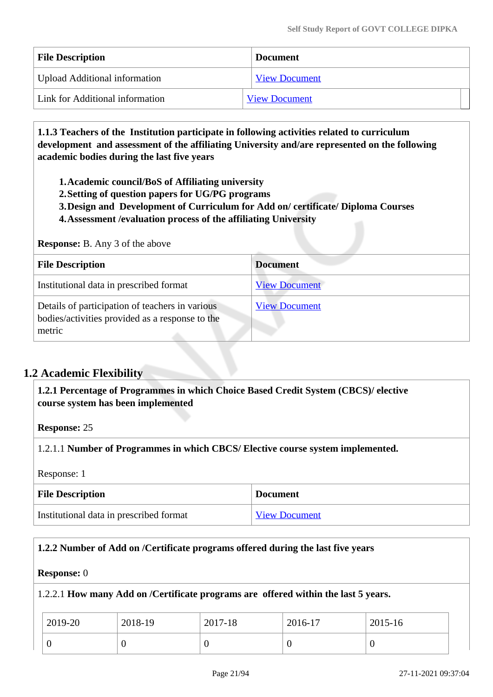| <b>File Description</b>         | <b>Document</b>      |
|---------------------------------|----------------------|
| Upload Additional information   | <b>View Document</b> |
| Link for Additional information | <b>View Document</b> |

 **1.1.3 Teachers of the Institution participate in following activities related to curriculum development and assessment of the affiliating University and/are represented on the following academic bodies during the last five years** 

**1.Academic council/BoS of Affiliating university**

- **2.Setting of question papers for UG/PG programs**
- **3.Design and Development of Curriculum for Add on/ certificate/ Diploma Courses**
- **4.Assessment /evaluation process of the affiliating University**

**Response:** B. Any 3 of the above

| <b>File Description</b>                                                                                      | <b>Document</b>      |
|--------------------------------------------------------------------------------------------------------------|----------------------|
| Institutional data in prescribed format                                                                      | <b>View Document</b> |
| Details of participation of teachers in various<br>bodies/activities provided as a response to the<br>metric | <b>View Document</b> |

# **1.2 Academic Flexibility**

 **1.2.1 Percentage of Programmes in which Choice Based Credit System (CBCS)/ elective course system has been implemented** 

**Response:** 25

1.2.1.1 **Number of Programmes in which CBCS/ Elective course system implemented.**

Response: 1

| <b>File Description</b>                 | <b>Document</b>      |
|-----------------------------------------|----------------------|
| Institutional data in prescribed format | <b>View Document</b> |

### **1.2.2 Number of Add on /Certificate programs offered during the last five years**

#### **Response:** 0

### 1.2.2.1 **How many Add on /Certificate programs are offered within the last 5 years.**

| 2019-20 | 2018-19 | 2017-18 | 2016-17 | 2015-16 |
|---------|---------|---------|---------|---------|
|         |         |         | ν       |         |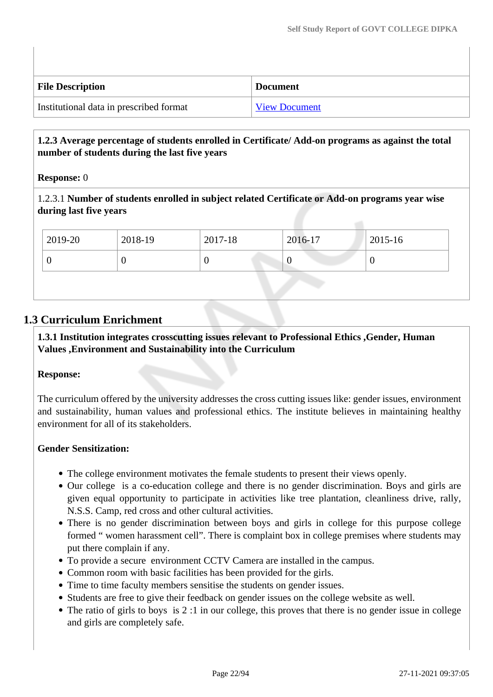| <b>File Description</b>                 | <b>Document</b>      |
|-----------------------------------------|----------------------|
| Institutional data in prescribed format | <b>View Document</b> |

## **1.2.3 Average percentage of students enrolled in Certificate/ Add-on programs as against the total number of students during the last five years**

### **Response:** 0

1.2.3.1 **Number of students enrolled in subject related Certificate or Add-on programs year wise during last five years**

| $12019-20$ | 2018-19 | 2017-18 | 2016-17 | 2015-16 |
|------------|---------|---------|---------|---------|
| ν          |         |         |         |         |

# **1.3 Curriculum Enrichment**

 **1.3.1 Institution integrates crosscutting issues relevant to Professional Ethics ,Gender, Human Values ,Environment and Sustainability into the Curriculum**

### **Response:**

The curriculum offered by the university addresses the cross cutting issues like: gender issues, environment and sustainability, human values and professional ethics. The institute believes in maintaining healthy environment for all of its stakeholders.

## **Gender Sensitization:**

- The college environment motivates the female students to present their views openly.
- Our college is a co-education college and there is no gender discrimination. Boys and girls are given equal opportunity to participate in activities like tree plantation, cleanliness drive, rally, N.S.S. Camp, red cross and other cultural activities.
- There is no gender discrimination between boys and girls in college for this purpose college formed " women harassment cell". There is complaint box in college premises where students may put there complain if any.
- To provide a secure environment CCTV Camera are installed in the campus.
- Common room with basic facilities has been provided for the girls.
- Time to time faculty members sensitise the students on gender issues.
- Students are free to give their feedback on gender issues on the college website as well.
- The ratio of girls to boys is 2 :1 in our college, this proves that there is no gender issue in college and girls are completely safe.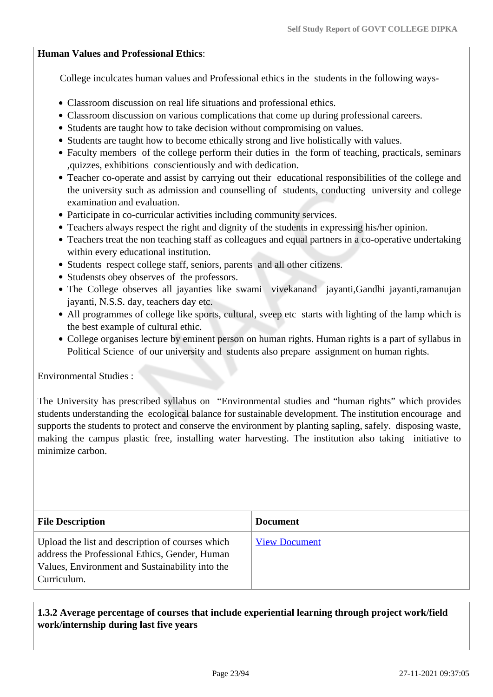#### **Human Values and Professional Ethics**:

College inculcates human values and Professional ethics in the students in the following ways-

- Classroom discussion on real life situations and professional ethics.
- Classroom discussion on various complications that come up during professional careers.
- Students are taught how to take decision without compromising on values.
- Students are taught how to become ethically strong and live holistically with values.
- Faculty members of the college perform their duties in the form of teaching, practicals, seminars ,quizzes, exhibitions conscientiously and with dedication.
- Teacher co-operate and assist by carrying out their educational responsibilities of the college and the university such as admission and counselling of students, conducting university and college examination and evaluation.
- Participate in co-curricular activities including community services.
- Teachers always respect the right and dignity of the students in expressing his/her opinion.
- Teachers treat the non teaching staff as colleagues and equal partners in a co-operative undertaking within every educational institution.
- Students respect college staff, seniors, parents and all other citizens.
- Studensts obey observes of the professors.
- The College observes all jayanties like swami vivekanand jayanti,Gandhi jayanti,ramanujan jayanti, N.S.S. day, teachers day etc.
- All programmes of college like sports, cultural, sveep etc starts with lighting of the lamp which is the best example of cultural ethic.
- College organises lecture by eminent person on human rights. Human rights is a part of syllabus in Political Science of our university and students also prepare assignment on human rights.

Environmental Studies :

The University has prescribed syllabus on "Environmental studies and "human rights" which provides students understanding the ecological balance for sustainable development. The institution encourage and supports the students to protect and conserve the environment by planting sapling, safely. disposing waste, making the campus plastic free, installing water harvesting. The institution also taking initiative to minimize carbon.

| <b>File Description</b>                                                                                                                                              | <b>Document</b>      |
|----------------------------------------------------------------------------------------------------------------------------------------------------------------------|----------------------|
| Upload the list and description of courses which<br>address the Professional Ethics, Gender, Human<br>Values, Environment and Sustainability into the<br>Curriculum. | <b>View Document</b> |

## **1.3.2 Average percentage of courses that include experiential learning through project work/field work/internship during last five years**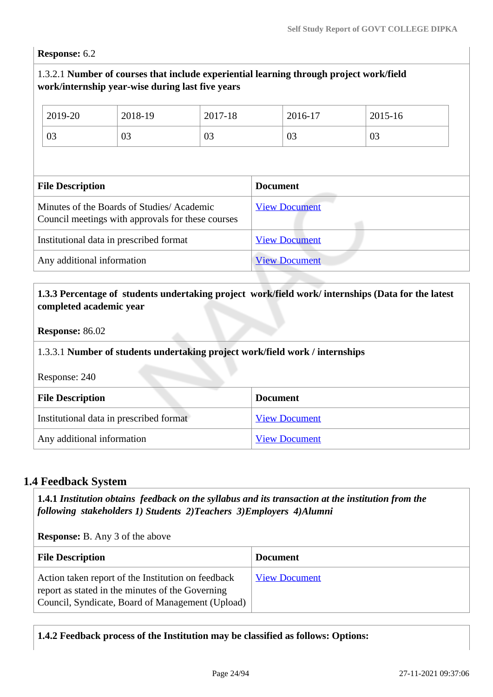**Response:** 6.2

### 1.3.2.1 **Number of courses that include experiential learning through project work/field work/internship year-wise during last five years**

| 2019-20                                                                                        | 2018-19 | 2017-18              | 2016-17         | 2015-16 |
|------------------------------------------------------------------------------------------------|---------|----------------------|-----------------|---------|
| 03                                                                                             | 03      | 03                   | 03              | 03      |
|                                                                                                |         |                      |                 |         |
| <b>File Description</b>                                                                        |         |                      | <b>Document</b> |         |
| Minutes of the Boards of Studies/Academic<br>Council meetings with approvals for these courses |         | <b>View Document</b> |                 |         |
| Institutional data in prescribed format                                                        |         | <b>View Document</b> |                 |         |
| Any additional information                                                                     |         | <b>View Document</b> |                 |         |

### **1.3.3 Percentage of students undertaking project work/field work/ internships (Data for the latest completed academic year**

**Response:** 86.02

#### 1.3.3.1 **Number of students undertaking project work/field work / internships**

Response: 240

| <b>File Description</b>                 | <b>Document</b>      |
|-----------------------------------------|----------------------|
| Institutional data in prescribed format | <b>View Document</b> |
| Any additional information              | <b>View Document</b> |

## **1.4 Feedback System**

 **1.4.1** *Institution obtains feedback on the syllabus and its transaction at the institution from the following stakeholders 1) Students 2)Teachers 3)Employers 4)Alumni* 

**Response:** B. Any 3 of the above

| <b>File Description</b>                                                                                                                                    | <b>Document</b>      |
|------------------------------------------------------------------------------------------------------------------------------------------------------------|----------------------|
| Action taken report of the Institution on feedback<br>report as stated in the minutes of the Governing<br>Council, Syndicate, Board of Management (Upload) | <b>View Document</b> |

**1.4.2 Feedback process of the Institution may be classified as follows: Options:**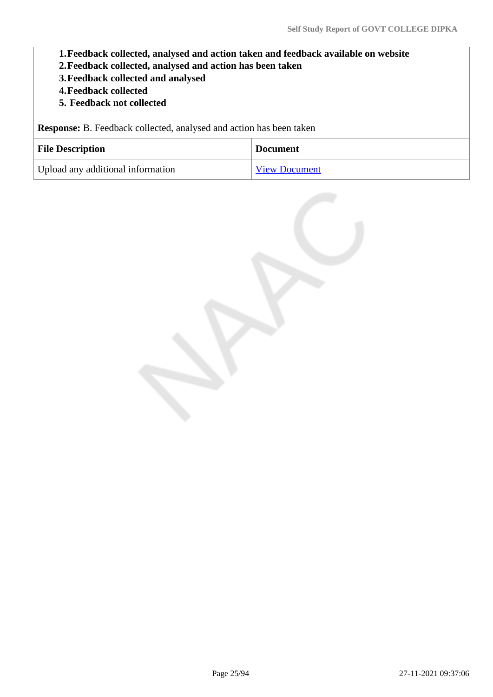- **1.Feedback collected, analysed and action taken and feedback available on website**
- **2.Feedback collected, analysed and action has been taken**
- **3.Feedback collected and analysed**
- **4.Feedback collected**
- **5. Feedback not collected**

**Response:** B. Feedback collected, analysed and action has been taken

| <b>File Description</b>           | <b>Document</b>      |
|-----------------------------------|----------------------|
| Upload any additional information | <b>View Document</b> |

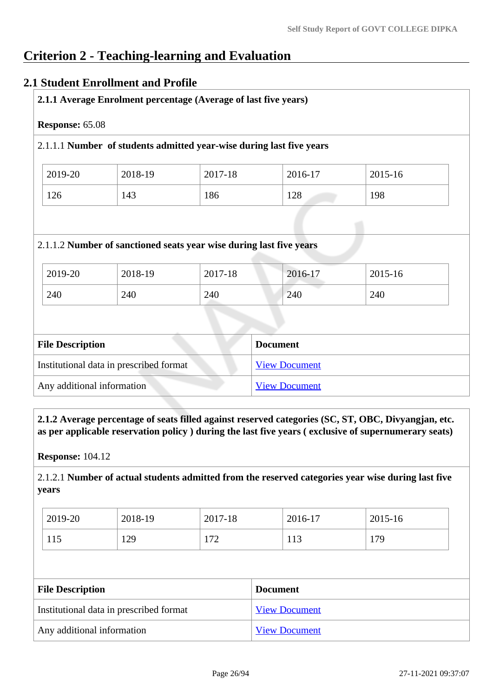# **Criterion 2 - Teaching-learning and Evaluation**

### **2.1 Student Enrollment and Profile**

| 2.1.1 Average Enrolment percentage (Average of last five years) |         |                                                                      |                 |         |
|-----------------------------------------------------------------|---------|----------------------------------------------------------------------|-----------------|---------|
| Response: 65.08                                                 |         |                                                                      |                 |         |
|                                                                 |         | 2.1.1.1 Number of students admitted year-wise during last five years |                 |         |
| 2019-20                                                         | 2018-19 | 2017-18                                                              | 2016-17         | 2015-16 |
| 126                                                             | 143     | 186                                                                  | 128             | 198     |
|                                                                 |         | 2.1.1.2 Number of sanctioned seats year wise during last five years  |                 |         |
| 2019-20                                                         | 2018-19 | 2017-18                                                              | 2016-17         | 2015-16 |
| 240                                                             | 240     | 240                                                                  | 240             | 240     |
|                                                                 |         |                                                                      |                 |         |
| <b>File Description</b>                                         |         |                                                                      | <b>Document</b> |         |

Any additional information [View Document](https://assessmentonline.naac.gov.in/storage/app/hei/SSR/105760/2.1.1_1628678607_5918.pdf)

 **2.1.2 Average percentage of seats filled against reserved categories (SC, ST, OBC, Divyangjan, etc. as per applicable reservation policy ) during the last five years ( exclusive of supernumerary seats)**

**Response:** 104.12

2.1.2.1 **Number of actual students admitted from the reserved categories year wise during last five years**

| 2019-20 | 2018-19 | 2017-18 | 2016-17 | 2015-16 |
|---------|---------|---------|---------|---------|
| 115     | 129     | 172     | 113     | 179     |

| <b>File Description</b>                 | <b>Document</b>      |
|-----------------------------------------|----------------------|
| Institutional data in prescribed format | <b>View Document</b> |
| Any additional information              | <b>View Document</b> |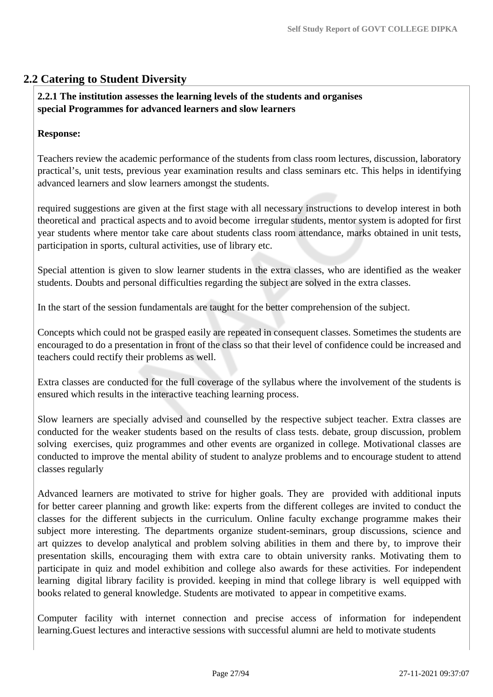# **2.2 Catering to Student Diversity**

### **2.2.1 The institution assesses the learning levels of the students and organises special Programmes for advanced learners and slow learners**

### **Response:**

Teachers review the academic performance of the students from class room lectures, discussion, laboratory practical's, unit tests, previous year examination results and class seminars etc. This helps in identifying advanced learners and slow learners amongst the students.

required suggestions are given at the first stage with all necessary instructions to develop interest in both theoretical and practical aspects and to avoid become irregular students, mentor system is adopted for first year students where mentor take care about students class room attendance, marks obtained in unit tests, participation in sports, cultural activities, use of library etc.

Special attention is given to slow learner students in the extra classes, who are identified as the weaker students. Doubts and personal difficulties regarding the subject are solved in the extra classes.

In the start of the session fundamentals are taught for the better comprehension of the subject.

Concepts which could not be grasped easily are repeated in consequent classes. Sometimes the students are encouraged to do a presentation in front of the class so that their level of confidence could be increased and teachers could rectify their problems as well.

Extra classes are conducted for the full coverage of the syllabus where the involvement of the students is ensured which results in the interactive teaching learning process.

Slow learners are specially advised and counselled by the respective subject teacher. Extra classes are conducted for the weaker students based on the results of class tests. debate, group discussion, problem solving exercises, quiz programmes and other events are organized in college. Motivational classes are conducted to improve the mental ability of student to analyze problems and to encourage student to attend classes regularly

Advanced learners are motivated to strive for higher goals. They are provided with additional inputs for better career planning and growth like: experts from the different colleges are invited to conduct the classes for the different subjects in the curriculum. Online faculty exchange programme makes their subject more interesting. The departments organize student-seminars, group discussions, science and art quizzes to develop analytical and problem solving abilities in them and there by, to improve their presentation skills, encouraging them with extra care to obtain university ranks. Motivating them to participate in quiz and model exhibition and college also awards for these activities. For independent learning digital library facility is provided. keeping in mind that college library is well equipped with books related to general knowledge. Students are motivated to appear in competitive exams.

Computer facility with internet connection and precise access of information for independent learning.Guest lectures and interactive sessions with successful alumni are held to motivate students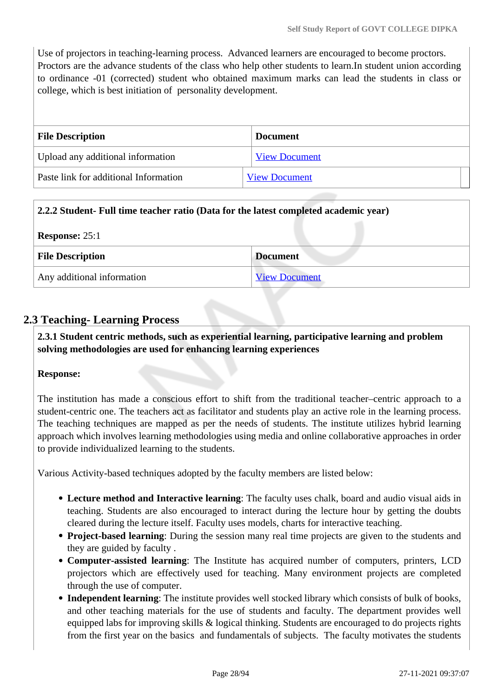Use of projectors in teaching-learning process. Advanced learners are encouraged to become proctors. Proctors are the advance students of the class who help other students to learn.In student union according to ordinance -01 (corrected) student who obtained maximum marks can lead the students in class or college, which is best initiation of personality development.

| <b>File Description</b>               | <b>Document</b>      |
|---------------------------------------|----------------------|
| Upload any additional information     | <b>View Document</b> |
| Paste link for additional Information | <b>View Document</b> |

# **2.2.2 Student- Full time teacher ratio (Data for the latest completed academic year)**

| Response: $25:1$           |                      |
|----------------------------|----------------------|
| <b>File Description</b>    | <b>Document</b>      |
| Any additional information | <b>View Document</b> |

# **2.3 Teaching- Learning Process**

 **2.3.1 Student centric methods, such as experiential learning, participative learning and problem solving methodologies are used for enhancing learning experiences**

### **Response:**

The institution has made a conscious effort to shift from the traditional teacher–centric approach to a student-centric one. The teachers act as facilitator and students play an active role in the learning process. The teaching techniques are mapped as per the needs of students. The institute utilizes hybrid learning approach which involves learning methodologies using media and online collaborative approaches in order to provide individualized learning to the students.

Various Activity-based techniques adopted by the faculty members are listed below:

- **Lecture method and Interactive learning**: The faculty uses chalk, board and audio visual aids in teaching. Students are also encouraged to interact during the lecture hour by getting the doubts cleared during the lecture itself. Faculty uses models, charts for interactive teaching.
- **Project-based learning**: During the session many real time projects are given to the students and they are guided by faculty .
- **Computer-assisted learning**: The Institute has acquired number of computers, printers, LCD projectors which are effectively used for teaching. Many environment projects are completed through the use of computer.
- **Independent learning**: The institute provides well stocked library which consists of bulk of books, and other teaching materials for the use of students and faculty. The department provides well equipped labs for improving skills & logical thinking. Students are encouraged to do projects rights from the first year on the basics and fundamentals of subjects. The faculty motivates the students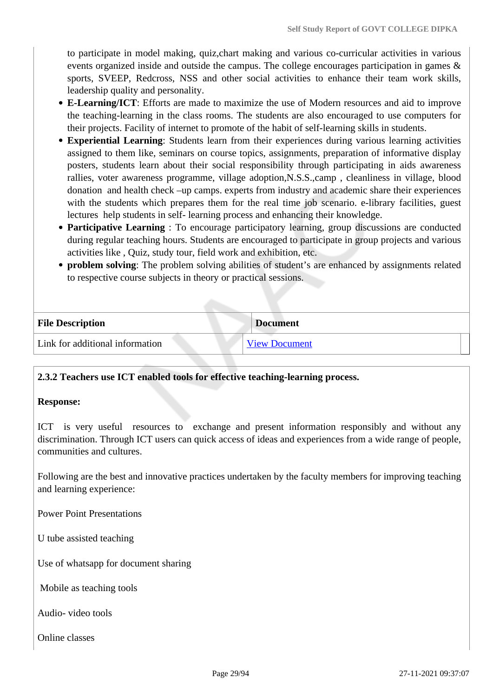to participate in model making, quiz,chart making and various co-curricular activities in various events organized inside and outside the campus. The college encourages participation in games & sports, SVEEP, Redcross, NSS and other social activities to enhance their team work skills, leadership quality and personality.

- **E-Learning/ICT**: Efforts are made to maximize the use of Modern resources and aid to improve the teaching-learning in the class rooms. The students are also encouraged to use computers for their projects. Facility of internet to promote of the habit of self-learning skills in students.
- **Experiential Learning**: Students learn from their experiences during various learning activities assigned to them like, seminars on course topics, assignments, preparation of informative display posters, students learn about their social responsibility through participating in aids awareness rallies, voter awareness programme, village adoption,N.S.S.,camp , cleanliness in village, blood donation and health check –up camps. experts from industry and academic share their experiences with the students which prepares them for the real time job scenario. e-library facilities, guest lectures help students in self- learning process and enhancing their knowledge.
- **Participative Learning** : To encourage participatory learning, group discussions are conducted during regular teaching hours. Students are encouraged to participate in group projects and various activities like , Quiz, study tour, field work and exhibition, etc.
- **problem solving**: The problem solving abilities of student's are enhanced by assignments related to respective course subjects in theory or practical sessions.

| <b>File Description</b><br><b>Document</b> |                      |
|--------------------------------------------|----------------------|
| Link for additional information            | <b>View Document</b> |

#### **2.3.2 Teachers use ICT enabled tools for effective teaching-learning process.**

#### **Response:**

ICT is very useful resources to exchange and present information responsibly and without any discrimination. Through ICT users can quick access of ideas and experiences from a wide range of people, communities and cultures.

Following are the best and innovative practices undertaken by the faculty members for improving teaching and learning experience:

Power Point Presentations

U tube assisted teaching

Use of whatsapp for document sharing

Mobile as teaching tools

Audio- video tools

Online classes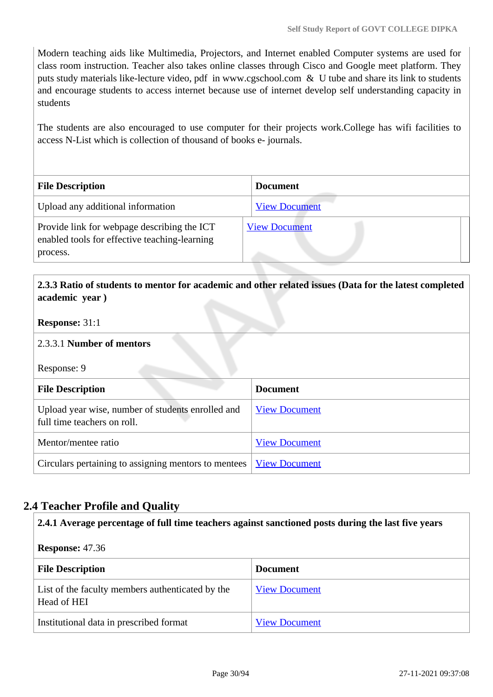Modern teaching aids like Multimedia, Projectors, and Internet enabled Computer systems are used for class room instruction. Teacher also takes online classes through Cisco and Google meet platform. They puts study materials like-lecture video, pdf in www.cgschool.com & U tube and share its link to students and encourage students to access internet because use of internet develop self understanding capacity in students

The students are also encouraged to use computer for their projects work.College has wifi facilities to access N-List which is collection of thousand of books e- journals.

| <b>File Description</b>                                                                      | <b>Document</b>      |
|----------------------------------------------------------------------------------------------|----------------------|
| Upload any additional information                                                            | <b>View Document</b> |
| Provide link for webpage describing the ICT<br>enabled tools for effective teaching-learning | <b>View Document</b> |
| process.                                                                                     |                      |

## **2.3.3 Ratio of students to mentor for academic and other related issues (Data for the latest completed academic year )**

### **Response:** 31:1

### 2.3.3.1 **Number of mentors**

Response: 9

| <b>File Description</b>                                                          | <b>Document</b>      |  |
|----------------------------------------------------------------------------------|----------------------|--|
| Upload year wise, number of students enrolled and<br>full time teachers on roll. | <b>View Document</b> |  |
| Mentor/mentee ratio                                                              | <b>View Document</b> |  |
| Circulars pertaining to assigning mentors to mentees                             | <b>View Document</b> |  |

# **2.4 Teacher Profile and Quality**

#### **2.4.1 Average percentage of full time teachers against sanctioned posts during the last five years**

**Response:** 47.36

| <b>File Description</b>                                         | <b>Document</b>      |
|-----------------------------------------------------------------|----------------------|
| List of the faculty members authenticated by the<br>Head of HEI | <b>View Document</b> |
| Institutional data in prescribed format                         | <b>View Document</b> |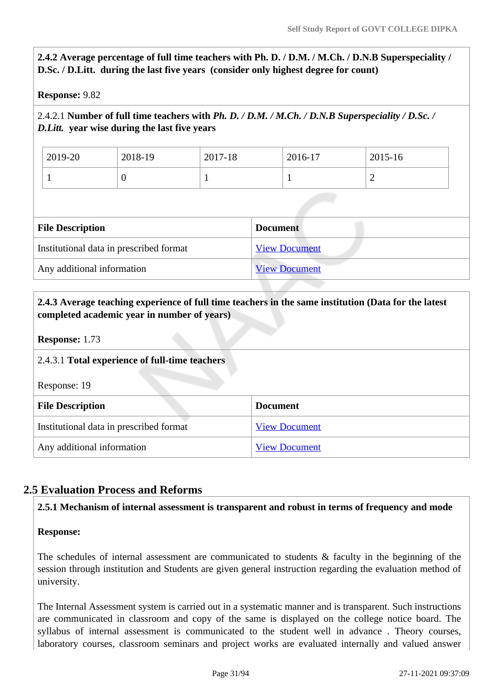**2.4.2 Average percentage of full time teachers with Ph. D. / D.M. / M.Ch. / D.N.B Superspeciality / D.Sc. / D.Litt. during the last five years (consider only highest degree for count)**

**Response:** 9.82

## 2.4.2.1 **Number of full time teachers with** *Ph. D. / D.M. / M.Ch. / D.N.B Superspeciality / D.Sc. / D.Litt.* **year wise during the last five years**

| 2019-20 | 2018-19 | 2017-18 | 2016-17 | 2015-16 |
|---------|---------|---------|---------|---------|
|         |         |         | ÷       | ∽       |

| <b>File Description</b>                 | <b>Document</b>      |
|-----------------------------------------|----------------------|
| Institutional data in prescribed format | <b>View Document</b> |
| Any additional information              | <b>View Document</b> |

# **2.4.3 Average teaching experience of full time teachers in the same institution (Data for the latest completed academic year in number of years)**

**Response:** 1.73

# 2.4.3.1 **Total experience of full-time teachers**

Response: 19

| <b>File Description</b>                 | <b>Document</b>      |
|-----------------------------------------|----------------------|
| Institutional data in prescribed format | <b>View Document</b> |
| Any additional information              | <b>View Document</b> |

# **2.5 Evaluation Process and Reforms**

### **2.5.1 Mechanism of internal assessment is transparent and robust in terms of frequency and mode**

### **Response:**

The schedules of internal assessment are communicated to students & faculty in the beginning of the session through institution and Students are given general instruction regarding the evaluation method of university.

The Internal Assessment system is carried out in a systematic manner and is transparent. Such instructions are communicated in classroom and copy of the same is displayed on the college notice board. The syllabus of internal assessment is communicated to the student well in advance . Theory courses, laboratory courses, classroom seminars and project works are evaluated internally and valued answer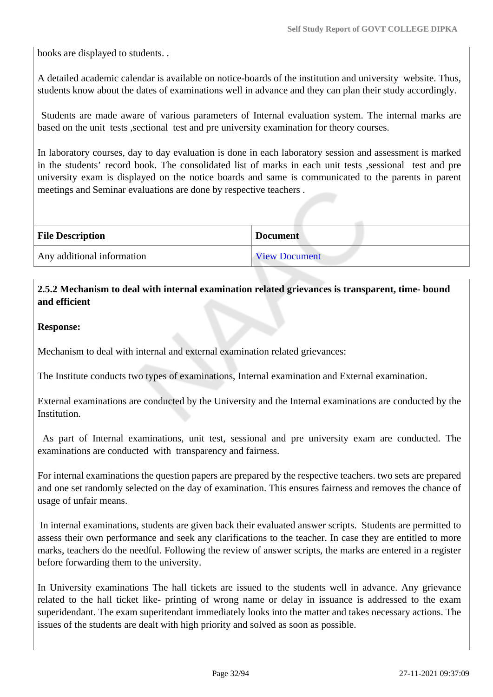books are displayed to students. .

A detailed academic calendar is available on notice-boards of the institution and university website. Thus, students know about the dates of examinations well in advance and they can plan their study accordingly.

 Students are made aware of various parameters of Internal evaluation system. The internal marks are based on the unit tests ,sectional test and pre university examination for theory courses.

In laboratory courses, day to day evaluation is done in each laboratory session and assessment is marked in the students' record book. The consolidated list of marks in each unit tests ,sessional test and pre university exam is displayed on the notice boards and same is communicated to the parents in parent meetings and Seminar evaluations are done by respective teachers .

| <b>File Description</b>    | <b>Document</b>      |  |
|----------------------------|----------------------|--|
| Any additional information | <b>View Document</b> |  |

### **2.5.2 Mechanism to deal with internal examination related grievances is transparent, time- bound and efficient**

### **Response:**

Mechanism to deal with internal and external examination related grievances:

The Institute conducts two types of examinations, Internal examination and External examination.

External examinations are conducted by the University and the Internal examinations are conducted by the Institution.

 As part of Internal examinations, unit test, sessional and pre university exam are conducted. The examinations are conducted with transparency and fairness.

For internal examinations the question papers are prepared by the respective teachers. two sets are prepared and one set randomly selected on the day of examination. This ensures fairness and removes the chance of usage of unfair means.

 In internal examinations, students are given back their evaluated answer scripts. Students are permitted to assess their own performance and seek any clarifications to the teacher. In case they are entitled to more marks, teachers do the needful. Following the review of answer scripts, the marks are entered in a register before forwarding them to the university.

In University examinations The hall tickets are issued to the students well in advance. Any grievance related to the hall ticket like- printing of wrong name or delay in issuance is addressed to the exam superidendant. The exam superitendant immediately looks into the matter and takes necessary actions. The issues of the students are dealt with high priority and solved as soon as possible.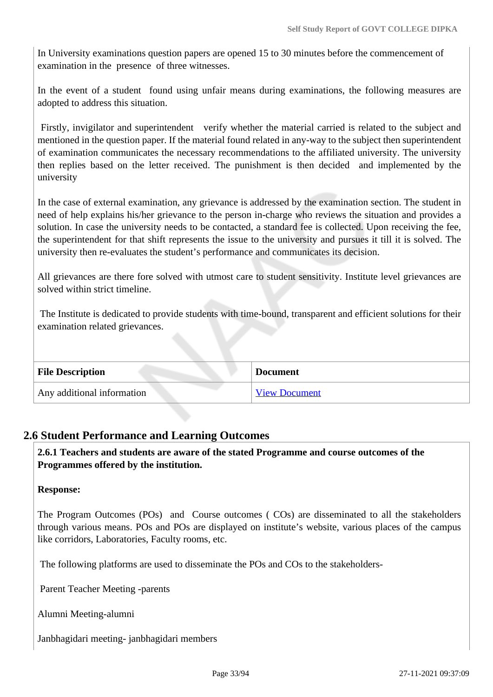In University examinations question papers are opened 15 to 30 minutes before the commencement of examination in the presence of three witnesses.

In the event of a student found using unfair means during examinations, the following measures are adopted to address this situation.

 Firstly, invigilator and superintendent verify whether the material carried is related to the subject and mentioned in the question paper. If the material found related in any-way to the subject then superintendent of examination communicates the necessary recommendations to the affiliated university. The university then replies based on the letter received. The punishment is then decided and implemented by the university

In the case of external examination, any grievance is addressed by the examination section. The student in need of help explains his/her grievance to the person in-charge who reviews the situation and provides a solution. In case the university needs to be contacted, a standard fee is collected. Upon receiving the fee, the superintendent for that shift represents the issue to the university and pursues it till it is solved. The university then re-evaluates the student's performance and communicates its decision.

All grievances are there fore solved with utmost care to student sensitivity. Institute level grievances are solved within strict timeline.

 The Institute is dedicated to provide students with time-bound, transparent and efficient solutions for their examination related grievances.

| <b>File Description</b>    | <b>Document</b>      |
|----------------------------|----------------------|
| Any additional information | <b>View Document</b> |

## **2.6 Student Performance and Learning Outcomes**

 **2.6.1 Teachers and students are aware of the stated Programme and course outcomes of the Programmes offered by the institution.**

### **Response:**

The Program Outcomes (POs) and Course outcomes ( COs) are disseminated to all the stakeholders through various means. POs and POs are displayed on institute's website, various places of the campus like corridors, Laboratories, Faculty rooms, etc.

The following platforms are used to disseminate the POs and COs to the stakeholders-

Parent Teacher Meeting -parents

Alumni Meeting-alumni

Janbhagidari meeting- janbhagidari members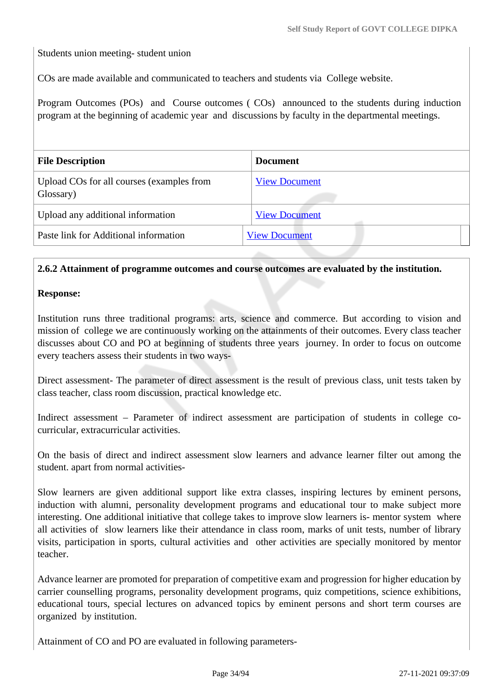Students union meeting- student union

COs are made available and communicated to teachers and students via College website.

Program Outcomes (POs) and Course outcomes ( COs) announced to the students during induction program at the beginning of academic year and discussions by faculty in the departmental meetings.

| <b>File Description</b>                                | <b>Document</b>      |
|--------------------------------------------------------|----------------------|
| Upload COs for all courses (examples from<br>Glossary) | <b>View Document</b> |
| Upload any additional information                      | <b>View Document</b> |
| Paste link for Additional information                  | <b>View Document</b> |
|                                                        |                      |

### **2.6.2 Attainment of programme outcomes and course outcomes are evaluated by the institution.**

### **Response:**

Institution runs three traditional programs: arts, science and commerce. But according to vision and mission of college we are continuously working on the attainments of their outcomes. Every class teacher discusses about CO and PO at beginning of students three years journey. In order to focus on outcome every teachers assess their students in two ways-

Direct assessment- The parameter of direct assessment is the result of previous class, unit tests taken by class teacher, class room discussion, practical knowledge etc.

Indirect assessment – Parameter of indirect assessment are participation of students in college cocurricular, extracurricular activities.

On the basis of direct and indirect assessment slow learners and advance learner filter out among the student. apart from normal activities-

Slow learners are given additional support like extra classes, inspiring lectures by eminent persons, induction with alumni, personality development programs and educational tour to make subject more interesting. One additional initiative that college takes to improve slow learners is- mentor system where all activities of slow learners like their attendance in class room, marks of unit tests, number of library visits, participation in sports, cultural activities and other activities are specially monitored by mentor teacher.

Advance learner are promoted for preparation of competitive exam and progression for higher education by carrier counselling programs, personality development programs, quiz competitions, science exhibitions, educational tours, special lectures on advanced topics by eminent persons and short term courses are organized by institution.

Attainment of CO and PO are evaluated in following parameters-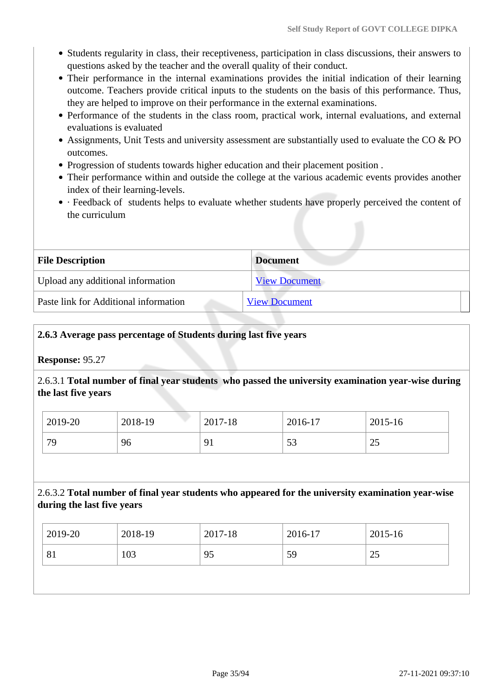- Students regularity in class, their receptiveness, participation in class discussions, their answers to questions asked by the teacher and the overall quality of their conduct.
- Their performance in the internal examinations provides the initial indication of their learning outcome. Teachers provide critical inputs to the students on the basis of this performance. Thus, they are helped to improve on their performance in the external examinations.
- Performance of the students in the class room, practical work, internal evaluations, and external evaluations is evaluated
- Assignments, Unit Tests and university assessment are substantially used to evaluate the CO & PO outcomes.
- Progression of students towards higher education and their placement position .
- Their performance within and outside the college at the various academic events provides another index of their learning-levels.
- · Feedback of students helps to evaluate whether students have properly perceived the content of the curriculum

| <b>File Description</b>               | <b>Document</b>      |  |
|---------------------------------------|----------------------|--|
| Upload any additional information     | <b>View Document</b> |  |
| Paste link for Additional information | <b>View Document</b> |  |

### **2.6.3 Average pass percentage of Students during last five years**

**Response:** 95.27

2.6.3.1 **Total number of final year students who passed the university examination year-wise during the last five years**

| 2019-20 | 2018-19 | 2017-18 | 2016-17          | 2015-16 |
|---------|---------|---------|------------------|---------|
| 79      | 96      | 91      | $\epsilon$<br>33 | رے      |

## 2.6.3.2 **Total number of final year students who appeared for the university examination year-wise during the last five years**

| 2019-20 | 2018-19 | 2017-18 | 2016-17 | 2015-16         |
|---------|---------|---------|---------|-----------------|
| 81      | 103     | 95      | 59      | $\bigcap$<br>رے |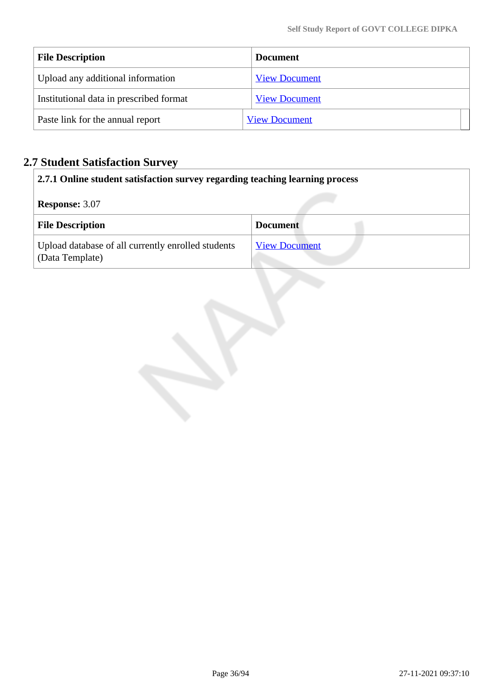| <b>File Description</b>                 | <b>Document</b>      |
|-----------------------------------------|----------------------|
| Upload any additional information       | <b>View Document</b> |
| Institutional data in prescribed format | <b>View Document</b> |
| Paste link for the annual report        | <b>View Document</b> |

# **2.7 Student Satisfaction Survey**

| 2.7.1 Online student satisfaction survey regarding teaching learning process |                      |  |  |  |
|------------------------------------------------------------------------------|----------------------|--|--|--|
| <b>Response: 3.07</b>                                                        |                      |  |  |  |
| <b>File Description</b>                                                      | <b>Document</b>      |  |  |  |
| Upload database of all currently enrolled students<br>(Data Template)        | <b>View Document</b> |  |  |  |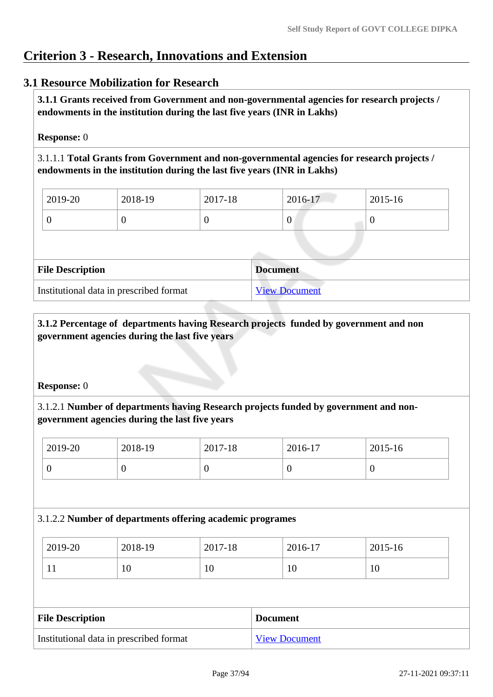# **Criterion 3 - Research, Innovations and Extension**

# **3.1 Resource Mobilization for Research**

 **3.1.1 Grants received from Government and non-governmental agencies for research projects / endowments in the institution during the last five years (INR in Lakhs)** 

### **Response:** 0

3.1.1.1 **Total Grants from Government and non-governmental agencies for research projects / endowments in the institution during the last five years (INR in Lakhs)**

| $\frac{1}{2019}$ -20 | 2018-19 | 2017-18 | 2016-17 | $ 2015-16 $ |
|----------------------|---------|---------|---------|-------------|
|                      | ν       |         | υ       |             |

| <b>File Description</b>                 | Document             |
|-----------------------------------------|----------------------|
| Institutional data in prescribed format | <b>View Document</b> |

### **3.1.2 Percentage of departments having Research projects funded by government and non government agencies during the last five years**

### **Response:** 0

# 3.1.2.1 **Number of departments having Research projects funded by government and nongovernment agencies during the last five years**

| 2019-20 | 2018-19 | 2017-18 | 2016-17 | $2015 - 16$ |
|---------|---------|---------|---------|-------------|
|         | ν       |         |         | v           |

### 3.1.2.2 **Number of departments offering academic programes**

| 2019-20 | 2018-19 | 2017-18 | 2016-17 | 2015-16 |
|---------|---------|---------|---------|---------|
| 1 T     | 1V.     | 1 V     | 10      | 10      |

| <b>File Description</b>                 | <b>Document</b>      |
|-----------------------------------------|----------------------|
| Institutional data in prescribed format | <b>View Document</b> |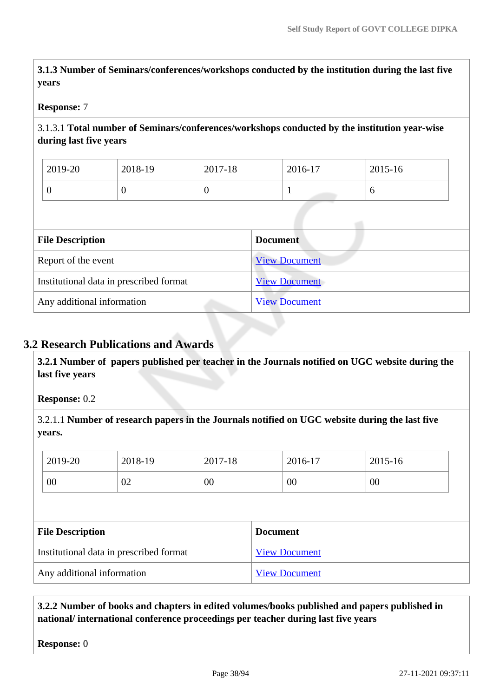**3.1.3 Number of Seminars/conferences/workshops conducted by the institution during the last five years**

### **Response:** 7

### 3.1.3.1 **Total number of Seminars/conferences/workshops conducted by the institution year-wise during last five years**

| 2019-20 | 2018-19 | 2017-18 | 2016-17 | $2015 - 16$ |
|---------|---------|---------|---------|-------------|
| ν       |         | U       |         | v           |

| <b>File Description</b>                 | <b>Document</b>      |
|-----------------------------------------|----------------------|
| Report of the event                     | <b>View Document</b> |
| Institutional data in prescribed format | <b>View Document</b> |
| Any additional information              | <b>View Document</b> |

# **3.2 Research Publications and Awards**

 **3.2.1 Number of papers published per teacher in the Journals notified on UGC website during the last five years** 

**Response:** 0.2

3.2.1.1 **Number of research papers in the Journals notified on UGC website during the last five years.**

|                         | 2019-20                                 | 2018-19 | 2017-18 |                 | 2016-17              | 2015-16 |
|-------------------------|-----------------------------------------|---------|---------|-----------------|----------------------|---------|
|                         | 00                                      | 02      | 00      |                 | 00                   | 00      |
|                         |                                         |         |         |                 |                      |         |
| <b>File Description</b> |                                         |         |         |                 |                      |         |
|                         |                                         |         |         | <b>Document</b> |                      |         |
|                         | Institutional data in prescribed format |         |         |                 | <b>View Document</b> |         |

### **3.2.2 Number of books and chapters in edited volumes/books published and papers published in national/ international conference proceedings per teacher during last five years**

**Response:** 0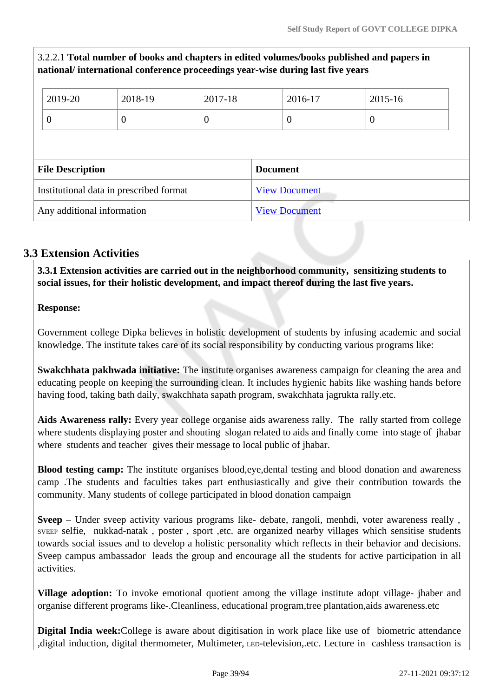# 3.2.2.1 **Total number of books and chapters in edited volumes/books published and papers in national/ international conference proceedings year-wise during last five years**

| 2019-20                 | 2018-19                                 | 2017-18  | 2016-17              | 2015-16          |  |  |
|-------------------------|-----------------------------------------|----------|----------------------|------------------|--|--|
| $\theta$                | $\boldsymbol{0}$                        | $\theta$ | $\boldsymbol{0}$     | $\boldsymbol{0}$ |  |  |
|                         |                                         |          |                      |                  |  |  |
|                         |                                         |          |                      |                  |  |  |
| <b>File Description</b> |                                         |          | <b>Document</b>      |                  |  |  |
|                         | Institutional data in prescribed format |          | <b>View Document</b> |                  |  |  |

# **3.3 Extension Activities**

 **3.3.1 Extension activities are carried out in the neighborhood community, sensitizing students to social issues, for their holistic development, and impact thereof during the last five years.**

### **Response:**

Government college Dipka believes in holistic development of students by infusing academic and social knowledge. The institute takes care of its social responsibility by conducting various programs like:

**Swakchhata pakhwada initiative:** The institute organises awareness campaign for cleaning the area and educating people on keeping the surrounding clean. It includes hygienic habits like washing hands before having food, taking bath daily, swakchhata sapath program, swakchhata jagrukta rally.etc.

**Aids Awareness rally:** Every year college organise aids awareness rally. The rally started from college where students displaying poster and shouting slogan related to aids and finally come into stage of jhabar where students and teacher gives their message to local public of jhabar.

**Blood testing camp:** The institute organises blood,eye,dental testing and blood donation and awareness camp .The students and faculties takes part enthusiastically and give their contribution towards the community. Many students of college participated in blood donation campaign

**Sveep** – Under sveep activity various programs like- debate, rangoli, menhdi, voter awareness really , SVEEP selfie, nukkad-natak , poster , sport ,etc. are organized nearby villages which sensitise students towards social issues and to develop a holistic personality which reflects in their behavior and decisions. Sveep campus ambassador leads the group and encourage all the students for active participation in all activities.

**Village adoption:** To invoke emotional quotient among the village institute adopt village- jhaber and organise different programs like-.Cleanliness, educational program,tree plantation,aids awareness.etc

**Digital India week:**College is aware about digitisation in work place like use of biometric attendance ,digital induction, digital thermometer, Multimeter, LED-television,.etc. Lecture in cashless transaction is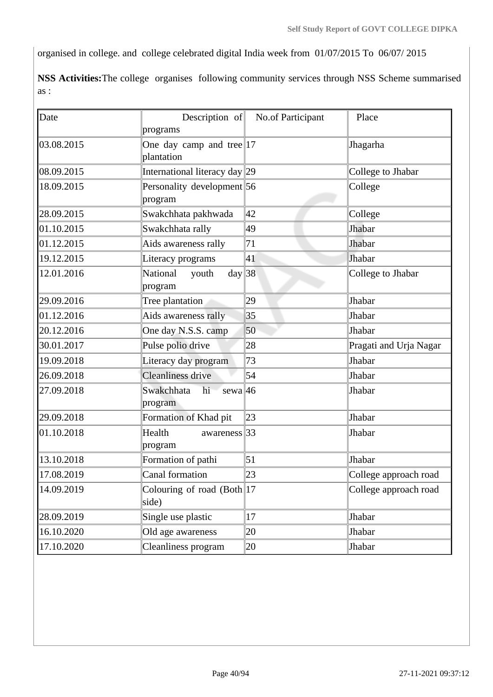organised in college. and college celebrated digital India week from 01/07/2015 To 06/07/ 2015

**NSS Activities:**The college organises following community services through NSS Scheme summarised as :

| Date       | Description of<br>programs                   | No.of Participant | Place                  |
|------------|----------------------------------------------|-------------------|------------------------|
| 03.08.2015 | One day camp and tree $ 17 $<br>plantation   |                   | Jhagarha               |
| 08.09.2015 | International literacy day 29                |                   | College to Jhabar      |
| 18.09.2015 | Personality development 56<br>program        |                   | College                |
| 28.09.2015 | Swakchhata pakhwada                          | 42                | College                |
| 01.10.2015 | Swakchhata rally                             | 49                | Jhabar                 |
| 01.12.2015 | Aids awareness rally                         | 71                | Jhabar                 |
| 19.12.2015 | Literacy programs                            | 41                | Jhabar                 |
| 12.01.2016 | day 38<br>National<br>youth<br>program       |                   | College to Jhabar      |
| 29.09.2016 | Tree plantation                              | 29                | Jhabar                 |
| 01.12.2016 | Aids awareness rally                         | 35                | Jhabar                 |
| 20.12.2016 | One day N.S.S. camp                          | 50                | Jhabar                 |
| 30.01.2017 | Pulse polio drive                            | 28                | Pragati and Urja Nagar |
| 19.09.2018 | Literacy day program                         | 73                | Jhabar                 |
| 26.09.2018 | <b>Cleanliness drive</b>                     | 54                | Jhabar                 |
| 27.09.2018 | sewa $ 46$<br>Swakchhata<br>hi<br>program    |                   | Jhabar                 |
| 29.09.2018 | Formation of Khad pit                        | 23                | Jhabar                 |
| 01.10.2018 | Health<br>awareness <sup>33</sup><br>program |                   | Jhabar                 |
| 13.10.2018 | Formation of pathi                           | 51                | Jhabar                 |
| 17.08.2019 | Canal formation                              | 23                | College approach road  |
| 14.09.2019 | Colouring of road (Both 17<br>side)          |                   | College approach road  |
| 28.09.2019 | Single use plastic                           | 17                | Jhabar                 |
| 16.10.2020 | Old age awareness                            | 20                | Jhabar                 |
| 17.10.2020 | Cleanliness program                          | 20                | Jhabar                 |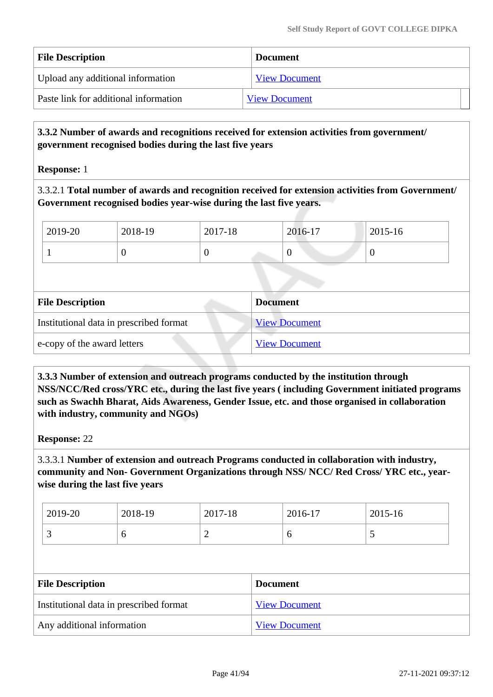| <b>File Description</b>               | <b>Document</b>      |
|---------------------------------------|----------------------|
| Upload any additional information     | <b>View Document</b> |
| Paste link for additional information | <b>View Document</b> |

### **3.3.2 Number of awards and recognitions received for extension activities from government/ government recognised bodies during the last five years**

**Response:** 1

3.3.2.1 **Total number of awards and recognition received for extension activities from Government/ Government recognised bodies year-wise during the last five years.**

| 2019-20 | 2018-19 | 2017-18 | 2016-17 | 2015-16 |
|---------|---------|---------|---------|---------|
|         |         |         | ν       | ν       |

| <b>File Description</b>                 | <b>Document</b>      |
|-----------------------------------------|----------------------|
| Institutional data in prescribed format | <b>View Document</b> |
| e-copy of the award letters             | <b>View Document</b> |

 **3.3.3 Number of extension and outreach programs conducted by the institution through NSS/NCC/Red cross/YRC etc., during the last five years ( including Government initiated programs such as Swachh Bharat, Aids Awareness, Gender Issue, etc. and those organised in collaboration with industry, community and NGOs)**

**Response:** 22

3.3.3.1 **Number of extension and outreach Programs conducted in collaboration with industry, community and Non- Government Organizations through NSS/ NCC/ Red Cross/ YRC etc., yearwise during the last five years**

| 2019-20 | 2018-19 | 2017-18 | 2016-17 | 2015-16 |
|---------|---------|---------|---------|---------|
|         |         | -       | ິ       | ັ       |

| <b>File Description</b>                 | <b>Document</b>      |
|-----------------------------------------|----------------------|
| Institutional data in prescribed format | <b>View Document</b> |
| Any additional information              | <b>View Document</b> |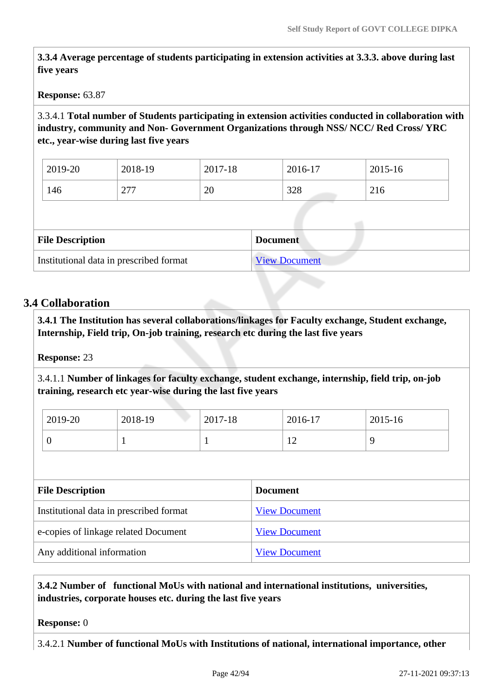**3.3.4 Average percentage of students participating in extension activities at 3.3.3. above during last five years**

**Response:** 63.87

3.3.4.1 **Total number of Students participating in extension activities conducted in collaboration with industry, community and Non- Government Organizations through NSS/ NCC/ Red Cross/ YRC etc., year-wise during last five years**

| 2019-20 | 2018-19    | 2017-18 | 2016-17    | 2015-16 |
|---------|------------|---------|------------|---------|
| 146     | 277<br>211 | 20      | 200<br>520 | 216     |

| <b>File Description</b>                 | <b>Document</b>      |
|-----------------------------------------|----------------------|
| Institutional data in prescribed format | <b>View Document</b> |

### **3.4 Collaboration**

 **3.4.1 The Institution has several collaborations/linkages for Faculty exchange, Student exchange, Internship, Field trip, On-job training, research etc during the last five years** 

**Response:** 23

3.4.1.1 **Number of linkages for faculty exchange, student exchange, internship, field trip, on-job training, research etc year-wise during the last five years**

| 2019-20 | 2018-19 | 2017-18  | 2016-17        | 2015-16 |
|---------|---------|----------|----------------|---------|
|         |         | <b>.</b> | $\overline{1}$ |         |

| <b>File Description</b>                 | <b>Document</b>      |
|-----------------------------------------|----------------------|
| Institutional data in prescribed format | <b>View Document</b> |
| e-copies of linkage related Document    | <b>View Document</b> |
| Any additional information              | <b>View Document</b> |

### **3.4.2 Number of functional MoUs with national and international institutions, universities, industries, corporate houses etc. during the last five years**

#### **Response:** 0

3.4.2.1 **Number of functional MoUs with Institutions of national, international importance, other**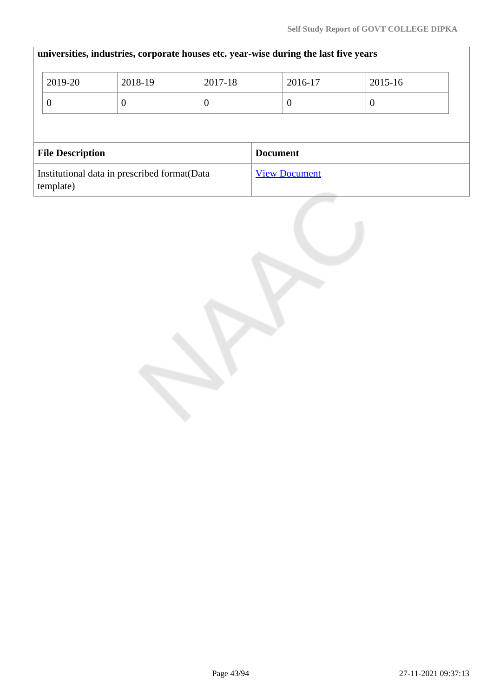$\begin{array}{c} \hline \end{array}$ 

|                         | 2019-20<br>$\overline{0}$                                  | 2018-19<br>0 | 2017-18<br>$\overline{0}$ | 2016-17<br>$\theta$ | 2015-16<br>$\overline{0}$ |  |
|-------------------------|------------------------------------------------------------|--------------|---------------------------|---------------------|---------------------------|--|
| <b>File Description</b> |                                                            |              | <b>Document</b>           |                     |                           |  |
|                         | Institutional data in prescribed format (Data<br>template) |              | <b>View Document</b>      |                     |                           |  |

# **universities, industries, corporate houses etc. year-wise during the last five years**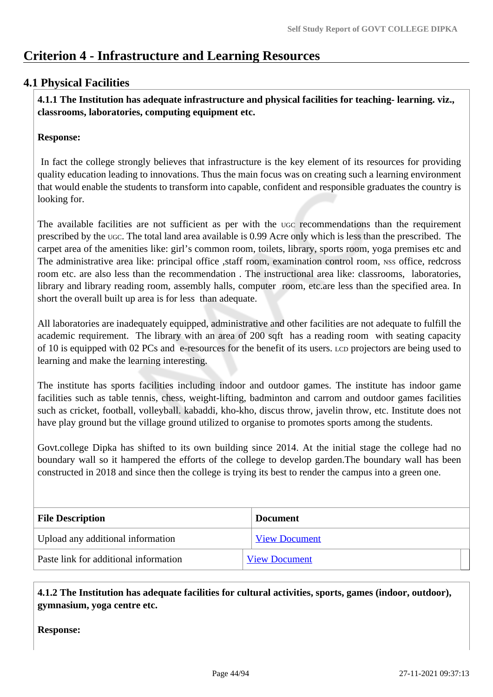# **Criterion 4 - Infrastructure and Learning Resources**

# **4.1 Physical Facilities**

 **4.1.1 The Institution has adequate infrastructure and physical facilities for teaching- learning. viz., classrooms, laboratories, computing equipment etc.** 

### **Response:**

 In fact the college strongly believes that infrastructure is the key element of its resources for providing quality education leading to innovations. Thus the main focus was on creating such a learning environment that would enable the students to transform into capable, confident and responsible graduates the country is looking for.

The available facilities are not sufficient as per with the UGC recommendations than the requirement prescribed by the UGC. The total land area available is 0.99 Acre only which is less than the prescribed. The carpet area of the amenities like: girl's common room, toilets, library, sports room, yoga premises etc and The administrative area like: principal office , staff room, examination control room, NSS office, redcross room etc. are also less than the recommendation . The instructional area like: classrooms, laboratories, library and library reading room, assembly halls, computer room, etc.are less than the specified area. In short the overall built up area is for less than adequate.

All laboratories are inadequately equipped, administrative and other facilities are not adequate to fulfill the academic requirement. The library with an area of 200 sqft has a reading room with seating capacity of 10 is equipped with 02 PCs and e-resources for the benefit of its users. LCD projectors are being used to learning and make the learning interesting.

The institute has sports facilities including indoor and outdoor games. The institute has indoor game facilities such as table tennis, chess, weight-lifting, badminton and carrom and outdoor games facilities such as cricket, football, volleyball. kabaddi, kho-kho, discus throw, javelin throw, etc. Institute does not have play ground but the village ground utilized to organise to promotes sports among the students.

Govt.college Dipka has shifted to its own building since 2014. At the initial stage the college had no boundary wall so it hampered the efforts of the college to develop garden.The boundary wall has been constructed in 2018 and since then the college is trying its best to render the campus into a green one.

| <b>File Description</b>               | <b>Document</b>      |
|---------------------------------------|----------------------|
| Upload any additional information     | <b>View Document</b> |
| Paste link for additional information | <b>View Document</b> |

 **4.1.2 The Institution has adequate facilities for cultural activities, sports, games (indoor, outdoor), gymnasium, yoga centre etc.** 

**Response:**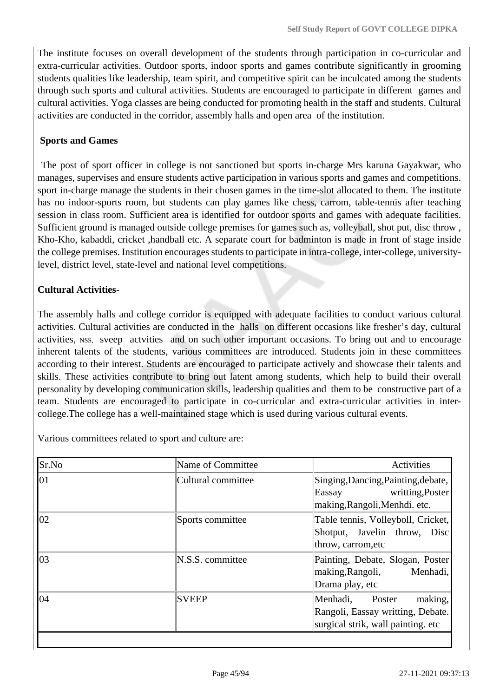The institute focuses on overall development of the students through participation in co-curricular and extra-curricular activities. Outdoor sports, indoor sports and games contribute significantly in grooming students qualities like leadership, team spirit, and competitive spirit can be inculcated among the students through such sports and cultural activities. Students are encouraged to participate in different games and cultural activities. Yoga classes are being conducted for promoting health in the staff and students. Cultural activities are conducted in the corridor, assembly halls and open area of the institution.

### **Sports and Games**

 The post of sport officer in college is not sanctioned but sports in-charge Mrs karuna Gayakwar, who manages, supervises and ensure students active participation in various sports and games and competitions. sport in-charge manage the students in their chosen games in the time-slot allocated to them. The institute has no indoor-sports room, but students can play games like chess, carrom, table-tennis after teaching session in class room. Sufficient area is identified for outdoor sports and games with adequate facilities. Sufficient ground is managed outside college premises for games such as, volleyball, shot put, disc throw , Kho-Kho, kabaddi, cricket ,handball etc. A separate court for badminton is made in front of stage inside the college premises. Institution encourages students to participate in intra-college, inter-college, universitylevel, district level, state-level and national level competitions.

# **Cultural Activities**-

The assembly halls and college corridor is equipped with adequate facilities to conduct various cultural activities. Cultural activities are conducted in the halls on different occasions like fresher's day, cultural activities, NSS, sveep actvities and on such other important occasions. To bring out and to encourage inherent talents of the students, various committees are introduced. Students join in these committees according to their interest. Students are encouraged to participate actively and showcase their talents and skills. These activities contribute to bring out latent among students, which help to build their overall personality by developing communication skills, leadership qualities and them to be constructive part of a team. Students are encouraged to participate in co-curricular and extra-curricular activities in intercollege.The college has a well-maintained stage which is used during various cultural events.

Various committees related to sport and culture are:

| Sr.No | Name of Committee  | Activities                                                                                               |
|-------|--------------------|----------------------------------------------------------------------------------------------------------|
| 101   | Cultural committee | Singing, Dancing, Painting, debate,<br>writting, Poster<br>Eassay<br>making, Rangoli, Menhdi. etc.       |
| 02    | Sports committee   | Table tennis, Volleyboll, Cricket,<br>Shotput, Javelin throw, Disc<br>throw, carrom, etc                 |
| 03    | N.S.S. committee   | Painting, Debate, Slogan, Poster<br>making, Rangoli,<br>Menhadi,<br>Drama play, etc                      |
| 04    | <b>SVEEP</b>       | making,<br>Menhadi,<br>Poster<br>Rangoli, Eassay writting, Debate.<br>surgical strik, wall painting. etc |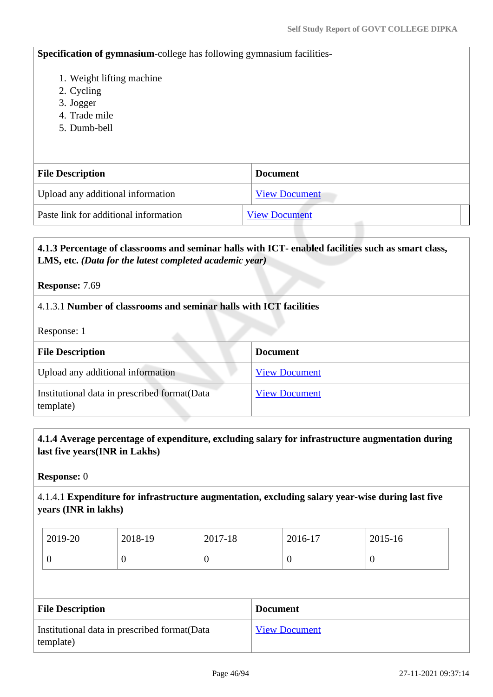**Specification of gymnasium**-college has following gymnasium facilities-

- 1. Weight lifting machine
- 2. Cycling
- 3. Jogger
- 4. Trade mile
- 5. Dumb-bell

| <b>File Description</b>               | <b>Document</b>      |
|---------------------------------------|----------------------|
| Upload any additional information     | <b>View Document</b> |
| Paste link for additional information | <b>View Document</b> |

### **4.1.3 Percentage of classrooms and seminar halls with ICT- enabled facilities such as smart class, LMS, etc.** *(Data for the latest completed academic year)*

**Response:** 7.69

### 4.1.3.1 **Number of classrooms and seminar halls with ICT facilities**

Response: 1

| <b>File Description</b>                                    | <b>Document</b>      |
|------------------------------------------------------------|----------------------|
| Upload any additional information                          | <b>View Document</b> |
| Institutional data in prescribed format (Data<br>template) | <b>View Document</b> |

### **4.1.4 Average percentage of expenditure, excluding salary for infrastructure augmentation during last five years(INR in Lakhs)**

**Response:** 0

4.1.4.1 **Expenditure for infrastructure augmentation, excluding salary year-wise during last five years (INR in lakhs)**

| 2019-20 | 2018-19 | 2017-18 | 2016-17 | 2015-16 |
|---------|---------|---------|---------|---------|
| ν       |         | v       | ╰       | ◡       |

| <b>File Description</b>                                    | <b>Document</b>      |
|------------------------------------------------------------|----------------------|
| Institutional data in prescribed format (Data<br>template) | <b>View Document</b> |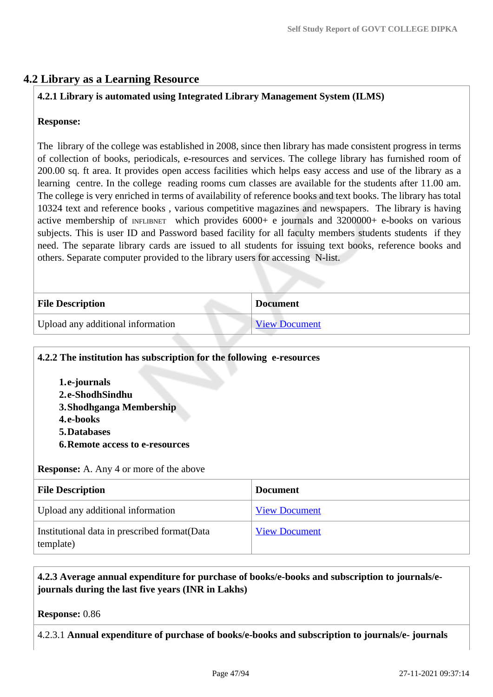# **4.2 Library as a Learning Resource**

### **4.2.1 Library is automated using Integrated Library Management System (ILMS)**

### **Response:**

The library of the college was established in 2008, since then library has made consistent progress in terms of collection of books, periodicals, e-resources and services. The college library has furnished room of 200.00 sq. ft area. It provides open access facilities which helps easy access and use of the library as a learning centre. In the college reading rooms cum classes are available for the students after 11.00 am. The college is very enriched in terms of availability of reference books and text books. The library has total 10324 text and reference books , various competitive magazines and newspapers. The library is having active membership of INFLIBNET which provides 6000+ e journals and 3200000+ e-books on various subjects. This is user ID and Password based facility for all faculty members students students if they need. The separate library cards are issued to all students for issuing text books, reference books and others. Separate computer provided to the library users for accessing N-list.

| <b>File Description</b>           | <b>Document</b>      |
|-----------------------------------|----------------------|
| Upload any additional information | <b>View Document</b> |

### **4.2.2 The institution has subscription for the following e-resources**

**1.e-journals 2.e-ShodhSindhu 3.Shodhganga Membership 4.e-books 5.Databases 6.Remote access to e-resources**

**Response:** A. Any 4 or more of the above

| <b>File Description</b>                                    | <b>Document</b>      |
|------------------------------------------------------------|----------------------|
| Upload any additional information                          | <b>View Document</b> |
| Institutional data in prescribed format (Data<br>template) | <b>View Document</b> |

# **4.2.3 Average annual expenditure for purchase of books/e-books and subscription to journals/ejournals during the last five years (INR in Lakhs)**

**Response:** 0.86

4.2.3.1 **Annual expenditure of purchase of books/e-books and subscription to journals/e- journals**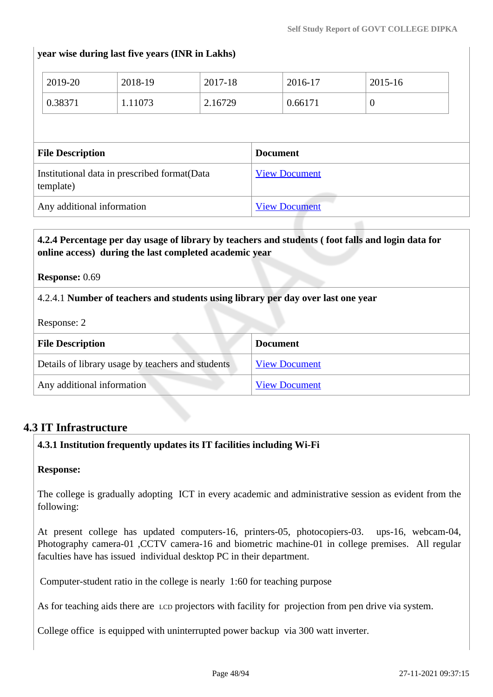### **year wise during last five years (INR in Lakhs)**

|                         | 2019-20   | 2018-19                                       | 2017-18         |  | 2016-17              | 2015-16  |  |
|-------------------------|-----------|-----------------------------------------------|-----------------|--|----------------------|----------|--|
|                         | 0.38371   | 1.11073                                       | 2.16729         |  | 0.66171              | $\theta$ |  |
|                         |           |                                               |                 |  |                      |          |  |
| <b>File Description</b> |           |                                               | <b>Document</b> |  |                      |          |  |
|                         |           |                                               |                 |  |                      |          |  |
|                         | template) | Institutional data in prescribed format (Data |                 |  | <b>View Document</b> |          |  |

# **4.2.4 Percentage per day usage of library by teachers and students ( foot falls and login data for online access) during the last completed academic year**

#### **Response:** 0.69

### 4.2.4.1 **Number of teachers and students using library per day over last one year**

Response: 2

| <b>File Description</b>                           | <b>Document</b>      |
|---------------------------------------------------|----------------------|
| Details of library usage by teachers and students | <b>View Document</b> |
| Any additional information                        | <b>View Document</b> |

### **4.3 IT Infrastructure**

### **4.3.1 Institution frequently updates its IT facilities including Wi-Fi**

#### **Response:**

The college is gradually adopting ICT in every academic and administrative session as evident from the following:

At present college has updated computers-16, printers-05, photocopiers-03. ups-16, webcam-04, Photography camera-01 ,CCTV camera-16 and biometric machine-01 in college premises. All regular faculties have has issued individual desktop PC in their department.

Computer-student ratio in the college is nearly 1:60 for teaching purpose

As for teaching aids there are LCD projectors with facility for projection from pen drive via system.

College office is equipped with uninterrupted power backup via 300 watt inverter.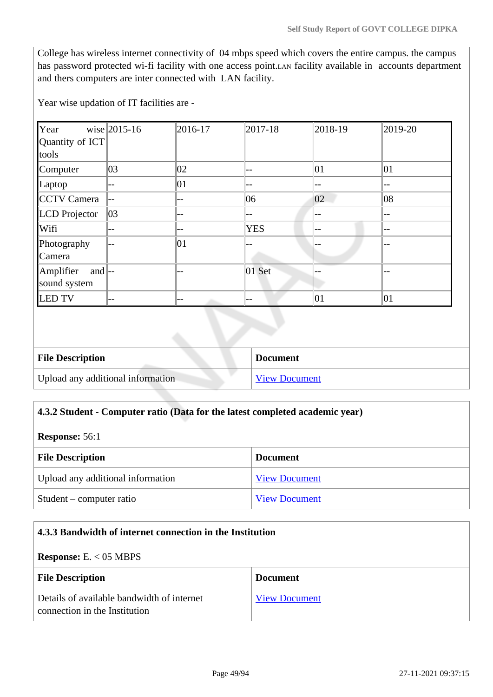College has wireless internet connectivity of 04 mbps speed which covers the entire campus. the campus has password protected wi-fi facility with one access point.LAN facility available in accounts department and thers computers are inter connected with LAN facility.

Year wise updation of IT facilities are -

| Year                                | wise $ 2015 - 16$ | 2016-17 | $ 2017 - 18 $     | $ 2018-19$ | 2019-20      |
|-------------------------------------|-------------------|---------|-------------------|------------|--------------|
| Quantity of ICT                     |                   |         |                   |            |              |
| tools                               |                   |         |                   |            |              |
| Computer                            | 03                | 02      | --                | 01         | 01           |
| Laptop                              | $-$               | 01      | --                | --         | $-$          |
| CCTV Camera                         | --                | --      | 06                | 02         | 08           |
| LCD Projector                       | 03                |         | --                | --         | $-$          |
| Wifi                                | --                | --      | <b>YES</b>        | --         | --           |
| Photography                         | $-$               | 01      |                   |            | --           |
| Camera                              |                   |         |                   |            |              |
| Amplifier<br>and $\left  - \right $ |                   |         | 01 Set            |            |              |
| sound system                        |                   |         |                   |            |              |
| <b>LED TV</b>                       | $--$              | $-\,-$  | $\qquad \qquad -$ | 01         | $ 01\rangle$ |
|                                     |                   |         |                   |            |              |
|                                     |                   |         |                   |            |              |
|                                     |                   |         |                   |            |              |

| <b>File Description</b>           | <b>Document</b>      |
|-----------------------------------|----------------------|
| Upload any additional information | <b>View Document</b> |

### **4.3.2 Student - Computer ratio (Data for the latest completed academic year)**

**Response:** 56:1

| <b>File Description</b>           | <b>Document</b>      |
|-----------------------------------|----------------------|
| Upload any additional information | <b>View Document</b> |
| Student – computer ratio          | <b>View Document</b> |

# **4.3.3 Bandwidth of internet connection in the Institution Response:** E. < 05 MBPS **File Description Document** Details of available bandwidth of internet connection in the Institution [View Document](https://assessmentonline.naac.gov.in/storage/app/hei/SSR/105760/4.3.3_1628330295_5918.pdf)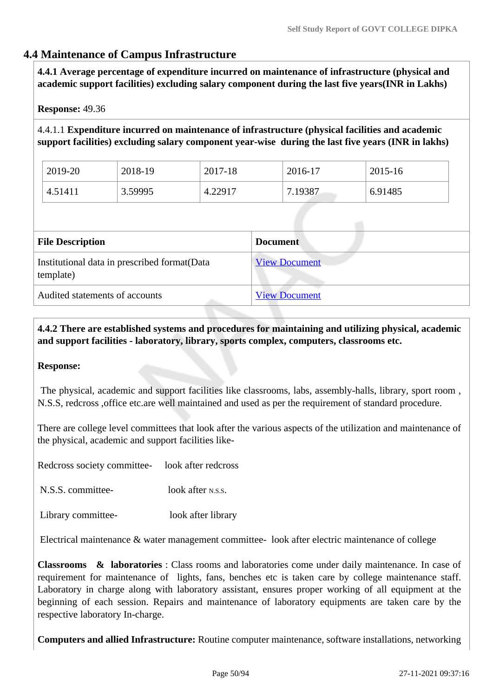# **4.4 Maintenance of Campus Infrastructure**

 **4.4.1 Average percentage of expenditure incurred on maintenance of infrastructure (physical and academic support facilities) excluding salary component during the last five years(INR in Lakhs)**

### **Response:** 49.36

4.4.1.1 **Expenditure incurred on maintenance of infrastructure (physical facilities and academic support facilities) excluding salary component year-wise during the last five years (INR in lakhs)**

| 2019-20 | 2018-19 | 2017-18 | 2016-17 | 2015-16 |
|---------|---------|---------|---------|---------|
| 4.51411 | 3.59995 | 4.22917 | 7.19387 | 6.91485 |

| <b>File Description</b>                                    | <b>Document</b>      |
|------------------------------------------------------------|----------------------|
| Institutional data in prescribed format (Data<br>template) | <b>View Document</b> |
| Audited statements of accounts                             | <b>View Document</b> |

 **4.4.2 There are established systems and procedures for maintaining and utilizing physical, academic and support facilities - laboratory, library, sports complex, computers, classrooms etc.**

#### **Response:**

 The physical, academic and support facilities like classrooms, labs, assembly-halls, library, sport room , N.S.S, redcross ,office etc.are well maintained and used as per the requirement of standard procedure.

There are college level committees that look after the various aspects of the utilization and maintenance of the physical, academic and support facilities like-

Redcross society committee- look after redcross

N.S.S. committee- look after N.S.S.

Library committee- look after library

Electrical maintenance & water management committee- look after electric maintenance of college

**Classrooms & laboratories** : Class rooms and laboratories come under daily maintenance. In case of requirement for maintenance of lights, fans, benches etc is taken care by college maintenance staff. Laboratory in charge along with laboratory assistant, ensures proper working of all equipment at the beginning of each session. Repairs and maintenance of laboratory equipments are taken care by the respective laboratory In-charge.

**Computers and allied Infrastructure:** Routine computer maintenance, software installations, networking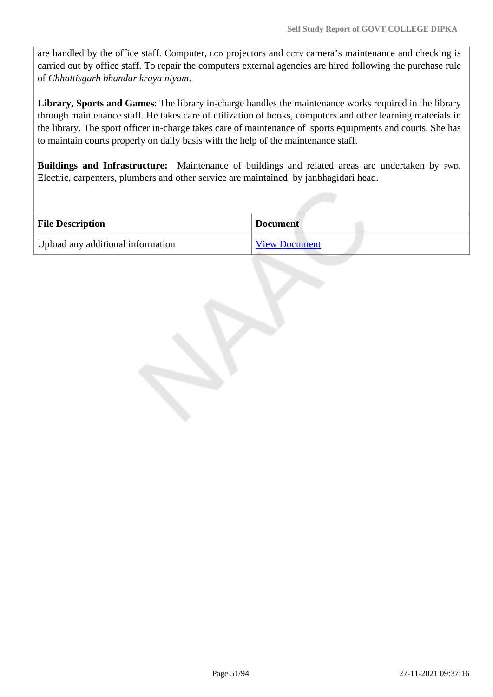are handled by the office staff. Computer, LCD projectors and CCTV camera's maintenance and checking is carried out by office staff. To repair the computers external agencies are hired following the purchase rule of *Chhattisgarh bhandar kraya niyam*.

**Library, Sports and Games**: The library in-charge handles the maintenance works required in the library through maintenance staff. He takes care of utilization of books, computers and other learning materials in the library. The sport officer in-charge takes care of maintenance of sports equipments and courts. She has to maintain courts properly on daily basis with the help of the maintenance staff.

Buildings and Infrastructure: Maintenance of buildings and related areas are undertaken by PWD. Electric, carpenters, plumbers and other service are maintained by janbhagidari head.

| <b>File Description</b>           | <b>Document</b>      |
|-----------------------------------|----------------------|
| Upload any additional information | <b>View Document</b> |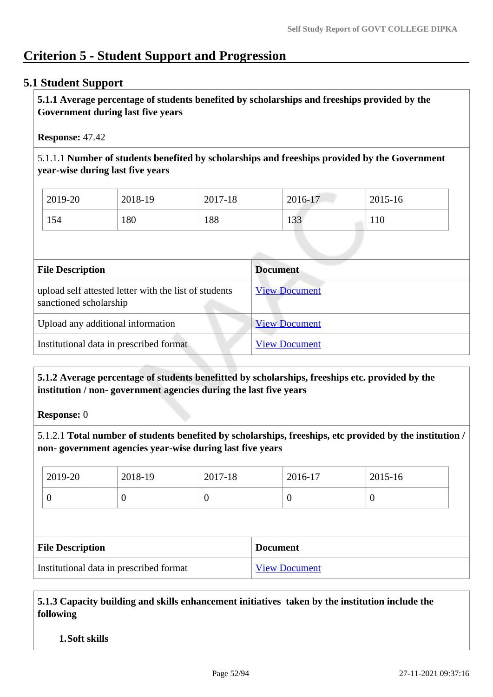# **Criterion 5 - Student Support and Progression**

# **5.1 Student Support**

 **5.1.1 Average percentage of students benefited by scholarships and freeships provided by the Government during last five years** 

**Response:** 47.42

5.1.1.1 **Number of students benefited by scholarships and freeships provided by the Government year-wise during last five years**

| 2019-20 | 2018-19 | 2017-18 | 2016-17 | 2015-16 |
|---------|---------|---------|---------|---------|
| 154     | 180     | 188     | 133     | 110     |

| <b>File Description</b>                                                         | Document             |
|---------------------------------------------------------------------------------|----------------------|
| upload self attested letter with the list of students<br>sanctioned scholarship | <b>View Document</b> |
| Upload any additional information                                               | <b>View Document</b> |
| Institutional data in prescribed format                                         | <b>View Document</b> |
|                                                                                 |                      |

 **5.1.2 Average percentage of students benefitted by scholarships, freeships etc. provided by the institution / non- government agencies during the last five years**

**Response:** 0

5.1.2.1 **Total number of students benefited by scholarships, freeships, etc provided by the institution / non- government agencies year-wise during last five years**

|                                         | 2019-20          | 2018-19  | 2017-18              |                 | 2016-17          | 2015-16 |
|-----------------------------------------|------------------|----------|----------------------|-----------------|------------------|---------|
|                                         | $\boldsymbol{0}$ | $\theta$ | $\theta$             |                 | $\boldsymbol{0}$ | O       |
|                                         |                  |          |                      |                 |                  |         |
| <b>File Description</b>                 |                  |          |                      | <b>Document</b> |                  |         |
| Institutional data in prescribed format |                  |          | <b>View Document</b> |                 |                  |         |

 **5.1.3 Capacity building and skills enhancement initiatives taken by the institution include the following**

**1.Soft skills**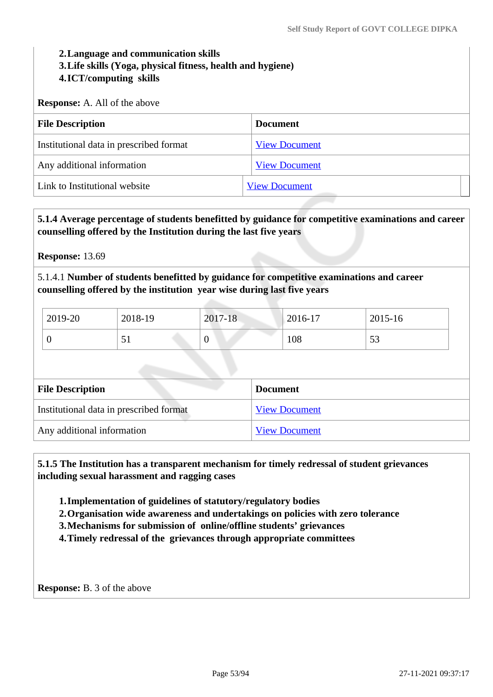### **2.Language and communication skills 3.Life skills (Yoga, physical fitness, health and hygiene) 4.ICT/computing skills**

**Response:** A. All of the above

| <b>File Description</b>                 | <b>Document</b>      |
|-----------------------------------------|----------------------|
| Institutional data in prescribed format | <b>View Document</b> |
| Any additional information              | <b>View Document</b> |
| Link to Institutional website           | <b>View Document</b> |

### **5.1.4 Average percentage of students benefitted by guidance for competitive examinations and career counselling offered by the Institution during the last five years**

**Response:** 13.69

5.1.4.1 **Number of students benefitted by guidance for competitive examinations and career counselling offered by the institution year wise during last five years**

| 2019-20 | 2018-19 | 2017-18 | 2016-17 | 2015-16      |
|---------|---------|---------|---------|--------------|
|         | ◡▴      | ິ       | 108     | $\sim$<br>IJ |

| <b>File Description</b>                 | <b>Document</b>      |
|-----------------------------------------|----------------------|
| Institutional data in prescribed format | <b>View Document</b> |
| Any additional information              | <b>View Document</b> |

 **5.1.5 The Institution has a transparent mechanism for timely redressal of student grievances including sexual harassment and ragging cases**

**1.Implementation of guidelines of statutory/regulatory bodies**

**2.Organisation wide awareness and undertakings on policies with zero tolerance**

**3.Mechanisms for submission of online/offline students' grievances**

**4.Timely redressal of the grievances through appropriate committees**

**Response:** B. 3 of the above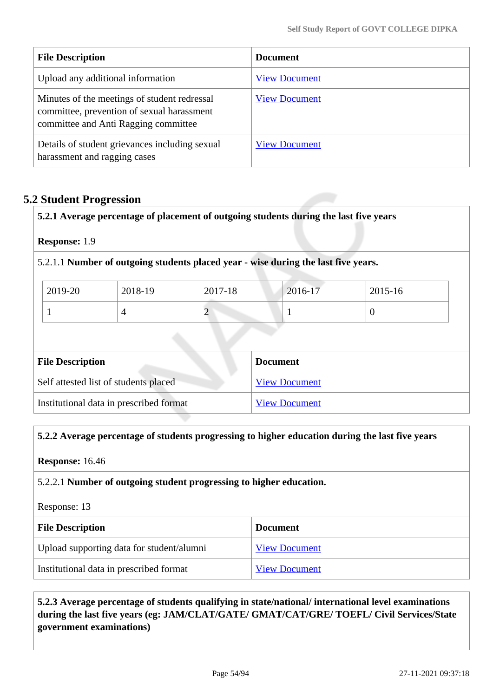| <b>File Description</b>                                                                                                            | <b>Document</b>      |
|------------------------------------------------------------------------------------------------------------------------------------|----------------------|
| Upload any additional information                                                                                                  | <b>View Document</b> |
| Minutes of the meetings of student redressal<br>committee, prevention of sexual harassment<br>committee and Anti Ragging committee | <b>View Document</b> |
| Details of student grievances including sexual<br>harassment and ragging cases                                                     | <b>View Document</b> |

# **5.2 Student Progression**

**5.2.1 Average percentage of placement of outgoing students during the last five years**

**Response:** 1.9

5.2.1.1 **Number of outgoing students placed year - wise during the last five years.**

| 2019-20 | 2018-19 | 2017-18 | 2016-17 | 2015-16 |
|---------|---------|---------|---------|---------|
|         |         | ∼       |         |         |

| <b>File Description</b>                 | <b>Document</b>      |
|-----------------------------------------|----------------------|
| Self attested list of students placed   | <b>View Document</b> |
| Institutional data in prescribed format | <b>View Document</b> |

#### **5.2.2 Average percentage of students progressing to higher education during the last five years**

**Response:** 16.46

### 5.2.2.1 **Number of outgoing student progressing to higher education.**

Response: 13

| <b>File Description</b>                   | <b>Document</b>      |
|-------------------------------------------|----------------------|
| Upload supporting data for student/alumni | <b>View Document</b> |
| Institutional data in prescribed format   | <b>View Document</b> |

 **5.2.3 Average percentage of students qualifying in state/national/ international level examinations during the last five years (eg: JAM/CLAT/GATE/ GMAT/CAT/GRE/ TOEFL/ Civil Services/State government examinations)**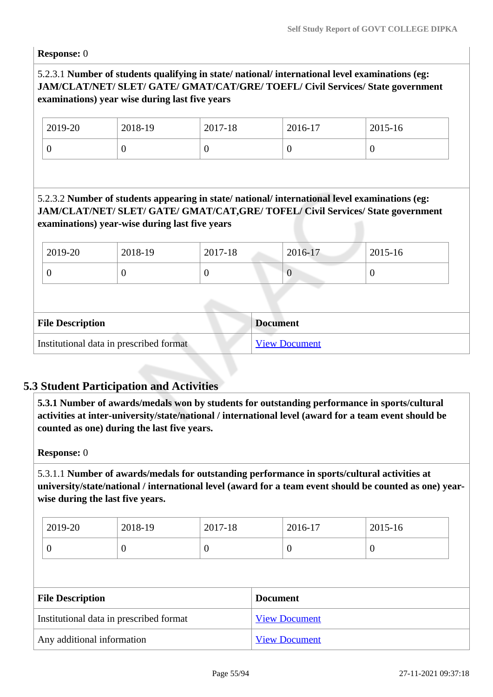**Response:** 0

# 5.2.3.1 **Number of students qualifying in state/ national/ international level examinations (eg: JAM/CLAT/NET/ SLET/ GATE/ GMAT/CAT/GRE/ TOEFL/ Civil Services/ State government examinations) year wise during last five years**

| 2019-20 | 2018-19 | 2017-18 | 2016-17 | 2015-16 |
|---------|---------|---------|---------|---------|
|         | ◡       | ◡       |         | υ       |

# 5.2.3.2 **Number of students appearing in state/ national/ international level examinations (eg: JAM/CLAT/NET/ SLET/ GATE/ GMAT/CAT,GRE/ TOFEL/ Civil Services/ State government examinations) year-wise during last five years**

| 2019-20 | 2018-19 | 2017-18 | 2016-17 | 2015-16 |
|---------|---------|---------|---------|---------|
|         | U       |         |         | υ       |
|         |         |         |         |         |
|         |         |         |         |         |

| <b>File Description</b>                 | <b>Document</b>      |
|-----------------------------------------|----------------------|
| Institutional data in prescribed format | <b>View Document</b> |

# **5.3 Student Participation and Activities**

 **5.3.1 Number of awards/medals won by students for outstanding performance in sports/cultural activities at inter-university/state/national / international level (award for a team event should be counted as one) during the last five years.**

**Response:** 0

5.3.1.1 **Number of awards/medals for outstanding performance in sports/cultural activities at university/state/national / international level (award for a team event should be counted as one) yearwise during the last five years.**

| 2019-20 | 2018-19 | 2017-18 | 2016-17 | $2015 - 16$ |
|---------|---------|---------|---------|-------------|
|         |         | 0       | ◡       | ν           |

| <b>File Description</b>                 | <b>Document</b>      |  |
|-----------------------------------------|----------------------|--|
| Institutional data in prescribed format | <b>View Document</b> |  |
| Any additional information              | <b>View Document</b> |  |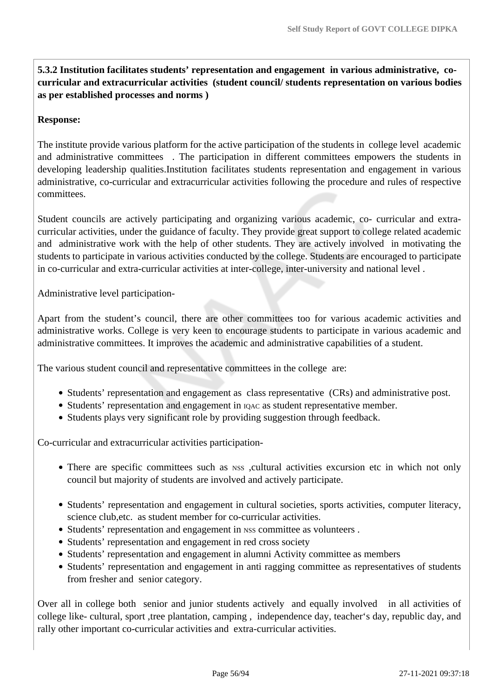**5.3.2 Institution facilitates students' representation and engagement in various administrative, cocurricular and extracurricular activities (student council/ students representation on various bodies as per established processes and norms )**

### **Response:**

The institute provide various platform for the active participation of the students in college level academic and administrative committees . The participation in different committees empowers the students in developing leadership qualities.Institution facilitates students representation and engagement in various administrative, co-curricular and extracurricular activities following the procedure and rules of respective committees.

Student councils are actively participating and organizing various academic, co- curricular and extracurricular activities, under the guidance of faculty. They provide great support to college related academic and administrative work with the help of other students. They are actively involved in motivating the students to participate in various activities conducted by the college. Students are encouraged to participate in co-curricular and extra-curricular activities at inter-college, inter-university and national level .

Administrative level participation-

Apart from the student's council, there are other committees too for various academic activities and administrative works. College is very keen to encourage students to participate in various academic and administrative committees. It improves the academic and administrative capabilities of a student.

The various student council and representative committees in the college are:

- Students' representation and engagement as class representative (CRs) and administrative post.
- Students' representation and engagement in IQAC as student representative member.
- Students plays very significant role by providing suggestion through feedback.

Co-curricular and extracurricular activities participation-

- There are specific committees such as NSS , cultural activities excursion etc in which not only council but majority of students are involved and actively participate.
- Students' representation and engagement in cultural societies, sports activities, computer literacy, science club,etc. as student member for co-curricular activities.
- Students' representation and engagement in NSS committee as volunteers.
- Students' representation and engagement in red cross society
- Students' representation and engagement in alumni Activity committee as members
- Students' representation and engagement in anti ragging committee as representatives of students from fresher and senior category.

Over all in college both senior and junior students actively and equally involved in all activities of college like- cultural, sport ,tree plantation, camping , independence day, teacher's day, republic day, and rally other important co-curricular activities and extra-curricular activities.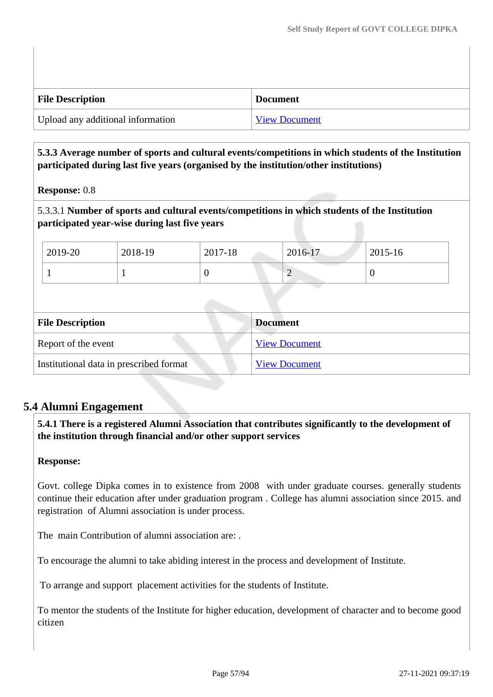| <b>File Description</b>           | <b>Document</b>      |
|-----------------------------------|----------------------|
| Upload any additional information | <b>View Document</b> |

# **5.3.3 Average number of sports and cultural events/competitions in which students of the Institution participated during last five years (organised by the institution/other institutions)**

# **Response:** 0.8

5.3.3.1 **Number of sports and cultural events/competitions in which students of the Institution participated year-wise during last five years**

| 2019-20 | 2018-19 | 2017-18 | 2016-17 | 2015-16 |
|---------|---------|---------|---------|---------|
|         |         |         | ∼       | v       |

| <b>File Description</b>                 | <b>Document</b>      |
|-----------------------------------------|----------------------|
| Report of the event                     | <b>View Document</b> |
| Institutional data in prescribed format | <b>View Document</b> |

# **5.4 Alumni Engagement**

 **5.4.1 There is a registered Alumni Association that contributes significantly to the development of the institution through financial and/or other support services**

# **Response:**

Govt. college Dipka comes in to existence from 2008 with under graduate courses. generally students continue their education after under graduation program . College has alumni association since 2015. and registration of Alumni association is under process.

The main Contribution of alumni association are: .

To encourage the alumni to take abiding interest in the process and development of Institute.

To arrange and support placement activities for the students of Institute.

To mentor the students of the Institute for higher education, development of character and to become good citizen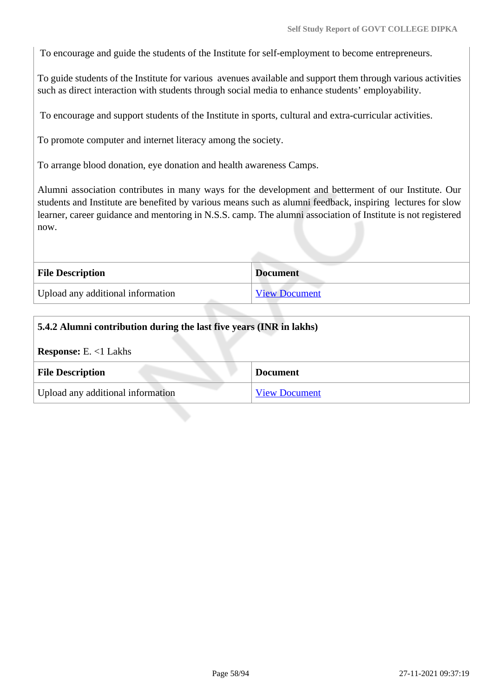To encourage and guide the students of the Institute for self-employment to become entrepreneurs.

To guide students of the Institute for various avenues available and support them through various activities such as direct interaction with students through social media to enhance students' employability.

To encourage and support students of the Institute in sports, cultural and extra-curricular activities.

To promote computer and internet literacy among the society.

To arrange blood donation, eye donation and health awareness Camps.

Alumni association contributes in many ways for the development and betterment of our Institute. Our students and Institute are benefited by various means such as alumni feedback, inspiring lectures for slow learner, career guidance and mentoring in N.S.S. camp. The alumni association of Institute is not registered now.

| <b>File Description</b>           | <b>Document</b>      |
|-----------------------------------|----------------------|
| Upload any additional information | <b>View Document</b> |

| 5.4.2 Alumni contribution during the last five years (INR in lakhs) |                      |
|---------------------------------------------------------------------|----------------------|
| <b>Response:</b> E. $<1$ Lakhs                                      |                      |
| <b>File Description</b>                                             | <b>Document</b>      |
| Upload any additional information                                   | <b>View Document</b> |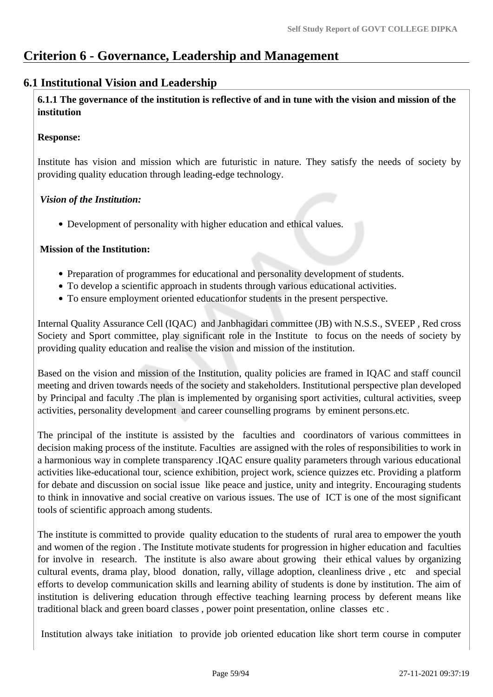# **Criterion 6 - Governance, Leadership and Management**

# **6.1 Institutional Vision and Leadership**

 **6.1.1 The governance of the institution is reflective of and in tune with the vision and mission of the institution**

### **Response:**

Institute has vision and mission which are futuristic in nature. They satisfy the needs of society by providing quality education through leading-edge technology.

### *Vision of the Institution:*

Development of personality with higher education and ethical values.

### **Mission of the Institution:**

- Preparation of programmes for educational and personality development of students.
- To develop a scientific approach in students through various educational activities.
- To ensure employment oriented educationfor students in the present perspective.

Internal Quality Assurance Cell (IQAC) and Janbhagidari committee (JB) with N.S.S., SVEEP , Red cross Society and Sport committee, play significant role in the Institute to focus on the needs of society by providing quality education and realise the vision and mission of the institution.

Based on the vision and mission of the Institution, quality policies are framed in IQAC and staff council meeting and driven towards needs of the society and stakeholders. Institutional perspective plan developed by Principal and faculty .The plan is implemented by organising sport activities, cultural activities, sveep activities, personality development and career counselling programs by eminent persons.etc.

The principal of the institute is assisted by the faculties and coordinators of various committees in decision making process of the institute. Faculties are assigned with the roles of responsibilities to work in a harmonious way in complete transparency .IQAC ensure quality parameters through various educational activities like-educational tour, science exhibition, project work, science quizzes etc. Providing a platform for debate and discussion on social issue like peace and justice, unity and integrity. Encouraging students to think in innovative and social creative on various issues. The use of ICT is one of the most significant tools of scientific approach among students.

The institute is committed to provide quality education to the students of rural area to empower the youth and women of the region . The Institute motivate students for progression in higher education and faculties for involve in research. The institute is also aware about growing their ethical values by organizing cultural events, drama play, blood donation, rally, village adoption, cleanliness drive , etc and special efforts to develop communication skills and learning ability of students is done by institution. The aim of institution is delivering education through effective teaching learning process by deferent means like traditional black and green board classes , power point presentation, online classes etc .

Institution always take initiation to provide job oriented education like short term course in computer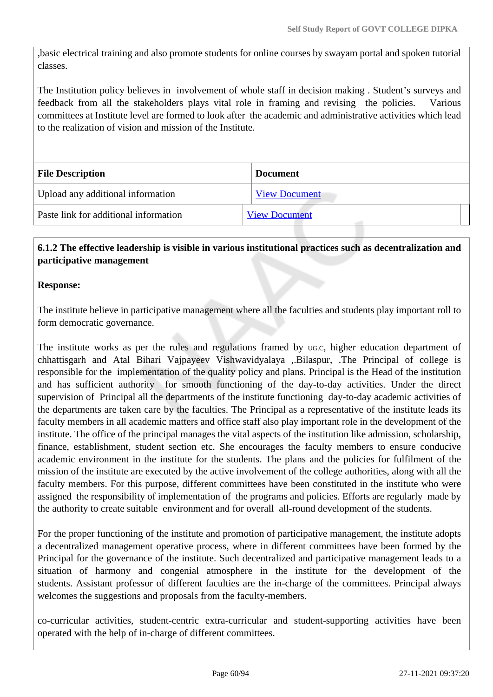,basic electrical training and also promote students for online courses by swayam portal and spoken tutorial classes.

The Institution policy believes in involvement of whole staff in decision making . Student's surveys and feedback from all the stakeholders plays vital role in framing and revising the policies. Various committees at Institute level are formed to look after the academic and administrative activities which lead to the realization of vision and mission of the Institute.

| <b>File Description</b>               | <b>Document</b>      |  |
|---------------------------------------|----------------------|--|
| Upload any additional information     | <b>View Document</b> |  |
| Paste link for additional information | <b>View Document</b> |  |

### **6.1.2 The effective leadership is visible in various institutional practices such as decentralization and participative management**

### **Response:**

The institute believe in participative management where all the faculties and students play important roll to form democratic governance.

The institute works as per the rules and regulations framed by UG.C, higher education department of chhattisgarh and Atal Bihari Vajpayeev Vishwavidyalaya ,.Bilaspur, .The Principal of college is responsible for the implementation of the quality policy and plans. Principal is the Head of the institution and has sufficient authority for smooth functioning of the day-to-day activities. Under the direct supervision of Principal all the departments of the institute functioning day-to-day academic activities of the departments are taken care by the faculties. The Principal as a representative of the institute leads its faculty members in all academic matters and office staff also play important role in the development of the institute. The office of the principal manages the vital aspects of the institution like admission, scholarship, finance, establishment, student section etc. She encourages the faculty members to ensure conducive academic environment in the institute for the students. The plans and the policies for fulfilment of the mission of the institute are executed by the active involvement of the college authorities, along with all the faculty members. For this purpose, different committees have been constituted in the institute who were assigned the responsibility of implementation of the programs and policies. Efforts are regularly made by the authority to create suitable environment and for overall all-round development of the students.

For the proper functioning of the institute and promotion of participative management, the institute adopts a decentralized management operative process, where in different committees have been formed by the Principal for the governance of the institute. Such decentralized and participative management leads to a situation of harmony and congenial atmosphere in the institute for the development of the students. Assistant professor of different faculties are the in-charge of the committees. Principal always welcomes the suggestions and proposals from the faculty-members.

co-curricular activities, student-centric extra-curricular and student-supporting activities have been operated with the help of in-charge of different committees.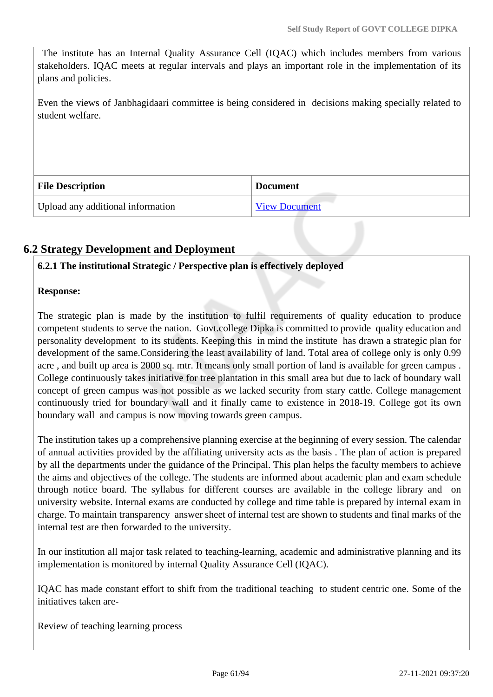The institute has an Internal Quality Assurance Cell (IQAC) which includes members from various stakeholders. IQAC meets at regular intervals and plays an important role in the implementation of its plans and policies.

Even the views of Janbhagidaari committee is being considered in decisions making specially related to student welfare.

| <b>File Description</b>           | <b>Document</b>      |
|-----------------------------------|----------------------|
| Upload any additional information | <b>View Document</b> |

# **6.2 Strategy Development and Deployment**

### **6.2.1 The institutional Strategic / Perspective plan is effectively deployed**

### **Response:**

The strategic plan is made by the institution to fulfil requirements of quality education to produce competent students to serve the nation. Govt.college Dipka is committed to provide quality education and personality development to its students. Keeping this in mind the institute has drawn a strategic plan for development of the same.Considering the least availability of land. Total area of college only is only 0.99 acre , and built up area is 2000 sq. mtr. It means only small portion of land is available for green campus . College continuously takes initiative for tree plantation in this small area but due to lack of boundary wall concept of green campus was not possible as we lacked security from stary cattle. College management continuously tried for boundary wall and it finally came to existence in 2018-19. College got its own boundary wall and campus is now moving towards green campus.

The institution takes up a comprehensive planning exercise at the beginning of every session. The calendar of annual activities provided by the affiliating university acts as the basis . The plan of action is prepared by all the departments under the guidance of the Principal. This plan helps the faculty members to achieve the aims and objectives of the college. The students are informed about academic plan and exam schedule through notice board. The syllabus for different courses are available in the college library and on university website. Internal exams are conducted by college and time table is prepared by internal exam in charge. To maintain transparency answer sheet of internal test are shown to students and final marks of the internal test are then forwarded to the university.

In our institution all major task related to teaching-learning, academic and administrative planning and its implementation is monitored by internal Quality Assurance Cell (IQAC).

IQAC has made constant effort to shift from the traditional teaching to student centric one. Some of the initiatives taken are-

Review of teaching learning process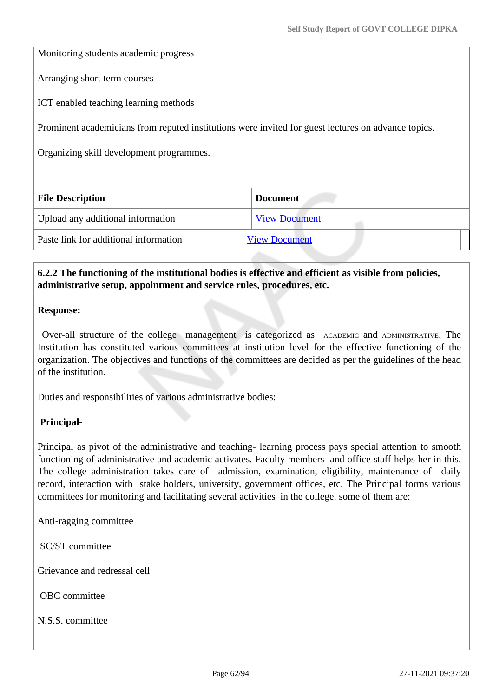Monitoring students academic progress

Arranging short term courses

ICT enabled teaching learning methods

Prominent academicians from reputed institutions were invited for guest lectures on advance topics.

Organizing skill development programmes.

| <b>Document</b>      |  |  |
|----------------------|--|--|
| <b>View Document</b> |  |  |
| <b>View Document</b> |  |  |
|                      |  |  |

### **6.2.2 The functioning of the institutional bodies is effective and efficient as visible from policies, administrative setup, appointment and service rules, procedures, etc.**

#### **Response:**

 Over-all structure of the college management is categorized as ACADEMIC and ADMINISTRATIVE. The Institution has constituted various committees at institution level for the effective functioning of the organization. The objectives and functions of the committees are decided as per the guidelines of the head of the institution.

Duties and responsibilities of various administrative bodies:

#### **Principal-**

Principal as pivot of the administrative and teaching- learning process pays special attention to smooth functioning of administrative and academic activates. Faculty members and office staff helps her in this. The college administration takes care of admission, examination, eligibility, maintenance of daily record, interaction with stake holders, university, government offices, etc. The Principal forms various committees for monitoring and facilitating several activities in the college. some of them are:

Anti-ragging committee

SC/ST committee

Grievance and redressal cell

OBC committee

N.S.S. committee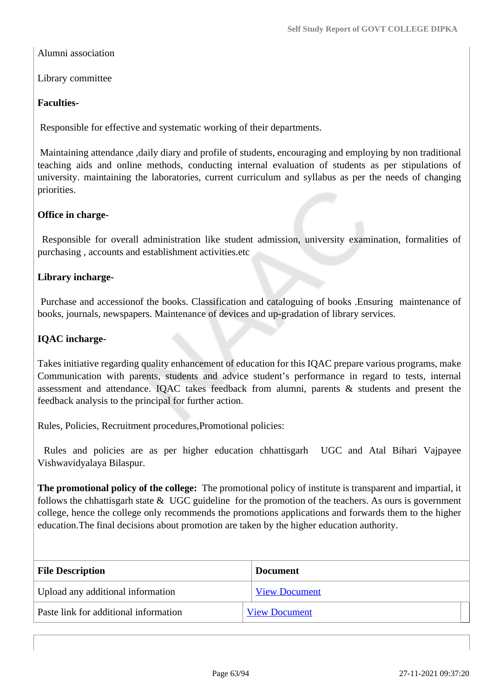Alumni association

Library committee

### **Faculties-**

Responsible for effective and systematic working of their departments.

 Maintaining attendance ,daily diary and profile of students, encouraging and employing by non traditional teaching aids and online methods, conducting internal evaluation of students as per stipulations of university. maintaining the laboratories, current curriculum and syllabus as per the needs of changing priorities.

### **Office in charge-**

 Responsible for overall administration like student admission, university examination, formalities of purchasing , accounts and establishment activities.etc

### **Library incharge-**

 Purchase and accessionof the books. Classification and cataloguing of books .Ensuring maintenance of books, journals, newspapers. Maintenance of devices and up-gradation of library services.

### **IQAC incharge-**

Takes initiative regarding quality enhancement of education for this IQAC prepare various programs, make Communication with parents, students and advice student's performance in regard to tests, internal assessment and attendance. IQAC takes feedback from alumni, parents & students and present the feedback analysis to the principal for further action.

Rules, Policies, Recruitment procedures,Promotional policies:

 Rules and policies are as per higher education chhattisgarh UGC and Atal Bihari Vajpayee Vishwavidyalaya Bilaspur.

**The promotional policy of the college:** The promotional policy of institute is transparent and impartial, it follows the chhattisgarh state & UGC guideline for the promotion of the teachers. As ours is government college, hence the college only recommends the promotions applications and forwards them to the higher education.The final decisions about promotion are taken by the higher education authority.

| <b>File Description</b>               | <b>Document</b>      |
|---------------------------------------|----------------------|
| Upload any additional information     | <b>View Document</b> |
| Paste link for additional information | <b>View Document</b> |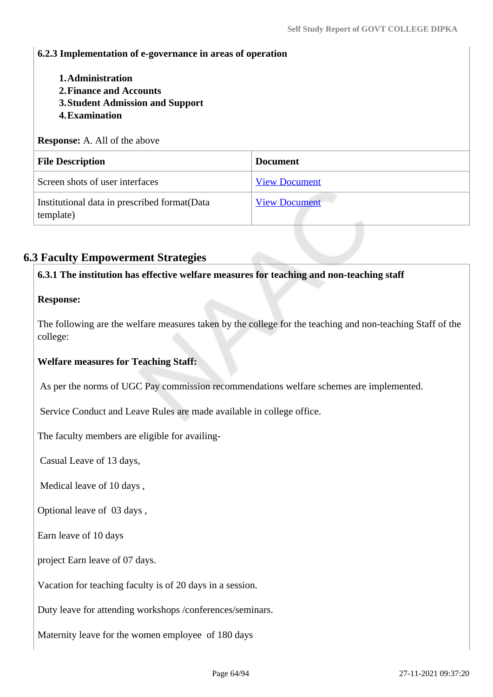### **6.2.3 Implementation of e-governance in areas of operation**

- **1.Administration**
- **2.Finance and Accounts**
- **3.Student Admission and Support**
- **4.Examination**

**Response:** A. All of the above

| <b>File Description</b>                                   | <b>Document</b>      |
|-----------------------------------------------------------|----------------------|
| Screen shots of user interfaces                           | <b>View Document</b> |
| Institutional data in prescribed format(Data<br>template) | <b>View Document</b> |

# **6.3 Faculty Empowerment Strategies**

**6.3.1 The institution has effective welfare measures for teaching and non-teaching staff**

### **Response:**

The following are the welfare measures taken by the college for the teaching and non-teaching Staff of the college:

#### **Welfare measures for Teaching Staff:**

As per the norms of UGC Pay commission recommendations welfare schemes are implemented.

Service Conduct and Leave Rules are made available in college office.

The faculty members are eligible for availing-

Casual Leave of 13 days,

Medical leave of 10 days ,

Optional leave of 03 days ,

Earn leave of 10 days

project Earn leave of 07 days.

Vacation for teaching faculty is of 20 days in a session.

Duty leave for attending workshops /conferences/seminars.

Maternity leave for the women employee of 180 days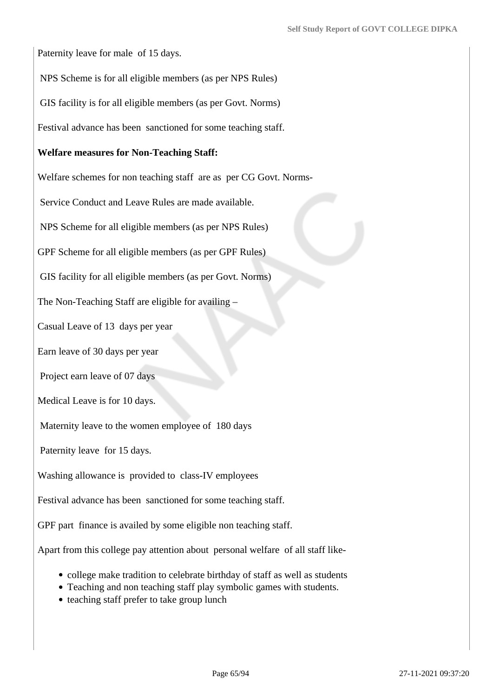Paternity leave for male of 15 days.

NPS Scheme is for all eligible members (as per NPS Rules)

GIS facility is for all eligible members (as per Govt. Norms)

Festival advance has been sanctioned for some teaching staff.

### **Welfare measures for Non-Teaching Staff:**

Welfare schemes for non teaching staff are as per CG Govt. Norms-

Service Conduct and Leave Rules are made available.

NPS Scheme for all eligible members (as per NPS Rules)

GPF Scheme for all eligible members (as per GPF Rules)

GIS facility for all eligible members (as per Govt. Norms)

The Non-Teaching Staff are eligible for availing –

Casual Leave of 13 days per year

Earn leave of 30 days per year

Project earn leave of 07 days

Medical Leave is for 10 days.

Maternity leave to the women employee of 180 days

Paternity leave for 15 days.

Washing allowance is provided to class-IV employees

Festival advance has been sanctioned for some teaching staff.

GPF part finance is availed by some eligible non teaching staff.

Apart from this college pay attention about personal welfare of all staff like-

- college make tradition to celebrate birthday of staff as well as students
- Teaching and non teaching staff play symbolic games with students.
- teaching staff prefer to take group lunch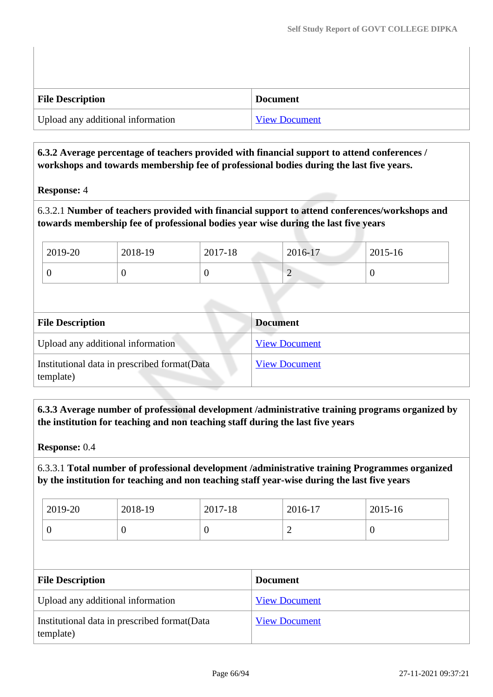| <b>File Description</b>           | <b>Document</b>      |
|-----------------------------------|----------------------|
| Upload any additional information | <b>View Document</b> |

# **6.3.2 Average percentage of teachers provided with financial support to attend conferences / workshops and towards membership fee of professional bodies during the last five years.**

### **Response:** 4

6.3.2.1 **Number of teachers provided with financial support to attend conferences/workshops and towards membership fee of professional bodies year wise during the last five years**

| 2019-20 | 2018-19 | 2017-18 | 2016-17     | 2015-16 |
|---------|---------|---------|-------------|---------|
|         |         |         | $\sim$<br>∼ |         |

| <b>File Description</b>                                    | <b>Document</b>      |
|------------------------------------------------------------|----------------------|
| Upload any additional information                          | <b>View Document</b> |
| Institutional data in prescribed format (Data<br>template) | <b>View Document</b> |

 **6.3.3 Average number of professional development /administrative training programs organized by the institution for teaching and non teaching staff during the last five years**

**Response:** 0.4

6.3.3.1 **Total number of professional development /administrative training Programmes organized by the institution for teaching and non teaching staff year-wise during the last five years**

| 2019-20 | 2018-19 | 2017-18 | 2016-17 | 2015-16 |
|---------|---------|---------|---------|---------|
| ິ       | ◡       | v       | -       | v       |

| <b>File Description</b>                                    | <b>Document</b>      |
|------------------------------------------------------------|----------------------|
| Upload any additional information                          | <b>View Document</b> |
| Institutional data in prescribed format (Data<br>template) | <b>View Document</b> |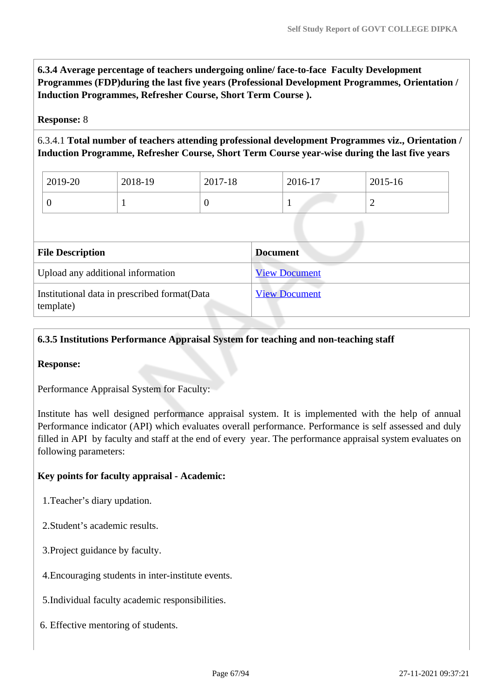**6.3.4 Average percentage of teachers undergoing online/ face-to-face Faculty Development Programmes (FDP)during the last five years (Professional Development Programmes, Orientation / Induction Programmes, Refresher Course, Short Term Course ).**

### **Response:** 8

6.3.4.1 **Total number of teachers attending professional development Programmes viz., Orientation / Induction Programme, Refresher Course, Short Term Course year-wise during the last five years**

| 2019-20 | 2018-19 | 2017-18 | 2016-17 | 2015-16 |
|---------|---------|---------|---------|---------|
|         |         |         |         | -       |

| <b>File Description</b>                                    | <b>Document</b>      |
|------------------------------------------------------------|----------------------|
| Upload any additional information                          | <b>View Document</b> |
| Institutional data in prescribed format (Data<br>template) | <b>View Document</b> |

### **6.3.5 Institutions Performance Appraisal System for teaching and non-teaching staff**

#### **Response:**

Performance Appraisal System for Faculty:

Institute has well designed performance appraisal system. It is implemented with the help of annual Performance indicator (API) which evaluates overall performance. Performance is self assessed and duly filled in API by faculty and staff at the end of every year. The performance appraisal system evaluates on following parameters:

### **Key points for faculty appraisal - Academic:**

- 1.Teacher's diary updation.
- 2.Student's academic results.
- 3.Project guidance by faculty.
- 4.Encouraging students in inter-institute events.
- 5.Individual faculty academic responsibilities.
- 6. Effective mentoring of students.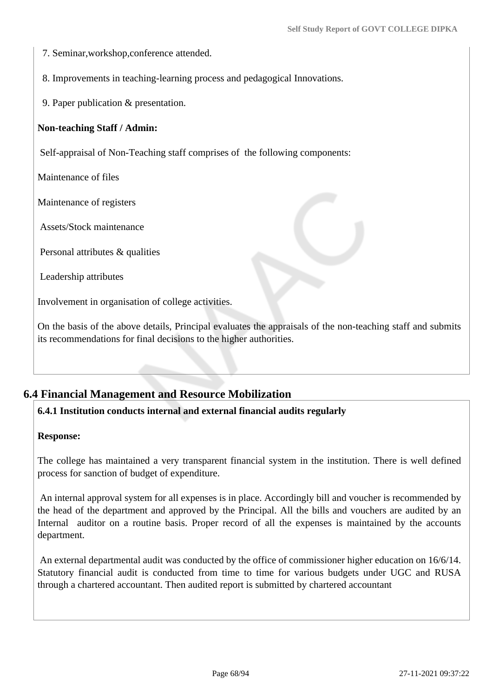7. Seminar,workshop,conference attended.

8. Improvements in teaching-learning process and pedagogical Innovations.

9. Paper publication & presentation.

### **Non-teaching Staff / Admin:**

Self-appraisal of Non-Teaching staff comprises of the following components:

Maintenance of files

Maintenance of registers

Assets/Stock maintenance

Personal attributes & qualities

Leadership attributes

Involvement in organisation of college activities.

On the basis of the above details, Principal evaluates the appraisals of the non-teaching staff and submits its recommendations for final decisions to the higher authorities.

# **6.4 Financial Management and Resource Mobilization**

### **6.4.1 Institution conducts internal and external financial audits regularly**

#### **Response:**

The college has maintained a very transparent financial system in the institution. There is well defined process for sanction of budget of expenditure.

 An internal approval system for all expenses is in place. Accordingly bill and voucher is recommended by the head of the department and approved by the Principal. All the bills and vouchers are audited by an Internal auditor on a routine basis. Proper record of all the expenses is maintained by the accounts department.

 An external departmental audit was conducted by the office of commissioner higher education on 16/6/14. Statutory financial audit is conducted from time to time for various budgets under UGC and RUSA through a chartered accountant. Then audited report is submitted by chartered accountant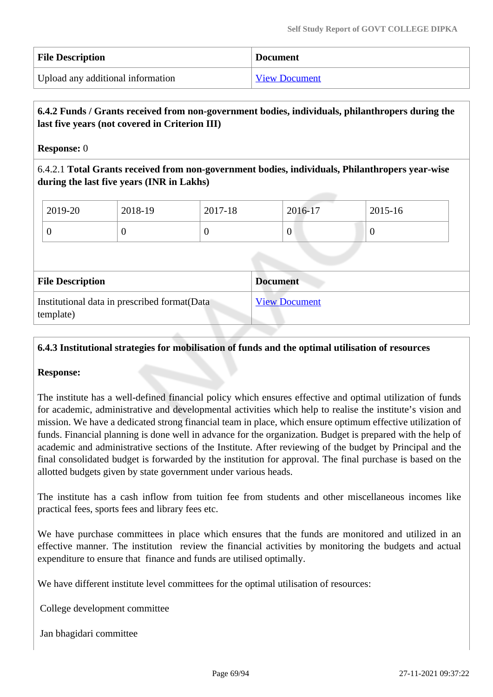| <b>File Description</b>           | <b>Document</b>      |
|-----------------------------------|----------------------|
| Upload any additional information | <b>View Document</b> |

# **6.4.2 Funds / Grants received from non-government bodies, individuals, philanthropers during the last five years (not covered in Criterion III)**

**Response:** 0

6.4.2.1 **Total Grants received from non-government bodies, individuals, Philanthropers year-wise during the last five years (INR in Lakhs)**

| 2019-20 | 2018-19 | 2017-18 | 2016-17 | 2015-16 |
|---------|---------|---------|---------|---------|
|         |         |         | v       | ν       |

| <b>File Description</b>                                    | <b>Document</b>      |
|------------------------------------------------------------|----------------------|
| Institutional data in prescribed format (Data<br>template) | <b>View Document</b> |

### **6.4.3 Institutional strategies for mobilisation of funds and the optimal utilisation of resources**

#### **Response:**

The institute has a well-defined financial policy which ensures effective and optimal utilization of funds for academic, administrative and developmental activities which help to realise the institute's vision and mission. We have a dedicated strong financial team in place, which ensure optimum effective utilization of funds. Financial planning is done well in advance for the organization. Budget is prepared with the help of academic and administrative sections of the Institute. After reviewing of the budget by Principal and the final consolidated budget is forwarded by the institution for approval. The final purchase is based on the allotted budgets given by state government under various heads.

The institute has a cash inflow from tuition fee from students and other miscellaneous incomes like practical fees, sports fees and library fees etc.

We have purchase committees in place which ensures that the funds are monitored and utilized in an effective manner. The institution review the financial activities by monitoring the budgets and actual expenditure to ensure that finance and funds are utilised optimally.

We have different institute level committees for the optimal utilisation of resources:

College development committee

Jan bhagidari committee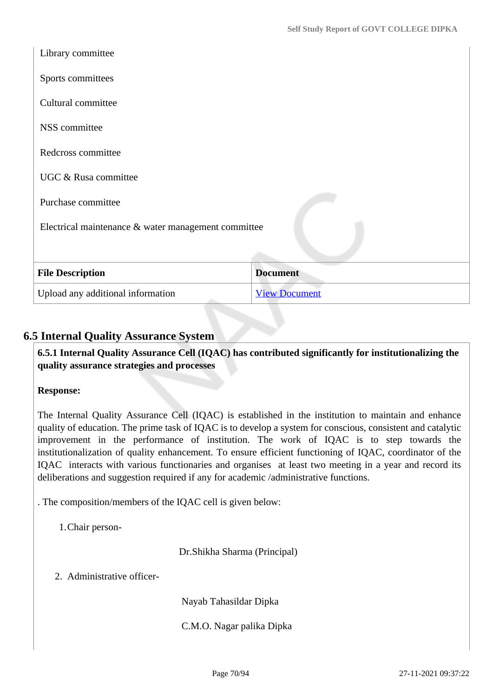| Library committee                                   |                      |  |
|-----------------------------------------------------|----------------------|--|
| Sports committees                                   |                      |  |
| Cultural committee                                  |                      |  |
| NSS committee                                       |                      |  |
| Redcross committee                                  |                      |  |
| UGC & Rusa committee                                |                      |  |
| Purchase committee                                  |                      |  |
| Electrical maintenance & water management committee |                      |  |
|                                                     |                      |  |
| <b>File Description</b>                             | <b>Document</b>      |  |
| Upload any additional information                   | <b>View Document</b> |  |

# **6.5 Internal Quality Assurance System**

 **6.5.1 Internal Quality Assurance Cell (IQAC) has contributed significantly for institutionalizing the quality assurance strategies and processes**

# **Response:**

The Internal Quality Assurance Cell (IQAC) is established in the institution to maintain and enhance quality of education. The prime task of IQAC is to develop a system for conscious, consistent and catalytic improvement in the performance of institution. The work of IQAC is to step towards the institutionalization of quality enhancement. To ensure efficient functioning of IQAC, coordinator of the IQAC interacts with various functionaries and organises at least two meeting in a year and record its deliberations and suggestion required if any for academic /administrative functions.

. The composition/members of the IQAC cell is given below:

1.Chair person-

Dr.Shikha Sharma (Principal)

2. Administrative officer-

Nayab Tahasildar Dipka

C.M.O. Nagar palika Dipka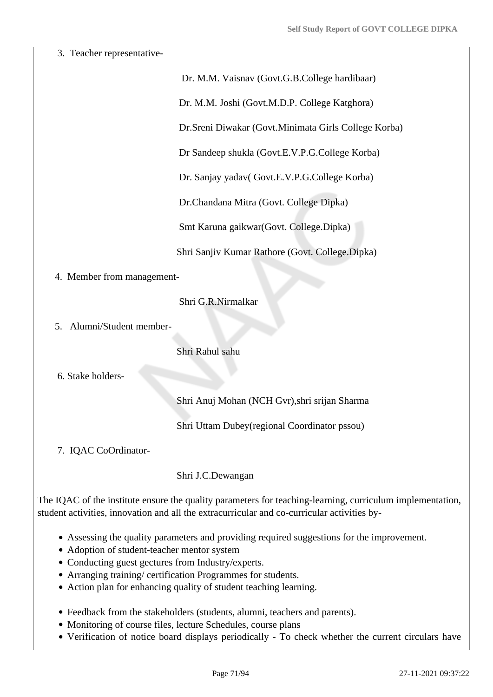3. Teacher representative-

### Dr. M.M. Vaisnav (Govt.G.B.College hardibaar)

Dr. M.M. Joshi (Govt.M.D.P. College Katghora)

Dr.Sreni Diwakar (Govt.Minimata Girls College Korba)

Dr Sandeep shukla (Govt.E.V.P.G.College Korba)

Dr. Sanjay yadav( Govt.E.V.P.G.College Korba)

Dr.Chandana Mitra (Govt. College Dipka)

Smt Karuna gaikwar(Govt. College.Dipka)

Shri Sanjiv Kumar Rathore (Govt. College.Dipka)

4. Member from management-

Shri G.R.Nirmalkar

5. Alumni/Student member-

Shri Rahul sahu

6. Stake holders-

Shri Anuj Mohan (NCH Gvr),shri srijan Sharma

Shri Uttam Dubey(regional Coordinator pssou)

7. IQAC CoOrdinator-

Shri J.C.Dewangan

The IQAC of the institute ensure the quality parameters for teaching-learning, curriculum implementation, student activities, innovation and all the extracurricular and co-curricular activities by-

- Assessing the quality parameters and providing required suggestions for the improvement.
- Adoption of student-teacher mentor system
- Conducting guest gectures from Industry/experts.
- Arranging training/ certification Programmes for students.
- Action plan for enhancing quality of student teaching learning.
- Feedback from the stakeholders (students, alumni, teachers and parents).
- Monitoring of course files, lecture Schedules, course plans
- Verification of notice board displays periodically To check whether the current circulars have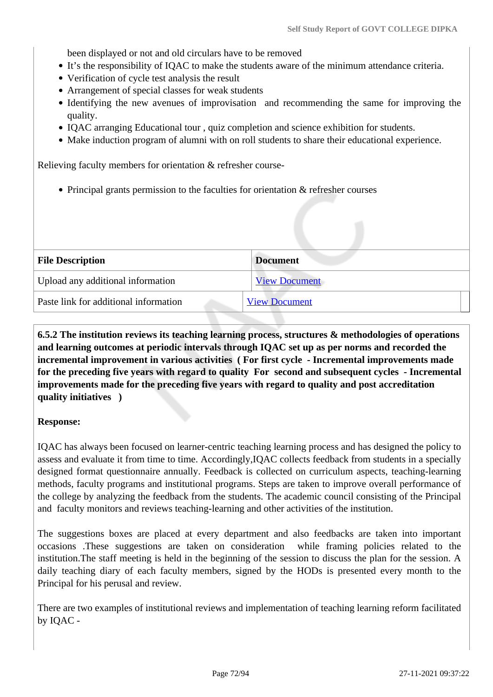been displayed or not and old circulars have to be removed

- It's the responsibility of IQAC to make the students aware of the minimum attendance criteria.
- Verification of cycle test analysis the result
- Arrangement of special classes for weak students
- Identifying the new avenues of improvisation and recommending the same for improving the quality.
- IQAC arranging Educational tour , quiz completion and science exhibition for students.
- Make induction program of alumni with on roll students to share their educational experience.

Relieving faculty members for orientation & refresher course-

Principal grants permission to the faculties for orientation & refresher courses

| <b>File Description</b>               | <b>Document</b>      |
|---------------------------------------|----------------------|
| Upload any additional information     | <b>View Document</b> |
| Paste link for additional information | <b>View Document</b> |

 **6.5.2 The institution reviews its teaching learning process, structures & methodologies of operations and learning outcomes at periodic intervals through IQAC set up as per norms and recorded the incremental improvement in various activities ( For first cycle - Incremental improvements made for the preceding five years with regard to quality For second and subsequent cycles - Incremental improvements made for the preceding five years with regard to quality and post accreditation quality initiatives )** 

#### **Response:**

IQAC has always been focused on learner-centric teaching learning process and has designed the policy to assess and evaluate it from time to time. Accordingly,IQAC collects feedback from students in a specially designed format questionnaire annually. Feedback is collected on curriculum aspects, teaching-learning methods, faculty programs and institutional programs. Steps are taken to improve overall performance of the college by analyzing the feedback from the students. The academic council consisting of the Principal and faculty monitors and reviews teaching-learning and other activities of the institution.

The suggestions boxes are placed at every department and also feedbacks are taken into important occasions .These suggestions are taken on consideration while framing policies related to the institution.The staff meeting is held in the beginning of the session to discuss the plan for the session. A daily teaching diary of each faculty members, signed by the HODs is presented every month to the Principal for his perusal and review.

There are two examples of institutional reviews and implementation of teaching learning reform facilitated by IQAC -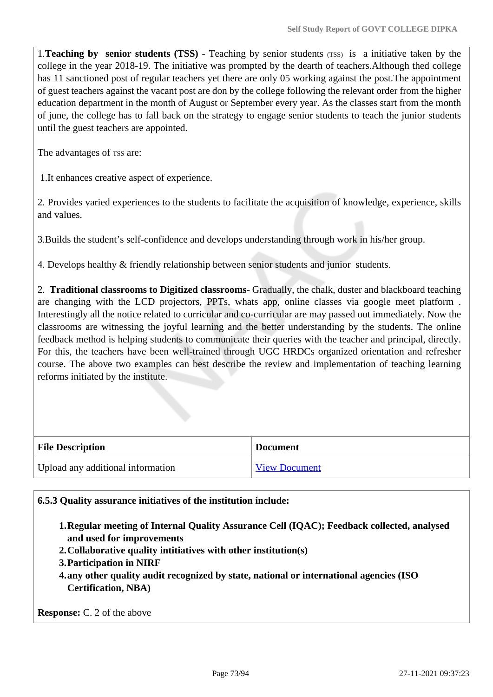1.**Teaching by senior students (TSS)** - Teaching by senior students (TSS) is a initiative taken by the college in the year 2018-19. The initiative was prompted by the dearth of teachers.Although thed college has 11 sanctioned post of regular teachers yet there are only 05 working against the post.The appointment of guest teachers against the vacant post are don by the college following the relevant order from the higher education department in the month of August or September every year. As the classes start from the month of june, the college has to fall back on the strategy to engage senior students to teach the junior students until the guest teachers are appointed.

The advantages of rss are:

1.It enhances creative aspect of experience.

2. Provides varied experiences to the students to facilitate the acquisition of knowledge, experience, skills and values.

3.Builds the student's self-confidence and develops understanding through work in his/her group.

4. Develops healthy & friendly relationship between senior students and junior students.

2. **Traditional classrooms to Digitized classrooms**- Gradually, the chalk, duster and blackboard teaching are changing with the LCD projectors, PPTs, whats app, online classes via google meet platform . Interestingly all the notice related to curricular and co-curricular are may passed out immediately. Now the classrooms are witnessing the joyful learning and the better understanding by the students. The online feedback method is helping students to communicate their queries with the teacher and principal, directly. For this, the teachers have been well-trained through UGC HRDCs organized orientation and refresher course. The above two examples can best describe the review and implementation of teaching learning reforms initiated by the institute.

| <b>File Description</b>           | <b>Document</b>      |
|-----------------------------------|----------------------|
| Upload any additional information | <b>View Document</b> |

**6.5.3 Quality assurance initiatives of the institution include:**

- **1.Regular meeting of Internal Quality Assurance Cell (IQAC); Feedback collected, analysed and used for improvements**
- **2.Collaborative quality intitiatives with other institution(s)**
- **3.Participation in NIRF**
- **4.any other quality audit recognized by state, national or international agencies (ISO Certification, NBA)**

**Response:** C. 2 of the above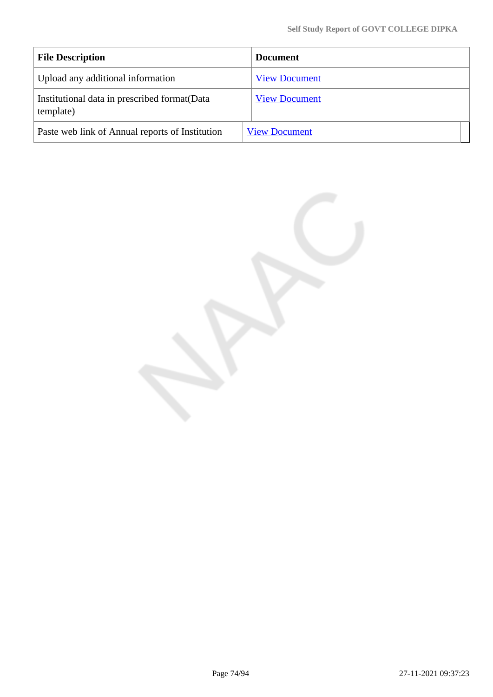| <b>File Description</b>                                    | Document             |
|------------------------------------------------------------|----------------------|
| Upload any additional information                          | <b>View Document</b> |
| Institutional data in prescribed format (Data<br>template) | <b>View Document</b> |
| Paste web link of Annual reports of Institution            | <b>View Document</b> |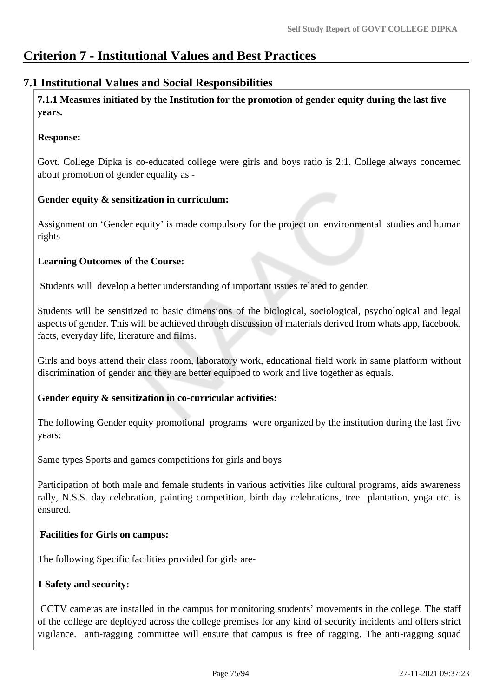# **Criterion 7 - Institutional Values and Best Practices**

# **7.1 Institutional Values and Social Responsibilities**

 **7.1.1 Measures initiated by the Institution for the promotion of gender equity during the last five years.**

#### **Response:**

Govt. College Dipka is co-educated college were girls and boys ratio is 2:1. College always concerned about promotion of gender equality as -

# **Gender equity & sensitization in curriculum:**

Assignment on 'Gender equity' is made compulsory for the project on environmental studies and human rights

# **Learning Outcomes of the Course:**

Students will develop a better understanding of important issues related to gender.

Students will be sensitized to basic dimensions of the biological, sociological, psychological and legal aspects of gender. This will be achieved through discussion of materials derived from whats app, facebook, facts, everyday life, literature and films.

Girls and boys attend their class room, laboratory work, educational field work in same platform without discrimination of gender and they are better equipped to work and live together as equals.

# **Gender equity & sensitization in co-curricular activities:**

The following Gender equity promotional programs were organized by the institution during the last five years:

Same types Sports and games competitions for girls and boys

Participation of both male and female students in various activities like cultural programs, aids awareness rally, N.S.S. day celebration, painting competition, birth day celebrations, tree plantation, yoga etc. is ensured.

# **Facilities for Girls on campus:**

The following Specific facilities provided for girls are-

# **1 Safety and security:**

 CCTV cameras are installed in the campus for monitoring students' movements in the college. The staff of the college are deployed across the college premises for any kind of security incidents and offers strict vigilance. anti-ragging committee will ensure that campus is free of ragging. The anti-ragging squad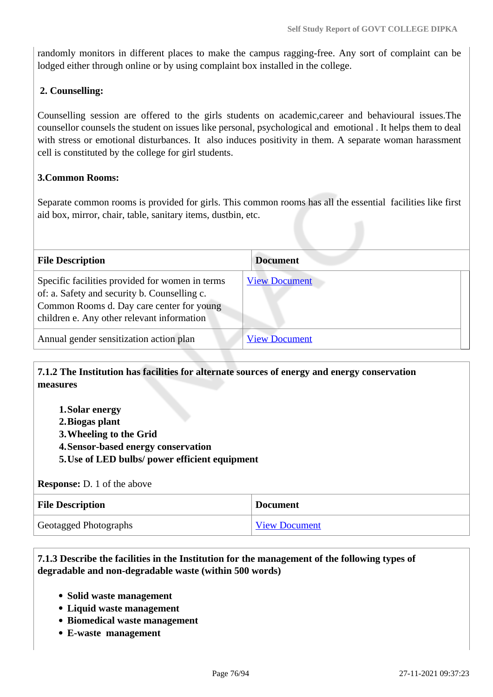randomly monitors in different places to make the campus ragging-free. Any sort of complaint can be lodged either through online or by using complaint box installed in the college.

#### **2. Counselling:**

Counselling session are offered to the girls students on academic,career and behavioural issues.The counsellor counsels the student on issues like personal, psychological and emotional . It helps them to deal with stress or emotional disturbances. It also induces positivity in them. A separate woman harassment cell is constituted by the college for girl students.

#### **3.Common Rooms:**

Separate common rooms is provided for girls. This common rooms has all the essential facilities like first aid box, mirror, chair, table, sanitary items, dustbin, etc.

| <b>File Description</b>                                                                                                                                                                    | <b>Document</b>      |
|--------------------------------------------------------------------------------------------------------------------------------------------------------------------------------------------|----------------------|
| Specific facilities provided for women in terms<br>of: a. Safety and security b. Counselling c.<br>Common Rooms d. Day care center for young<br>children e. Any other relevant information | <b>View Document</b> |
| Annual gender sensitization action plan                                                                                                                                                    | <b>View Document</b> |

#### **7.1.2 The Institution has facilities for alternate sources of energy and energy conservation measures**

- **1.Solar energy**
- **2.Biogas plant**
- **3.Wheeling to the Grid**
- **4.Sensor-based energy conservation**
- **5.Use of LED bulbs/ power efficient equipment**

#### **Response:** D. 1 of the above

| <b>File Description</b> | <b>Document</b>      |
|-------------------------|----------------------|
| Geotagged Photographs   | <b>View Document</b> |

#### **7.1.3 Describe the facilities in the Institution for the management of the following types of degradable and non-degradable waste (within 500 words)**

- **Solid waste management**
- **Liquid waste management**
- **Biomedical waste management**
- **E-waste management**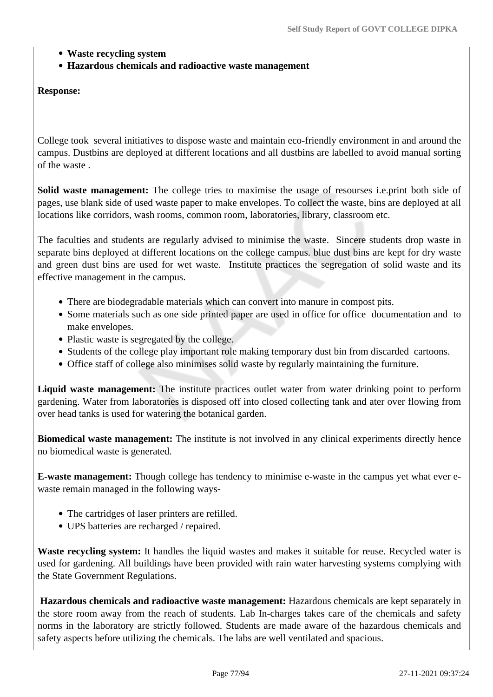- **Waste recycling system**
- **Hazardous chemicals and radioactive waste management**

#### **Response:**

College took several initiatives to dispose waste and maintain eco-friendly environment in and around the campus. Dustbins are deployed at different locations and all dustbins are labelled to avoid manual sorting of the waste .

**Solid waste management:** The college tries to maximise the usage of resourses i.e.print both side of pages, use blank side of used waste paper to make envelopes. To collect the waste, bins are deployed at all locations like corridors, wash rooms, common room, laboratories, library, classroom etc.

The faculties and students are regularly advised to minimise the waste. Sincere students drop waste in separate bins deployed at different locations on the college campus. blue dust bins are kept for dry waste and green dust bins are used for wet waste. Institute practices the segregation of solid waste and its effective management in the campus.

- There are biodegradable materials which can convert into manure in compost pits.
- Some materials such as one side printed paper are used in office for office documentation and to make envelopes.
- Plastic waste is segregated by the college.
- Students of the college play important role making temporary dust bin from discarded cartoons.
- Office staff of college also minimises solid waste by regularly maintaining the furniture.

**Liquid waste management:** The institute practices outlet water from water drinking point to perform gardening. Water from laboratories is disposed off into closed collecting tank and ater over flowing from over head tanks is used for watering the botanical garden.

**Biomedical waste management:** The institute is not involved in any clinical experiments directly hence no biomedical waste is generated.

**E-waste management:** Though college has tendency to minimise e-waste in the campus yet what ever ewaste remain managed in the following ways-

- The cartridges of laser printers are refilled.
- UPS batteries are recharged / repaired.

**Waste recycling system:** It handles the liquid wastes and makes it suitable for reuse. Recycled water is used for gardening. All buildings have been provided with rain water harvesting systems complying with the State Government Regulations.

 **Hazardous chemicals and radioactive waste management:** Hazardous chemicals are kept separately in the store room away from the reach of students. Lab In-charges takes care of the chemicals and safety norms in the laboratory are strictly followed. Students are made aware of the hazardous chemicals and safety aspects before utilizing the chemicals. The labs are well ventilated and spacious.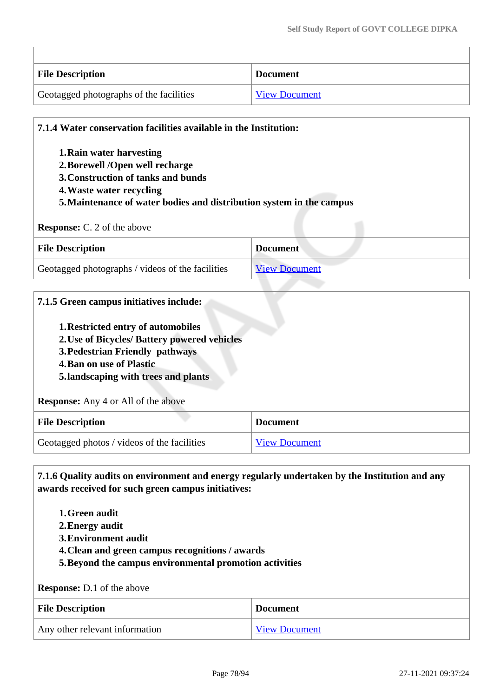| <b>File Description</b>                 | <b>Document</b>      |
|-----------------------------------------|----------------------|
| Geotagged photographs of the facilities | <b>View Document</b> |

| 1. Rain water harvesting                                              |                 |
|-----------------------------------------------------------------------|-----------------|
| 2. Borewell /Open well recharge<br>3. Construction of tanks and bunds |                 |
| 4. Waste water recycling                                              |                 |
|                                                                       |                 |
| 5. Maintenance of water bodies and distribution system in the campus  |                 |
| <b>Response:</b> C. 2 of the above                                    |                 |
| <b>File Description</b>                                               | <b>Document</b> |

| 7.1.5 Green campus initiatives include:<br>1. Restricted entry of automobiles<br>2. Use of Bicycles/ Battery powered vehicles<br>3. Pedestrian Friendly pathways<br><b>4. Ban on use of Plastic</b><br>5.landscaping with trees and plants |                      |
|--------------------------------------------------------------------------------------------------------------------------------------------------------------------------------------------------------------------------------------------|----------------------|
| <b>Response:</b> Any 4 or All of the above                                                                                                                                                                                                 |                      |
| <b>File Description</b>                                                                                                                                                                                                                    | <b>Document</b>      |
| Geotagged photos / videos of the facilities                                                                                                                                                                                                | <b>View Document</b> |

 **7.1.6 Quality audits on environment and energy regularly undertaken by the Institution and any awards received for such green campus initiatives:**

- **1.Green audit**
- **2.Energy audit**
- **3.Environment audit**
- **4.Clean and green campus recognitions / awards**
- **5.Beyond the campus environmental promotion activities**

**Response:** D.1 of the above

| <b>File Description</b>        | <b>Document</b>      |
|--------------------------------|----------------------|
| Any other relevant information | <b>View Document</b> |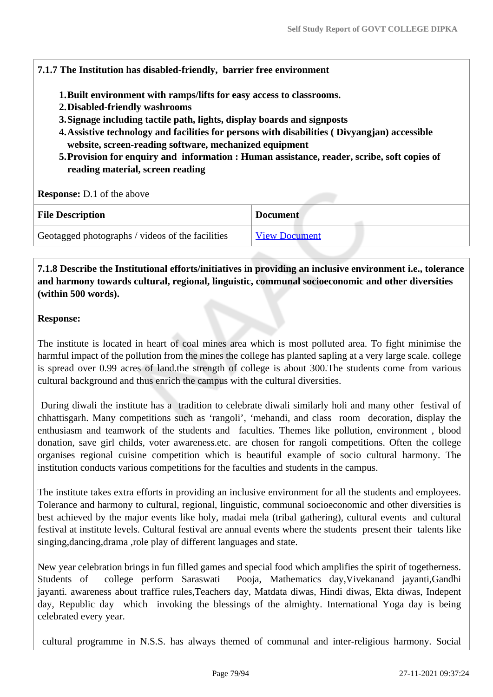#### **7.1.7 The Institution has disabled-friendly, barrier free environment**

- **1.Built environment with ramps/lifts for easy access to classrooms.**
- **2.Disabled-friendly washrooms**
- **3.Signage including tactile path, lights, display boards and signposts**
- **4.Assistive technology and facilities for persons with disabilities ( Divyangjan) accessible website, screen-reading software, mechanized equipment**
- **5.Provision for enquiry and information : Human assistance, reader, scribe, soft copies of reading material, screen reading**

**Response:** D.1 of the above

| <b>File Description</b>                          | <b>Document</b>      |
|--------------------------------------------------|----------------------|
| Geotagged photographs / videos of the facilities | <b>View Document</b> |

 **7.1.8 Describe the Institutional efforts/initiatives in providing an inclusive environment i.e., tolerance and harmony towards cultural, regional, linguistic, communal socioeconomic and other diversities (within 500 words).**

#### **Response:**

The institute is located in heart of coal mines area which is most polluted area. To fight minimise the harmful impact of the pollution from the mines the college has planted sapling at a very large scale. college is spread over 0.99 acres of land.the strength of college is about 300.The students come from various cultural background and thus enrich the campus with the cultural diversities.

 During diwali the institute has a tradition to celebrate diwali similarly holi and many other festival of chhattisgarh. Many competitions such as 'rangoli', 'mehandi, and class room decoration, display the enthusiasm and teamwork of the students and faculties. Themes like pollution, environment , blood donation, save girl childs, voter awareness.etc. are chosen for rangoli competitions. Often the college organises regional cuisine competition which is beautiful example of socio cultural harmony. The institution conducts various competitions for the faculties and students in the campus.

The institute takes extra efforts in providing an inclusive environment for all the students and employees. Tolerance and harmony to cultural, regional, linguistic, communal socioeconomic and other diversities is best achieved by the major events like holy, madai mela (tribal gathering), cultural events and cultural festival at institute levels. Cultural festival are annual events where the students present their talents like singing,dancing,drama ,role play of different languages and state.

New year celebration brings in fun filled games and special food which amplifies the spirit of togetherness. Students of college perform Saraswati Pooja, Mathematics day,Vivekanand jayanti,Gandhi jayanti. awareness about traffice rules,Teachers day, Matdata diwas, Hindi diwas, Ekta diwas, Indepent day, Republic day which invoking the blessings of the almighty. International Yoga day is being celebrated every year.

cultural programme in N.S.S. has always themed of communal and inter-religious harmony. Social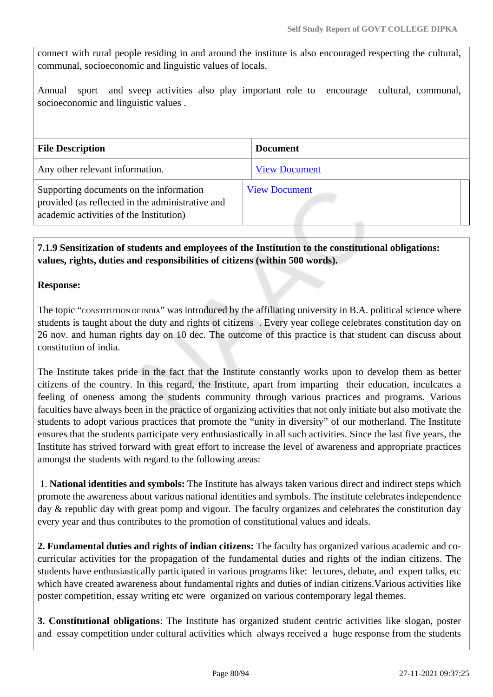connect with rural people residing in and around the institute is also encouraged respecting the cultural, communal, socioeconomic and linguistic values of locals.

Annual sport and sveep activities also play important role to encourage cultural, communal, socioeconomic and linguistic values .

| <b>File Description</b>                                                                                                                | <b>Document</b>      |
|----------------------------------------------------------------------------------------------------------------------------------------|----------------------|
| Any other relevant information.                                                                                                        | <b>View Document</b> |
| Supporting documents on the information<br>provided (as reflected in the administrative and<br>academic activities of the Institution) | <b>View Document</b> |

# **7.1.9 Sensitization of students and employees of the Institution to the constitutional obligations: values, rights, duties and responsibilities of citizens (within 500 words).**

#### **Response:**

The topic "CONSTITUTION OF INDIA" was introduced by the affiliating university in B.A. political science where students is taught about the duty and rights of citizens . Every year college celebrates constitution day on 26 nov. and human rights day on 10 dec. The outcome of this practice is that student can discuss about constitution of india.

The Institute takes pride in the fact that the Institute constantly works upon to develop them as better citizens of the country. In this regard, the Institute, apart from imparting their education, inculcates a feeling of oneness among the students community through various practices and programs. Various faculties have always been in the practice of organizing activities that not only initiate but also motivate the students to adopt various practices that promote the "unity in diversity" of our motherland. The Institute ensures that the students participate very enthusiastically in all such activities. Since the last five years, the Institute has strived forward with great effort to increase the level of awareness and appropriate practices amongst the students with regard to the following areas:

 1. **National identities and symbols:** The Institute has always taken various direct and indirect steps which promote the awareness about various national identities and symbols. The institute celebrates independence day & republic day with great pomp and vigour. The faculty organizes and celebrates the constitution day every year and thus contributes to the promotion of constitutional values and ideals.

**2. Fundamental duties and rights of indian citizens:** The faculty has organized various academic and cocurricular activities for the propagation of the fundamental duties and rights of the indian citizens. The students have enthusiastically participated in various programs like: lectures, debate, and expert talks, etc which have created awareness about fundamental rights and duties of indian citizens.Various activities like poster competition, essay writing etc were organized on various contemporary legal themes.

**3. Constitutional obligations**: The Institute has organized student centric activities like slogan, poster and essay competition under cultural activities which always received a huge response from the students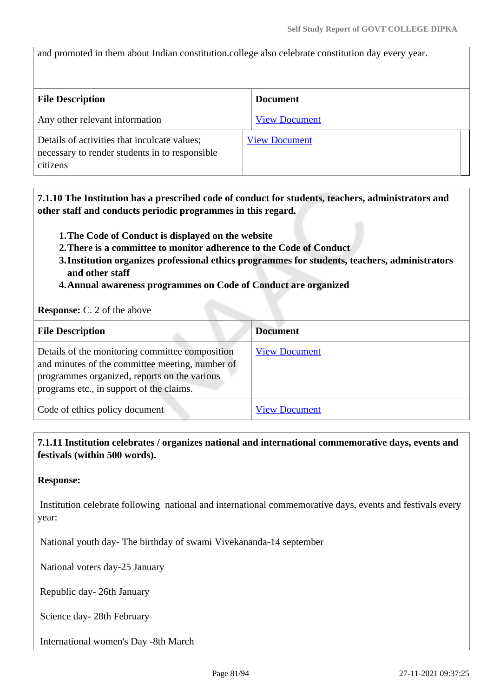and promoted in them about Indian constitution.college also celebrate constitution day every year.

| <b>File Description</b>                                                                                    | <b>Document</b>      |
|------------------------------------------------------------------------------------------------------------|----------------------|
| Any other relevant information                                                                             | <b>View Document</b> |
| Details of activities that inculcate values;<br>necessary to render students in to responsible<br>citizens | <b>View Document</b> |

 **7.1.10 The Institution has a prescribed code of conduct for students, teachers, administrators and other staff and conducts periodic programmes in this regard.** 

- **1.The Code of Conduct is displayed on the website**
- **2.There is a committee to monitor adherence to the Code of Conduct**
- **3.Institution organizes professional ethics programmes for students, teachers, administrators and other staff**
- **4.Annual awareness programmes on Code of Conduct are organized**

**Response:** C. 2 of the above

| <b>File Description</b>                                                                                                                                                                        | <b>Document</b>      |
|------------------------------------------------------------------------------------------------------------------------------------------------------------------------------------------------|----------------------|
| Details of the monitoring committee composition<br>and minutes of the committee meeting, number of<br>programmes organized, reports on the various<br>programs etc., in support of the claims. | <b>View Document</b> |
| Code of ethics policy document                                                                                                                                                                 | <b>View Document</b> |

 **7.1.11 Institution celebrates / organizes national and international commemorative days, events and festivals (within 500 words).**

**Response:** 

 Institution celebrate following national and international commemorative days, events and festivals every year:

National youth day- The birthday of swami Vivekananda-14 september

National voters day-25 January

Republic day- 26th January

Science day- 28th February

International women's Day -8th March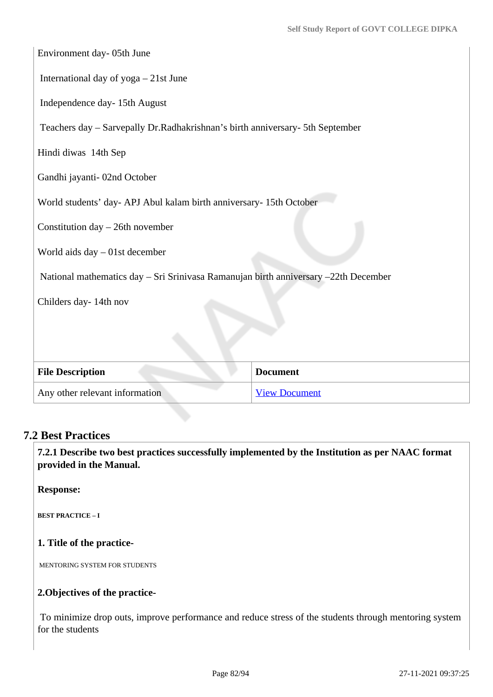| Environment day- 05th June                                                          |                      |  |  |  |  |
|-------------------------------------------------------------------------------------|----------------------|--|--|--|--|
| International day of yoga - 21st June                                               |                      |  |  |  |  |
| Independence day- 15th August                                                       |                      |  |  |  |  |
| Teachers day - Sarvepally Dr. Radhakrishnan's birth anniversary- 5th September      |                      |  |  |  |  |
| Hindi diwas 14th Sep                                                                |                      |  |  |  |  |
| Gandhi jayanti-02nd October                                                         |                      |  |  |  |  |
| World students' day- APJ Abul kalam birth anniversary- 15th October                 |                      |  |  |  |  |
| Constitution day - 26th november                                                    |                      |  |  |  |  |
| World aids day $-01$ st december                                                    |                      |  |  |  |  |
| National mathematics day - Sri Srinivasa Ramanujan birth anniversary -22th December |                      |  |  |  |  |
| Childers day-14th nov                                                               |                      |  |  |  |  |
|                                                                                     |                      |  |  |  |  |
|                                                                                     |                      |  |  |  |  |
| <b>File Description</b>                                                             | <b>Document</b>      |  |  |  |  |
| Any other relevant information                                                      | <b>View Document</b> |  |  |  |  |

# **7.2 Best Practices**

 **7.2.1 Describe two best practices successfully implemented by the Institution as per NAAC format provided in the Manual.**

**Response:** 

**BEST PRACTICE – I**

#### **1. Title of the practice-**

MENTORING SYSTEM FOR STUDENTS

### **2.Objectives of the practice-**

 To minimize drop outs, improve performance and reduce stress of the students through mentoring system for the students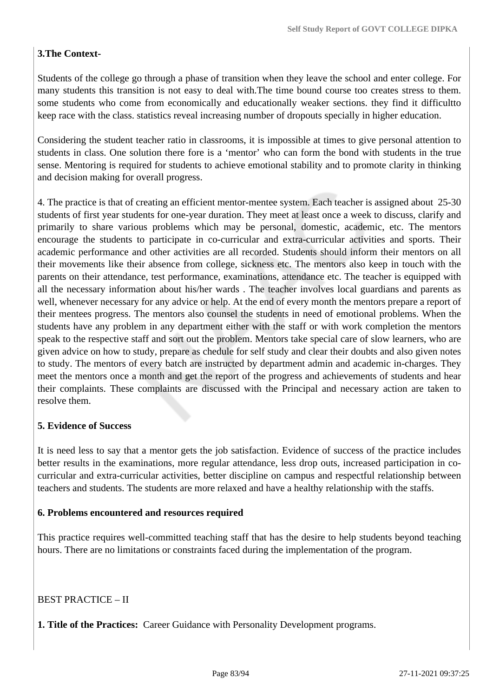# **3.The Context-**

Students of the college go through a phase of transition when they leave the school and enter college. For many students this transition is not easy to deal with.The time bound course too creates stress to them. some students who come from economically and educationally weaker sections. they find it difficultto keep race with the class. statistics reveal increasing number of dropouts specially in higher education.

Considering the student teacher ratio in classrooms, it is impossible at times to give personal attention to students in class. One solution there fore is a 'mentor' who can form the bond with students in the true sense. Mentoring is required for students to achieve emotional stability and to promote clarity in thinking and decision making for overall progress.

4. The practice is that of creating an efficient mentor-mentee system. Each teacher is assigned about 25-30 students of first year students for one-year duration. They meet at least once a week to discuss, clarify and primarily to share various problems which may be personal, domestic, academic, etc. The mentors encourage the students to participate in co-curricular and extra-curricular activities and sports. Their academic performance and other activities are all recorded. Students should inform their mentors on all their movements like their absence from college, sickness etc. The mentors also keep in touch with the parents on their attendance, test performance, examinations, attendance etc. The teacher is equipped with all the necessary information about his/her wards . The teacher involves local guardians and parents as well, whenever necessary for any advice or help. At the end of every month the mentors prepare a report of their mentees progress. The mentors also counsel the students in need of emotional problems. When the students have any problem in any department either with the staff or with work completion the mentors speak to the respective staff and sort out the problem. Mentors take special care of slow learners, who are given advice on how to study, prepare as chedule for self study and clear their doubts and also given notes to study. The mentors of every batch are instructed by department admin and academic in-charges. They meet the mentors once a month and get the report of the progress and achievements of students and hear their complaints. These complaints are discussed with the Principal and necessary action are taken to resolve them.

#### **5. Evidence of Success**

It is need less to say that a mentor gets the job satisfaction. Evidence of success of the practice includes better results in the examinations, more regular attendance, less drop outs, increased participation in cocurricular and extra-curricular activities, better discipline on campus and respectful relationship between teachers and students. The students are more relaxed and have a healthy relationship with the staffs.

#### **6. Problems encountered and resources required**

This practice requires well-committed teaching staff that has the desire to help students beyond teaching hours. There are no limitations or constraints faced during the implementation of the program.

BEST PRACTICE – II

**1. Title of the Practices:** Career Guidance with Personality Development programs.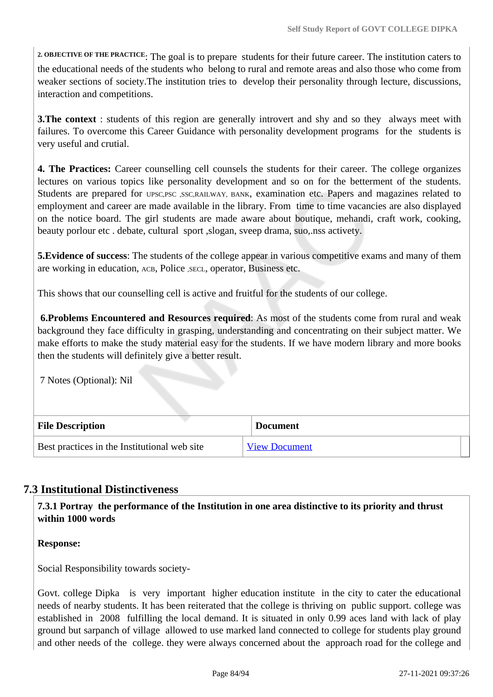**2. OBJECTIVE OF THE PRACTICE**: The goal is to prepare students for their future career. The institution caters to the educational needs of the students who belong to rural and remote areas and also those who come from weaker sections of society.The institution tries to develop their personality through lecture, discussions, interaction and competitions.

**3. The context** : students of this region are generally introvert and shy and so they always meet with failures. To overcome this Career Guidance with personality development programs for the students is very useful and crutial.

**4. The Practices:** Career counselling cell counsels the students for their career. The college organizes lectures on various topics like personality development and so on for the betterment of the students. Students are prepared for UPSC,PSC ,SSC,RAILWAY, BANK, examination etc. Papers and magazines related to employment and career are made available in the library. From time to time vacancies are also displayed on the notice board. The girl students are made aware about boutique, mehandi, craft work, cooking, beauty porlour etc . debate, cultural sport ,slogan, sveep drama, suo,.nss activety.

**5.Evidence of success**: The students of the college appear in various competitive exams and many of them are working in education, ACB, Police , SECL, operator, Business etc.

This shows that our counselling cell is active and fruitful for the students of our college.

 **6.Problems Encountered and Resources required**: As most of the students come from rural and weak background they face difficulty in grasping, understanding and concentrating on their subject matter. We make efforts to make the study material easy for the students. If we have modern library and more books then the students will definitely give a better result.

7 Notes (Optional): Nil

| <b>File Description</b>                      | <b>Document</b>      |
|----------------------------------------------|----------------------|
| Best practices in the Institutional web site | <b>View Document</b> |

# **7.3 Institutional Distinctiveness**

 **7.3.1 Portray the performance of the Institution in one area distinctive to its priority and thrust within 1000 words**

**Response:** 

Social Responsibility towards society-

Govt. college Dipka is very important higher education institute in the city to cater the educational needs of nearby students. It has been reiterated that the college is thriving on public support. college was established in 2008 fulfilling the local demand. It is situated in only 0.99 aces land with lack of play ground but sarpanch of village allowed to use marked land connected to college for students play ground and other needs of the college. they were always concerned about the approach road for the college and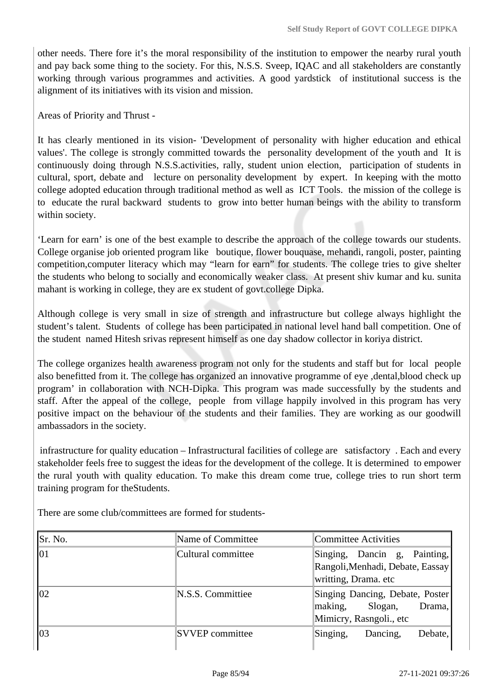other needs. There fore it's the moral responsibility of the institution to empower the nearby rural youth and pay back some thing to the society. For this, N.S.S. Sveep, IQAC and all stakeholders are constantly working through various programmes and activities. A good yardstick of institutional success is the alignment of its initiatives with its vision and mission.

Areas of Priority and Thrust -

It has clearly mentioned in its vision- 'Development of personality with higher education and ethical values'. The college is strongly committed towards the personality development of the youth and It is continuously doing through N.S.S.activities, rally, student union election, participation of students in cultural, sport, debate and lecture on personality development by expert. In keeping with the motto college adopted education through traditional method as well as ICT Tools. the mission of the college is to educate the rural backward students to grow into better human beings with the ability to transform within society.

'Learn for earn' is one of the best example to describe the approach of the college towards our students. College organise job oriented program like boutique, flower bouquase, mehandi, rangoli, poster, painting competition,computer literacy which may "learn for earn" for students. The college tries to give shelter the students who belong to socially and economically weaker class. At present shiv kumar and ku. sunita mahant is working in college, they are ex student of govt.college Dipka.

Although college is very small in size of strength and infrastructure but college always highlight the student's talent. Students of college has been participated in national level hand ball competition. One of the student named Hitesh srivas represent himself as one day shadow collector in koriya district.

The college organizes health awareness program not only for the students and staff but for local people also benefitted from it. The college has organized an innovative programme of eye ,dental,blood check up program' in collaboration with NCH-Dipka. This program was made successfully by the students and staff. After the appeal of the college, people from village happily involved in this program has very positive impact on the behaviour of the students and their families. They are working as our goodwill ambassadors in the society.

 infrastructure for quality education – Infrastructural facilities of college are satisfactory . Each and every stakeholder feels free to suggest the ideas for the development of the college. It is determined to empower the rural youth with quality education. To make this dream come true, college tries to run short term training program for theStudents.

There are some club/committees are formed for students-

| Sr. No. | Name of Committee      | Committee Activities                                                                       |  |  |  |
|---------|------------------------|--------------------------------------------------------------------------------------------|--|--|--|
| 101     | Cultural committee     | Singing, Dancin g, Painting,<br>Rangoli, Menhadi, Debate, Eassay<br>writting, Drama. etc   |  |  |  |
| 102     | N.S.S. Committiee      | Singing Dancing, Debate, Poster<br>making,<br>Slogan,<br>Drama,<br>Mimicry, Rasngoli., etc |  |  |  |
| 103     | <b>SVVEP</b> committee | Singing,<br>Debate,<br>Dancing,                                                            |  |  |  |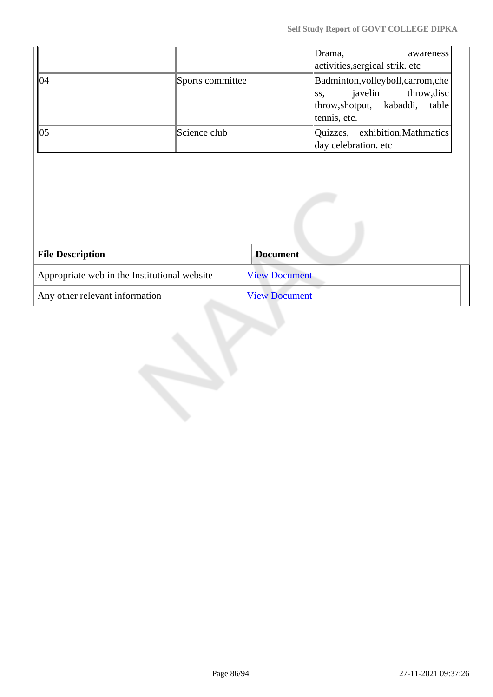| 04                                           | Sports committee | Drama,<br>awareness<br>activities, sergical strik. etc<br>Badminton, volleyboll, carrom, che<br>javelin<br>throw, disc<br>SS,<br>throw, shotput, kabaddi, table<br>tennis, etc. |
|----------------------------------------------|------------------|---------------------------------------------------------------------------------------------------------------------------------------------------------------------------------|
| 05                                           | Science club     | Quizzes, exhibition, Mathmatics<br>day celebration. etc                                                                                                                         |
|                                              |                  |                                                                                                                                                                                 |
| <b>File Description</b>                      |                  | <b>Document</b>                                                                                                                                                                 |
| Appropriate web in the Institutional website |                  | <b>View Document</b>                                                                                                                                                            |
| Any other relevant information               |                  | <b>View Document</b>                                                                                                                                                            |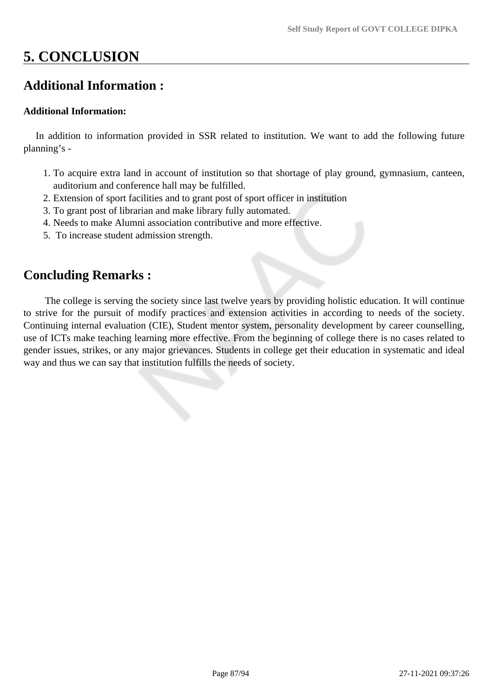# **5. CONCLUSION**

# **Additional Information :**

#### **Additional Information:**

 In addition to information provided in SSR related to institution. We want to add the following future planning's -

- 1. To acquire extra land in account of institution so that shortage of play ground, gymnasium, canteen, auditorium and conference hall may be fulfilled.
- 2. Extension of sport facilities and to grant post of sport officer in institution
- 3. To grant post of librarian and make library fully automated.
- 4. Needs to make Alumni association contributive and more effective.
- 5. To increase student admission strength.

# **Concluding Remarks :**

 The college is serving the society since last twelve years by providing holistic education. It will continue to strive for the pursuit of modify practices and extension activities in according to needs of the society. Continuing internal evaluation (CIE), Student mentor system, personality development by career counselling, use of ICTs make teaching learning more effective. From the beginning of college there is no cases related to gender issues, strikes, or any major grievances. Students in college get their education in systematic and ideal way and thus we can say that institution fulfills the needs of society.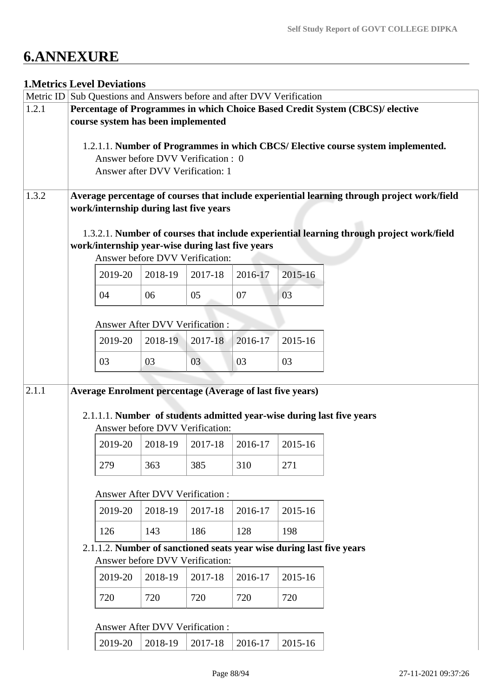# **6.ANNEXURE**

# **1.Metrics Level Deviations**

|       |                                                                                                                                       | <b>1. VIELFIUS LEVEL DEVIATIONS</b><br>Metric ID Sub Questions and Answers before and after DVV Verification |                                       |                                    |         |         |                                                                                          |  |  |
|-------|---------------------------------------------------------------------------------------------------------------------------------------|--------------------------------------------------------------------------------------------------------------|---------------------------------------|------------------------------------|---------|---------|------------------------------------------------------------------------------------------|--|--|
| 1.2.1 |                                                                                                                                       |                                                                                                              |                                       |                                    |         |         | Percentage of Programmes in which Choice Based Credit System (CBCS)/ elective            |  |  |
|       |                                                                                                                                       | course system has been implemented                                                                           |                                       |                                    |         |         |                                                                                          |  |  |
|       |                                                                                                                                       |                                                                                                              |                                       |                                    |         |         | 1.2.1.1. Number of Programmes in which CBCS/ Elective course system implemented.         |  |  |
|       |                                                                                                                                       |                                                                                                              |                                       | Answer before DVV Verification : 0 |         |         |                                                                                          |  |  |
|       |                                                                                                                                       |                                                                                                              |                                       | Answer after DVV Verification: 1   |         |         |                                                                                          |  |  |
| 1.3.2 | Average percentage of courses that include experiential learning through project work/field<br>work/internship during last five years |                                                                                                              |                                       |                                    |         |         |                                                                                          |  |  |
|       |                                                                                                                                       | work/internship year-wise during last five years                                                             |                                       | Answer before DVV Verification:    |         |         | 1.3.2.1. Number of courses that include experiential learning through project work/field |  |  |
|       |                                                                                                                                       | 2019-20                                                                                                      | 2018-19                               | 2017-18                            | 2016-17 | 2015-16 |                                                                                          |  |  |
|       |                                                                                                                                       | 04                                                                                                           | 06                                    | 05                                 | 07      | 03      |                                                                                          |  |  |
|       |                                                                                                                                       |                                                                                                              | <b>Answer After DVV Verification:</b> |                                    |         |         |                                                                                          |  |  |
|       |                                                                                                                                       | 2019-20                                                                                                      | 2018-19                               | 2017-18                            | 2016-17 | 2015-16 |                                                                                          |  |  |
|       |                                                                                                                                       | 03                                                                                                           | 03                                    | 03                                 | 03      | 03      |                                                                                          |  |  |
| 2.1.1 |                                                                                                                                       | <b>Average Enrolment percentage (Average of last five years)</b>                                             |                                       | Answer before DVV Verification:    |         |         | 2.1.1.1. Number of students admitted year-wise during last five years                    |  |  |
|       |                                                                                                                                       | 2019-20                                                                                                      | 2018-19                               | 2017-18                            | 2016-17 | 2015-16 |                                                                                          |  |  |
|       |                                                                                                                                       | 279                                                                                                          | 363                                   | 385                                | 310     | 271     |                                                                                          |  |  |
|       |                                                                                                                                       |                                                                                                              | <b>Answer After DVV Verification:</b> |                                    |         |         |                                                                                          |  |  |
|       |                                                                                                                                       | 2019-20                                                                                                      | 2018-19                               | 2017-18                            | 2016-17 | 2015-16 |                                                                                          |  |  |
|       |                                                                                                                                       | 126                                                                                                          | 143                                   | 186                                | 128     | 198     |                                                                                          |  |  |
|       |                                                                                                                                       | 2.1.1.2. Number of sanctioned seats year wise during last five years                                         |                                       | Answer before DVV Verification:    |         |         |                                                                                          |  |  |
|       |                                                                                                                                       | 2019-20                                                                                                      | 2018-19                               | 2017-18                            | 2016-17 | 2015-16 |                                                                                          |  |  |
|       |                                                                                                                                       | 720                                                                                                          | 720                                   | 720                                | 720     | 720     |                                                                                          |  |  |
|       |                                                                                                                                       |                                                                                                              | <b>Answer After DVV Verification:</b> |                                    |         |         |                                                                                          |  |  |
|       |                                                                                                                                       | 2019-20                                                                                                      | 2018-19                               | 2017-18                            | 2016-17 | 2015-16 |                                                                                          |  |  |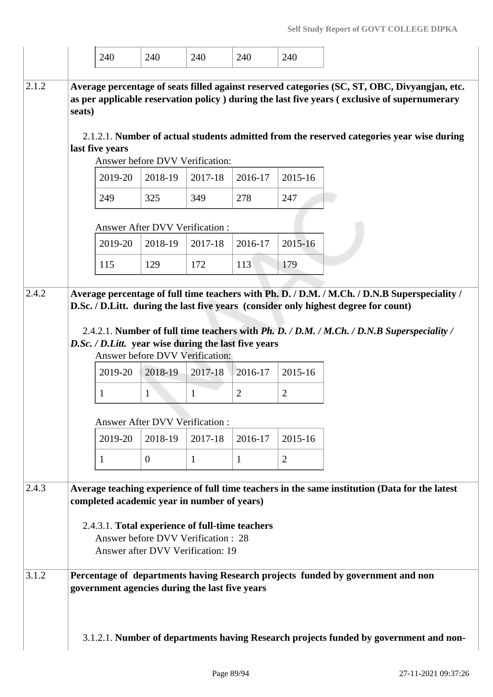|       | 240                                                                                   |         | 240                                   | 240                                             | 240            | 240            |                                                                                                                                                                                                |
|-------|---------------------------------------------------------------------------------------|---------|---------------------------------------|-------------------------------------------------|----------------|----------------|------------------------------------------------------------------------------------------------------------------------------------------------------------------------------------------------|
| 2.1.2 | seats)                                                                                |         |                                       |                                                 |                |                | Average percentage of seats filled against reserved categories (SC, ST, OBC, Divyangjan, etc.<br>as per applicable reservation policy ) during the last five years (exclusive of supernumerary |
|       | last five years                                                                       |         |                                       |                                                 |                |                | 2.1.2.1. Number of actual students admitted from the reserved categories year wise during                                                                                                      |
|       |                                                                                       |         |                                       | Answer before DVV Verification:                 |                |                |                                                                                                                                                                                                |
|       | 2019-20                                                                               |         | 2018-19                               | 2017-18                                         | 2016-17        | 2015-16        |                                                                                                                                                                                                |
|       | 249                                                                                   |         | 325                                   | 349                                             | 278            | 247            |                                                                                                                                                                                                |
|       |                                                                                       |         | <b>Answer After DVV Verification:</b> |                                                 |                |                |                                                                                                                                                                                                |
|       |                                                                                       | 2019-20 | 2018-19                               | 2017-18                                         | 2016-17        | $2015 - 16$    |                                                                                                                                                                                                |
|       | 115                                                                                   |         | 129                                   | 172                                             | 113            | 179            |                                                                                                                                                                                                |
|       |                                                                                       |         |                                       |                                                 |                |                |                                                                                                                                                                                                |
| 2.4.2 |                                                                                       |         |                                       |                                                 |                |                | Average percentage of full time teachers with Ph. D. / D.M. / M.Ch. / D.N.B Superspeciality /<br>D.Sc. / D.Litt. during the last five years (consider only highest degree for count)           |
|       |                                                                                       |         |                                       |                                                 |                |                |                                                                                                                                                                                                |
|       | D.Sc. / D.Litt. year wise during the last five years                                  |         |                                       |                                                 |                |                | 2.4.2.1. Number of full time teachers with Ph. D. / D.M. / M.Ch. / D.N.B Superspeciality /                                                                                                     |
|       |                                                                                       |         |                                       | Answer before DVV Verification:                 |                |                |                                                                                                                                                                                                |
|       |                                                                                       | 2019-20 | 2018-19                               | 2017-18                                         | 2016-17        | 2015-16        |                                                                                                                                                                                                |
|       | 1                                                                                     |         | $\mathbf{1}$                          | $\mathbf{1}$                                    | $\overline{2}$ | $\overline{2}$ |                                                                                                                                                                                                |
|       |                                                                                       |         | <b>Answer After DVV Verification:</b> |                                                 |                |                |                                                                                                                                                                                                |
|       |                                                                                       | 2019-20 | 2018-19                               | 2017-18                                         | 2016-17        | 2015-16        |                                                                                                                                                                                                |
|       | 1                                                                                     |         | $\overline{0}$                        | 1                                               | $\mathbf{1}$   | $\overline{2}$ |                                                                                                                                                                                                |
| 2.4.3 |                                                                                       |         |                                       |                                                 |                |                | Average teaching experience of full time teachers in the same institution (Data for the latest                                                                                                 |
|       | completed academic year in number of years)                                           |         |                                       |                                                 |                |                |                                                                                                                                                                                                |
|       |                                                                                       |         |                                       | 2.4.3.1. Total experience of full-time teachers |                |                |                                                                                                                                                                                                |
|       |                                                                                       |         |                                       | Answer before DVV Verification: 28              |                |                |                                                                                                                                                                                                |
|       |                                                                                       |         |                                       | Answer after DVV Verification: 19               |                |                |                                                                                                                                                                                                |
| 3.1.2 | government agencies during the last five years                                        |         |                                       |                                                 |                |                | Percentage of departments having Research projects funded by government and non                                                                                                                |
|       | 3.1.2.1. Number of departments having Research projects funded by government and non- |         |                                       |                                                 |                |                |                                                                                                                                                                                                |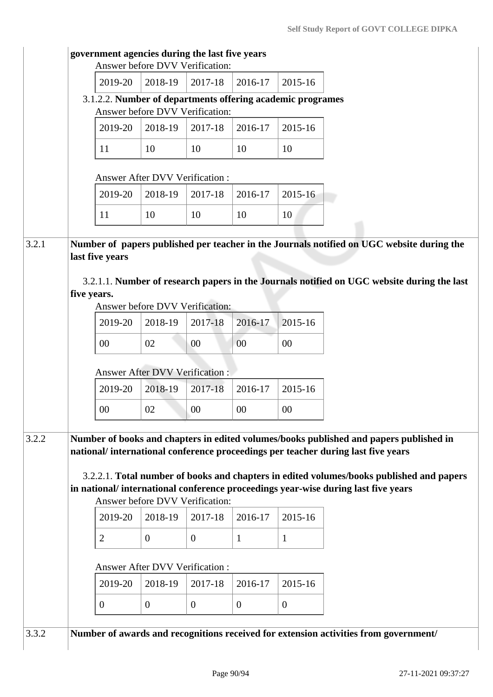|       | government agencies during the last five years             |                  | Answer before DVV Verification:       |              |                |                                                                                                                                                                                                                                                                                                                                                             |
|-------|------------------------------------------------------------|------------------|---------------------------------------|--------------|----------------|-------------------------------------------------------------------------------------------------------------------------------------------------------------------------------------------------------------------------------------------------------------------------------------------------------------------------------------------------------------|
|       | 2019-20                                                    | 2018-19          | 2017-18                               | 2016-17      | 2015-16        |                                                                                                                                                                                                                                                                                                                                                             |
|       | 3.1.2.2. Number of departments offering academic programes |                  | Answer before DVV Verification:       |              |                |                                                                                                                                                                                                                                                                                                                                                             |
|       | 2019-20                                                    | 2018-19          | 2017-18                               | 2016-17      | 2015-16        |                                                                                                                                                                                                                                                                                                                                                             |
|       | 11                                                         | 10               | 10                                    | 10           | 10             |                                                                                                                                                                                                                                                                                                                                                             |
|       |                                                            |                  | Answer After DVV Verification :       |              |                |                                                                                                                                                                                                                                                                                                                                                             |
|       | 2019-20                                                    | 2018-19          | 2017-18                               | 2016-17      | 2015-16        |                                                                                                                                                                                                                                                                                                                                                             |
|       | 11                                                         | 10               | 10                                    | 10           | 10             |                                                                                                                                                                                                                                                                                                                                                             |
| 3.2.1 | last five years<br>five years.                             |                  |                                       |              |                | Number of papers published per teacher in the Journals notified on UGC website during the<br>3.2.1.1. Number of research papers in the Journals notified on UGC website during the last                                                                                                                                                                     |
|       |                                                            |                  | Answer before DVV Verification:       |              |                |                                                                                                                                                                                                                                                                                                                                                             |
|       | 2019-20                                                    | 2018-19          | 2017-18                               | 2016-17      | 2015-16        |                                                                                                                                                                                                                                                                                                                                                             |
|       | 00                                                         | 02               | 00                                    | 00           | 00             |                                                                                                                                                                                                                                                                                                                                                             |
|       |                                                            |                  | <b>Answer After DVV Verification:</b> |              |                |                                                                                                                                                                                                                                                                                                                                                             |
|       | 2019-20                                                    | 2018-19          | 2017-18                               | 2016-17      | 2015-16        |                                                                                                                                                                                                                                                                                                                                                             |
|       | 00                                                         | 02               | 00                                    | 00           | 00             |                                                                                                                                                                                                                                                                                                                                                             |
| 3.2.2 |                                                            |                  | Answer before DVV Verification:       |              |                | Number of books and chapters in edited volumes/books published and papers published in<br>national/international conference proceedings per teacher during last five years<br>3.2.2.1. Total number of books and chapters in edited volumes/books published and papers<br>in national/international conference proceedings year-wise during last five years |
|       | 2019-20                                                    | 2018-19          | 2017-18                               | 2016-17      | 2015-16        |                                                                                                                                                                                                                                                                                                                                                             |
|       | $\overline{2}$                                             | $\mathbf{0}$     | $\overline{0}$                        | $\mathbf{1}$ | $\mathbf{1}$   |                                                                                                                                                                                                                                                                                                                                                             |
|       |                                                            |                  | Answer After DVV Verification :       |              |                |                                                                                                                                                                                                                                                                                                                                                             |
|       | 2019-20                                                    | 2018-19          | 2017-18                               | 2016-17      | 2015-16        |                                                                                                                                                                                                                                                                                                                                                             |
|       | $\boldsymbol{0}$                                           | $\boldsymbol{0}$ | $\overline{0}$                        | $\mathbf{0}$ | $\overline{0}$ |                                                                                                                                                                                                                                                                                                                                                             |
| 3.3.2 |                                                            |                  |                                       |              |                | Number of awards and recognitions received for extension activities from government/                                                                                                                                                                                                                                                                        |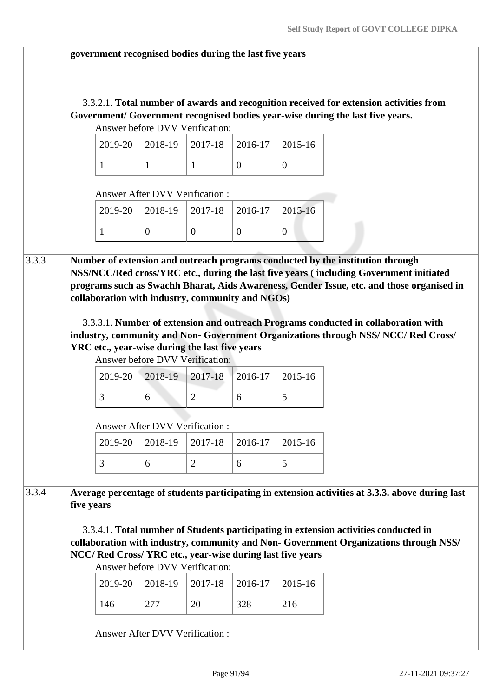#### **government recognised bodies during the last five years**

#### 3.3.2.1. **Total number of awards and recognition received for extension activities from Government/ Government recognised bodies year-wise during the last five years.** Answer before DVV Verification:

|  | Allswer before D v v verification. | $\vert$ 2019-20 $\vert$ 2018-19 $\vert$ 2017-18 $\vert$ 2016-17 $\vert$ 2015-16 |  |
|--|------------------------------------|---------------------------------------------------------------------------------|--|
|  |                                    |                                                                                 |  |

Answer After DVV Verification :

|  | $2019-20$   2018-19   2017-18   2016-17   2015-16 |  |
|--|---------------------------------------------------|--|
|  |                                                   |  |

3.3.3 **Number of extension and outreach programs conducted by the institution through NSS/NCC/Red cross/YRC etc., during the last five years ( including Government initiated programs such as Swachh Bharat, Aids Awareness, Gender Issue, etc. and those organised in collaboration with industry, community and NGOs)**

> 3.3.3.1. **Number of extension and outreach Programs conducted in collaboration with industry, community and Non- Government Organizations through NSS/ NCC/ Red Cross/ YRC etc., year-wise during the last five years**

Answer before DVV Verification:

|  | $2019-20$   2018-19   2017-18   2016-17   2015-16 |  |
|--|---------------------------------------------------|--|
|  |                                                   |  |

Answer After DVV Verification :

|  | $2019-20$   2018-19   2017-18   2016-17   2015-16 |  |  |
|--|---------------------------------------------------|--|--|
|  |                                                   |  |  |

3.3.4 **Average percentage of students participating in extension activities at 3.3.3. above during last five years**

 3.3.4.1. **Total number of Students participating in extension activities conducted in collaboration with industry, community and Non- Government Organizations through NSS/ NCC/ Red Cross/ YRC etc., year-wise during last five years**

Answer before DVV Verification:

|     |     | $2019-20$   2018-19   2017-18   2016-17   2015-16 |     |     |
|-----|-----|---------------------------------------------------|-----|-----|
| 146 | 277 | 20                                                | 328 | 216 |

Answer After DVV Verification :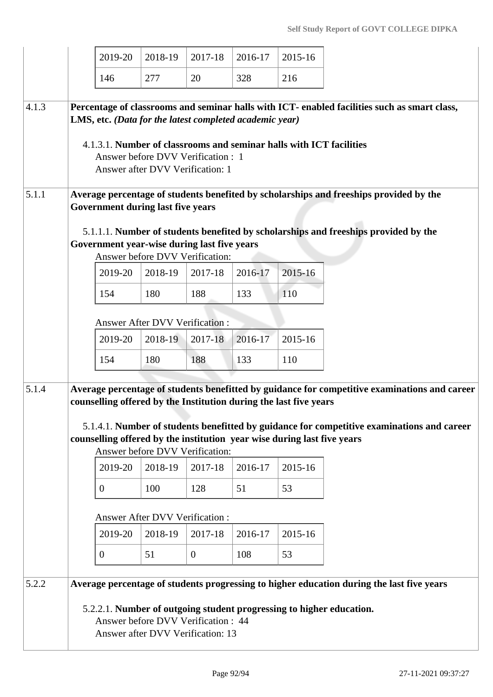|       |                                                                                                                                                                                                                                                                                                          | 2019-20                                                                                                                                                                                                                                                                                                                                                                        | 2018-19 | 2017-18      | 2016-17 | 2015-16 |  |  |  |  |  |
|-------|----------------------------------------------------------------------------------------------------------------------------------------------------------------------------------------------------------------------------------------------------------------------------------------------------------|--------------------------------------------------------------------------------------------------------------------------------------------------------------------------------------------------------------------------------------------------------------------------------------------------------------------------------------------------------------------------------|---------|--------------|---------|---------|--|--|--|--|--|
|       |                                                                                                                                                                                                                                                                                                          | 146                                                                                                                                                                                                                                                                                                                                                                            | 277     | 20           | 328     | 216     |  |  |  |  |  |
| 4.1.3 | Percentage of classrooms and seminar halls with ICT- enabled facilities such as smart class,<br>LMS, etc. (Data for the latest completed academic year)<br>4.1.3.1. Number of classrooms and seminar halls with ICT facilities<br>Answer before DVV Verification : 1<br>Answer after DVV Verification: 1 |                                                                                                                                                                                                                                                                                                                                                                                |         |              |         |         |  |  |  |  |  |
| 5.1.1 | Average percentage of students benefited by scholarships and freeships provided by the<br>Government during last five years<br>5.1.1.1. Number of students benefited by scholarships and freeships provided by the<br>Government year-wise during last five years<br>Answer before DVV Verification:     |                                                                                                                                                                                                                                                                                                                                                                                |         |              |         |         |  |  |  |  |  |
|       |                                                                                                                                                                                                                                                                                                          |                                                                                                                                                                                                                                                                                                                                                                                |         |              |         |         |  |  |  |  |  |
|       |                                                                                                                                                                                                                                                                                                          | 2019-20                                                                                                                                                                                                                                                                                                                                                                        | 2018-19 | 2017-18      | 2016-17 | 2015-16 |  |  |  |  |  |
|       |                                                                                                                                                                                                                                                                                                          | 154                                                                                                                                                                                                                                                                                                                                                                            | 180     | 188          | 133     | 110     |  |  |  |  |  |
|       |                                                                                                                                                                                                                                                                                                          | Answer After DVV Verification :                                                                                                                                                                                                                                                                                                                                                |         |              |         |         |  |  |  |  |  |
|       |                                                                                                                                                                                                                                                                                                          | 2019-20                                                                                                                                                                                                                                                                                                                                                                        | 2018-19 | 2017-18      | 2016-17 | 2015-16 |  |  |  |  |  |
|       |                                                                                                                                                                                                                                                                                                          | 154                                                                                                                                                                                                                                                                                                                                                                            | 180     | 188          | 133     | 110     |  |  |  |  |  |
| 5.1.4 |                                                                                                                                                                                                                                                                                                          | Average percentage of students benefitted by guidance for competitive examinations and career<br>counselling offered by the Institution during the last five years<br>5.1.4.1. Number of students benefitted by guidance for competitive examinations and career<br>counselling offered by the institution year wise during last five years<br>Answer before DVV Verification: |         |              |         |         |  |  |  |  |  |
|       |                                                                                                                                                                                                                                                                                                          | 2019-20                                                                                                                                                                                                                                                                                                                                                                        | 2018-19 | 2017-18      | 2016-17 | 2015-16 |  |  |  |  |  |
|       |                                                                                                                                                                                                                                                                                                          | $\overline{0}$                                                                                                                                                                                                                                                                                                                                                                 | 100     | 128          | 51      | 53      |  |  |  |  |  |
|       |                                                                                                                                                                                                                                                                                                          | <b>Answer After DVV Verification:</b>                                                                                                                                                                                                                                                                                                                                          |         |              |         |         |  |  |  |  |  |
|       |                                                                                                                                                                                                                                                                                                          | 2019-20                                                                                                                                                                                                                                                                                                                                                                        | 2018-19 | 2017-18      | 2016-17 | 2015-16 |  |  |  |  |  |
|       |                                                                                                                                                                                                                                                                                                          | $\boldsymbol{0}$                                                                                                                                                                                                                                                                                                                                                               | 51      | $\mathbf{0}$ | 108     | 53      |  |  |  |  |  |
| 5.2.2 | Average percentage of students progressing to higher education during the last five years                                                                                                                                                                                                                |                                                                                                                                                                                                                                                                                                                                                                                |         |              |         |         |  |  |  |  |  |
|       |                                                                                                                                                                                                                                                                                                          | 5.2.2.1. Number of outgoing student progressing to higher education.<br>Answer before DVV Verification : 44<br>Answer after DVV Verification: 13                                                                                                                                                                                                                               |         |              |         |         |  |  |  |  |  |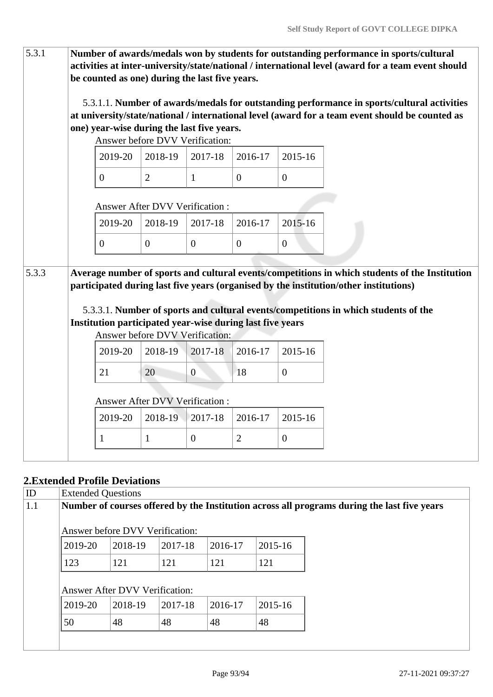| 5.3.1 |                                       | Number of awards/medals won by students for outstanding performance in sports/cultural<br>activities at inter-university/state/national / international level (award for a team event should<br>be counted as one) during the last five years.                                                                                                                                 |                                 |                  |                  |                  |                                                                                                                                                                                               |  |  |  |
|-------|---------------------------------------|--------------------------------------------------------------------------------------------------------------------------------------------------------------------------------------------------------------------------------------------------------------------------------------------------------------------------------------------------------------------------------|---------------------------------|------------------|------------------|------------------|-----------------------------------------------------------------------------------------------------------------------------------------------------------------------------------------------|--|--|--|
|       |                                       | one) year-wise during the last five years.                                                                                                                                                                                                                                                                                                                                     | Answer before DVV Verification: |                  |                  |                  | 5.3.1.1. Number of awards/medals for outstanding performance in sports/cultural activities<br>at university/state/national / international level (award for a team event should be counted as |  |  |  |
|       |                                       | 2019-20                                                                                                                                                                                                                                                                                                                                                                        | 2018-19                         | 2017-18          | 2016-17          | 2015-16          |                                                                                                                                                                                               |  |  |  |
|       |                                       | $\boldsymbol{0}$                                                                                                                                                                                                                                                                                                                                                               | $\overline{2}$                  | $\mathbf{1}$     | $\overline{0}$   | $\boldsymbol{0}$ |                                                                                                                                                                                               |  |  |  |
|       | <b>Answer After DVV Verification:</b> |                                                                                                                                                                                                                                                                                                                                                                                |                                 |                  |                  |                  |                                                                                                                                                                                               |  |  |  |
|       |                                       | 2019-20                                                                                                                                                                                                                                                                                                                                                                        | 2018-19                         | 2017-18          | 2016-17          | 2015-16          |                                                                                                                                                                                               |  |  |  |
|       |                                       | $\overline{0}$                                                                                                                                                                                                                                                                                                                                                                 | $\overline{0}$                  | $\boldsymbol{0}$ | $\boldsymbol{0}$ | $\boldsymbol{0}$ |                                                                                                                                                                                               |  |  |  |
| 5.3.3 |                                       | Average number of sports and cultural events/competitions in which students of the Institution<br>participated during last five years (organised by the institution/other institutions)<br>5.3.3.1. Number of sports and cultural events/competitions in which students of the<br>Institution participated year-wise during last five years<br>Answer before DVV Verification: |                                 |                  |                  |                  |                                                                                                                                                                                               |  |  |  |
|       |                                       | 2019-20                                                                                                                                                                                                                                                                                                                                                                        | 2018-19                         | 2017-18          | 2016-17          | 2015-16          |                                                                                                                                                                                               |  |  |  |
|       |                                       | 21                                                                                                                                                                                                                                                                                                                                                                             | 20                              | $\boldsymbol{0}$ | 18               | $\boldsymbol{0}$ |                                                                                                                                                                                               |  |  |  |
|       |                                       | Answer After DVV Verification:                                                                                                                                                                                                                                                                                                                                                 |                                 |                  |                  |                  |                                                                                                                                                                                               |  |  |  |
|       |                                       | 2019-20                                                                                                                                                                                                                                                                                                                                                                        | 2018-19                         | 2017-18          | 2016-17          | 2015-16          |                                                                                                                                                                                               |  |  |  |
|       |                                       | 1                                                                                                                                                                                                                                                                                                                                                                              | $\mathbf{1}$                    | $\boldsymbol{0}$ | $\mathbf{2}$     | $\boldsymbol{0}$ |                                                                                                                                                                                               |  |  |  |
|       |                                       |                                                                                                                                                                                                                                                                                                                                                                                |                                 |                  |                  |                  |                                                                                                                                                                                               |  |  |  |

# **2.Extended Profile Deviations**

| ID  | <b>Extended Questions</b>                                                                   |                                       |         |         |             |  |  |  |  |
|-----|---------------------------------------------------------------------------------------------|---------------------------------------|---------|---------|-------------|--|--|--|--|
| 1.1 | Number of courses offered by the Institution across all programs during the last five years |                                       |         |         |             |  |  |  |  |
|     | Answer before DVV Verification:                                                             |                                       |         |         |             |  |  |  |  |
|     | $ 2019-20 $                                                                                 | 2018-19                               | 2017-18 | 2016-17 | 2015-16     |  |  |  |  |
|     | 123                                                                                         | 121                                   | 121     | 121     | 121         |  |  |  |  |
|     |                                                                                             | <b>Answer After DVV Verification:</b> |         |         |             |  |  |  |  |
|     | 2019-20                                                                                     | 2018-19                               | 2017-18 | 2016-17 | $2015 - 16$ |  |  |  |  |
|     | 50                                                                                          | 48                                    | 48      | 48      | 48          |  |  |  |  |
|     |                                                                                             |                                       |         |         |             |  |  |  |  |